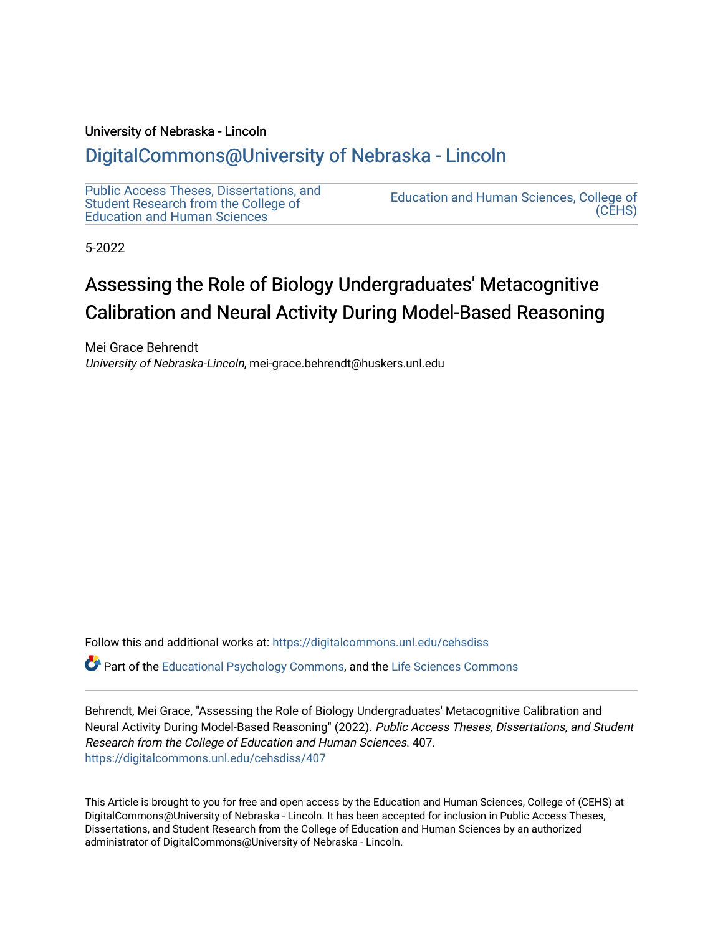#### University of Nebraska - Lincoln

## [DigitalCommons@University of Nebraska - Lincoln](https://digitalcommons.unl.edu/)

[Public Access Theses, Dissertations, and](https://digitalcommons.unl.edu/cehsdiss) [Student Research from the College of](https://digitalcommons.unl.edu/cehsdiss)  [Education and Human Sciences](https://digitalcommons.unl.edu/cehsdiss) 

[Education and Human Sciences, College of](https://digitalcommons.unl.edu/college_educhumsci)  [\(CEHS\)](https://digitalcommons.unl.edu/college_educhumsci) 

5-2022

# Assessing the Role of Biology Undergraduates' Metacognitive Calibration and Neural Activity During Model-Based Reasoning

Mei Grace Behrendt University of Nebraska-Lincoln, mei-grace.behrendt@huskers.unl.edu

Follow this and additional works at: [https://digitalcommons.unl.edu/cehsdiss](https://digitalcommons.unl.edu/cehsdiss?utm_source=digitalcommons.unl.edu%2Fcehsdiss%2F407&utm_medium=PDF&utm_campaign=PDFCoverPages)

Part of the [Educational Psychology Commons,](http://network.bepress.com/hgg/discipline/798?utm_source=digitalcommons.unl.edu%2Fcehsdiss%2F407&utm_medium=PDF&utm_campaign=PDFCoverPages) and the [Life Sciences Commons](http://network.bepress.com/hgg/discipline/1016?utm_source=digitalcommons.unl.edu%2Fcehsdiss%2F407&utm_medium=PDF&utm_campaign=PDFCoverPages)

Behrendt, Mei Grace, "Assessing the Role of Biology Undergraduates' Metacognitive Calibration and Neural Activity During Model-Based Reasoning" (2022). Public Access Theses, Dissertations, and Student Research from the College of Education and Human Sciences. 407. [https://digitalcommons.unl.edu/cehsdiss/407](https://digitalcommons.unl.edu/cehsdiss/407?utm_source=digitalcommons.unl.edu%2Fcehsdiss%2F407&utm_medium=PDF&utm_campaign=PDFCoverPages)

This Article is brought to you for free and open access by the Education and Human Sciences, College of (CEHS) at DigitalCommons@University of Nebraska - Lincoln. It has been accepted for inclusion in Public Access Theses, Dissertations, and Student Research from the College of Education and Human Sciences by an authorized administrator of DigitalCommons@University of Nebraska - Lincoln.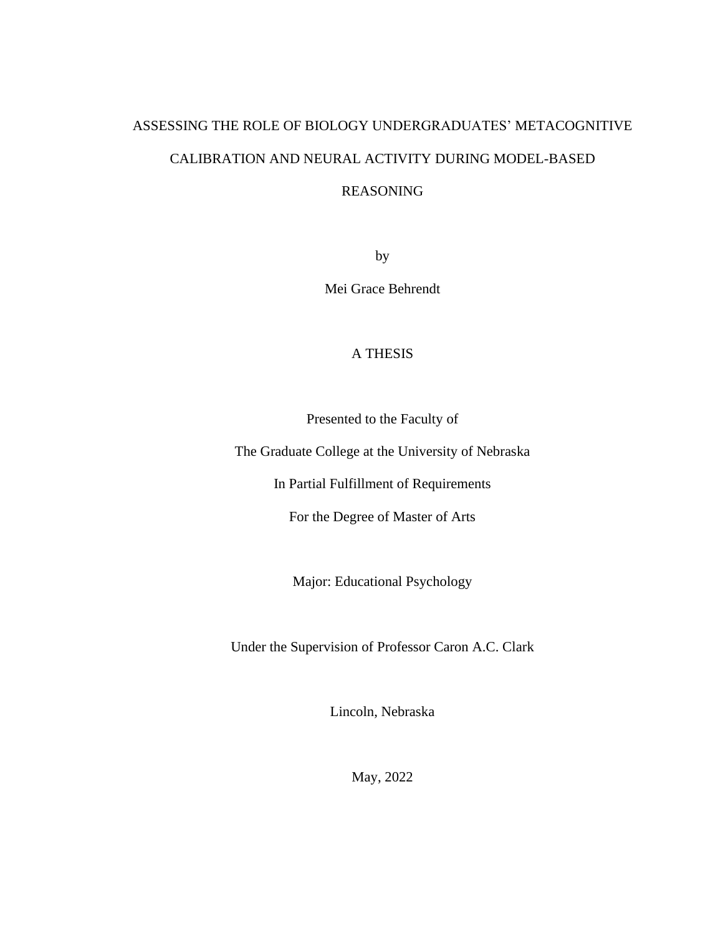# ASSESSING THE ROLE OF BIOLOGY UNDERGRADUATES' METACOGNITIVE CALIBRATION AND NEURAL ACTIVITY DURING MODEL-BASED

### REASONING

by

Mei Grace Behrendt

## A THESIS

Presented to the Faculty of

The Graduate College at the University of Nebraska

In Partial Fulfillment of Requirements

For the Degree of Master of Arts

Major: Educational Psychology

Under the Supervision of Professor Caron A.C. Clark

Lincoln, Nebraska

May, 2022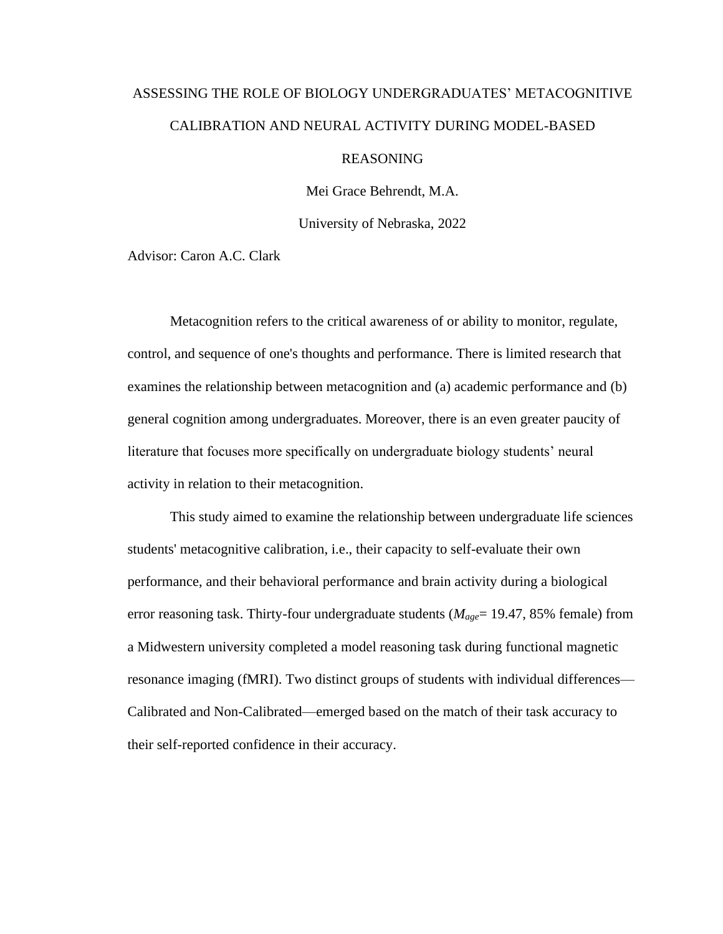# ASSESSING THE ROLE OF BIOLOGY UNDERGRADUATES' METACOGNITIVE CALIBRATION AND NEURAL ACTIVITY DURING MODEL-BASED

## REASONING

Mei Grace Behrendt, M.A.

University of Nebraska, 2022

Advisor: Caron A.C. Clark

Metacognition refers to the critical awareness of or ability to monitor, regulate, control, and sequence of one's thoughts and performance. There is limited research that examines the relationship between metacognition and (a) academic performance and (b) general cognition among undergraduates. Moreover, there is an even greater paucity of literature that focuses more specifically on undergraduate biology students' neural activity in relation to their metacognition.

This study aimed to examine the relationship between undergraduate life sciences students' metacognitive calibration, i.e., their capacity to self-evaluate their own performance, and their behavioral performance and brain activity during a biological error reasoning task. Thirty-four undergraduate students (*Mage*= 19.47, 85% female) from a Midwestern university completed a model reasoning task during functional magnetic resonance imaging (fMRI). Two distinct groups of students with individual differences— Calibrated and Non-Calibrated—emerged based on the match of their task accuracy to their self-reported confidence in their accuracy.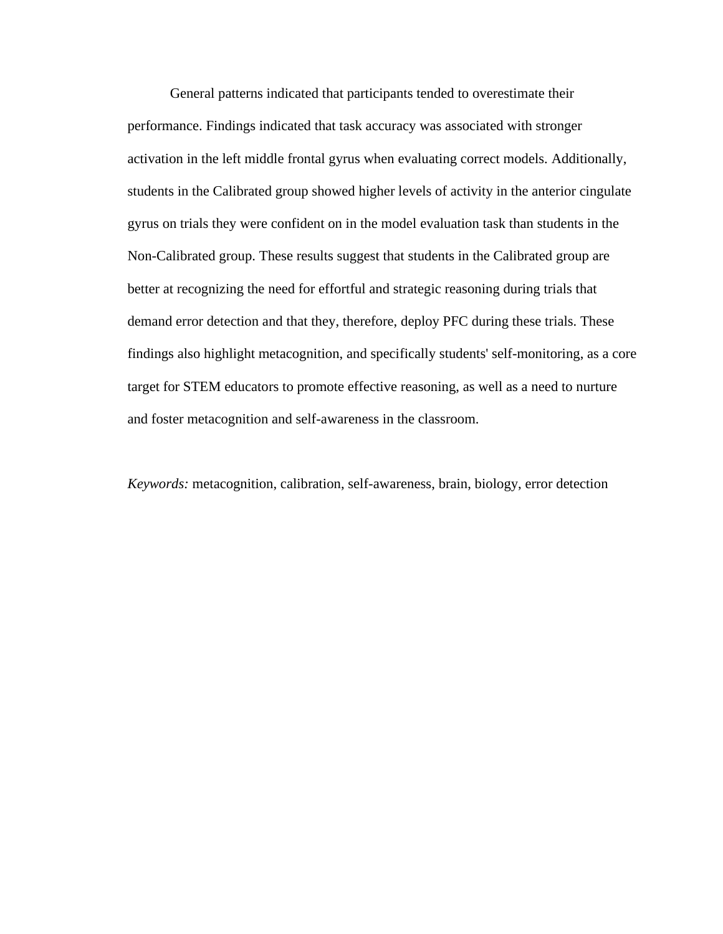General patterns indicated that participants tended to overestimate their performance. Findings indicated that task accuracy was associated with stronger activation in the left middle frontal gyrus when evaluating correct models. Additionally, students in the Calibrated group showed higher levels of activity in the anterior cingulate gyrus on trials they were confident on in the model evaluation task than students in the Non-Calibrated group. These results suggest that students in the Calibrated group are better at recognizing the need for effortful and strategic reasoning during trials that demand error detection and that they, therefore, deploy PFC during these trials. These findings also highlight metacognition, and specifically students' self-monitoring, as a core target for STEM educators to promote effective reasoning, as well as a need to nurture and foster metacognition and self-awareness in the classroom.

*Keywords:* metacognition, calibration, self-awareness, brain, biology, error detection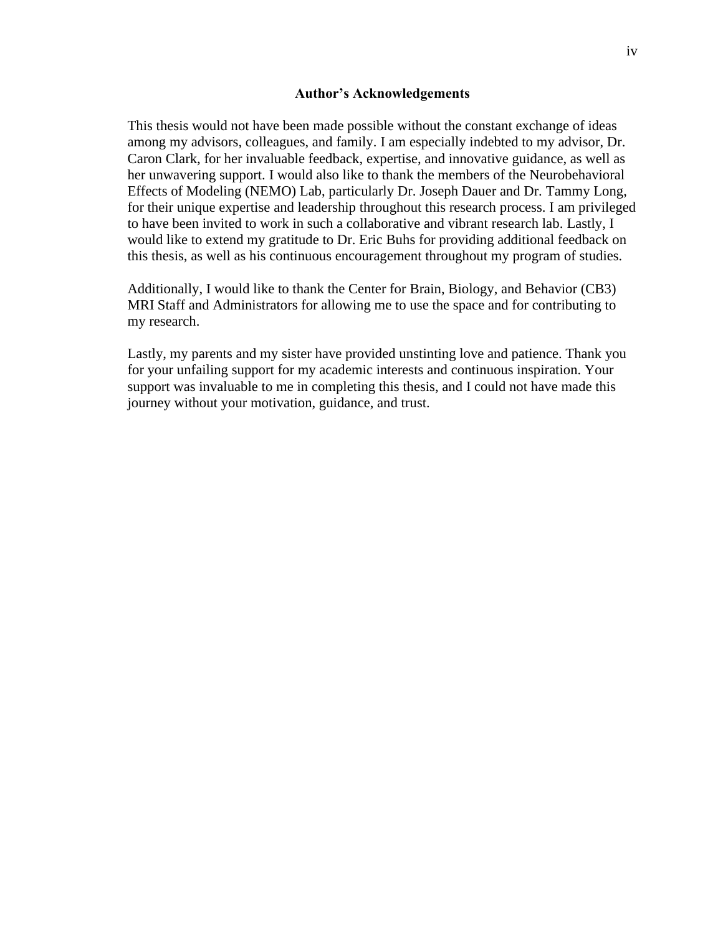#### **Author's Acknowledgements**

This thesis would not have been made possible without the constant exchange of ideas among my advisors, colleagues, and family. I am especially indebted to my advisor, Dr. Caron Clark, for her invaluable feedback, expertise, and innovative guidance, as well as her unwavering support. I would also like to thank the members of the Neurobehavioral Effects of Modeling (NEMO) Lab, particularly Dr. Joseph Dauer and Dr. Tammy Long, for their unique expertise and leadership throughout this research process. I am privileged to have been invited to work in such a collaborative and vibrant research lab. Lastly, I would like to extend my gratitude to Dr. Eric Buhs for providing additional feedback on this thesis, as well as his continuous encouragement throughout my program of studies.

Additionally, I would like to thank the Center for Brain, Biology, and Behavior (CB3) MRI Staff and Administrators for allowing me to use the space and for contributing to my research.

Lastly, my parents and my sister have provided unstinting love and patience. Thank you for your unfailing support for my academic interests and continuous inspiration. Your support was invaluable to me in completing this thesis, and I could not have made this journey without your motivation, guidance, and trust.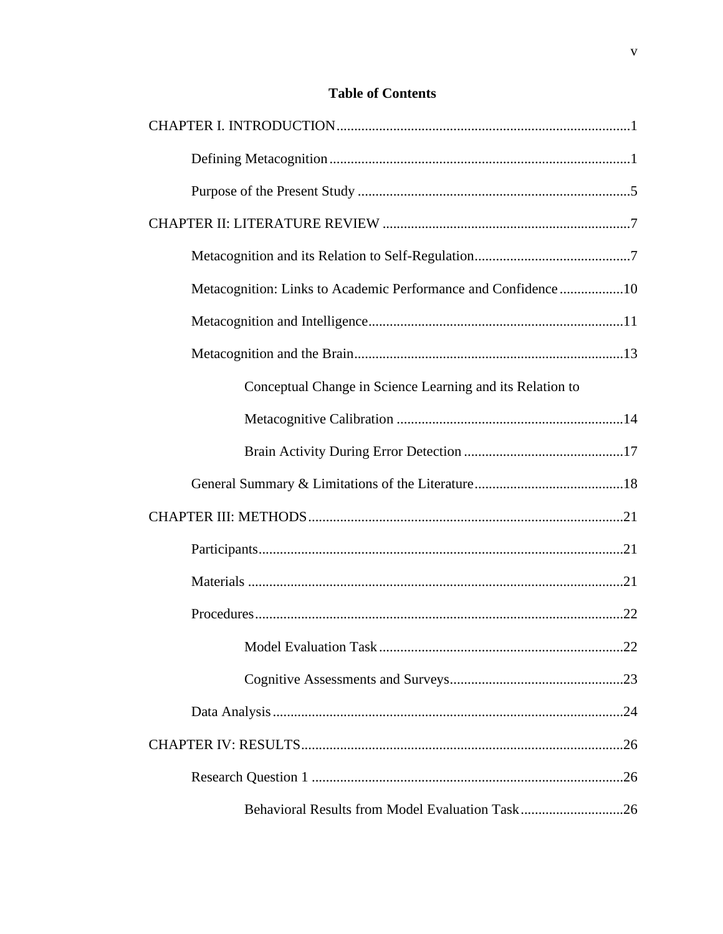## **Table of Contents**

| Metacognition: Links to Academic Performance and Confidence10 |
|---------------------------------------------------------------|
|                                                               |
|                                                               |
| Conceptual Change in Science Learning and its Relation to     |
|                                                               |
|                                                               |
|                                                               |
|                                                               |
|                                                               |
|                                                               |
|                                                               |
|                                                               |
|                                                               |
|                                                               |
|                                                               |
|                                                               |
| Behavioral Results from Model Evaluation Task26               |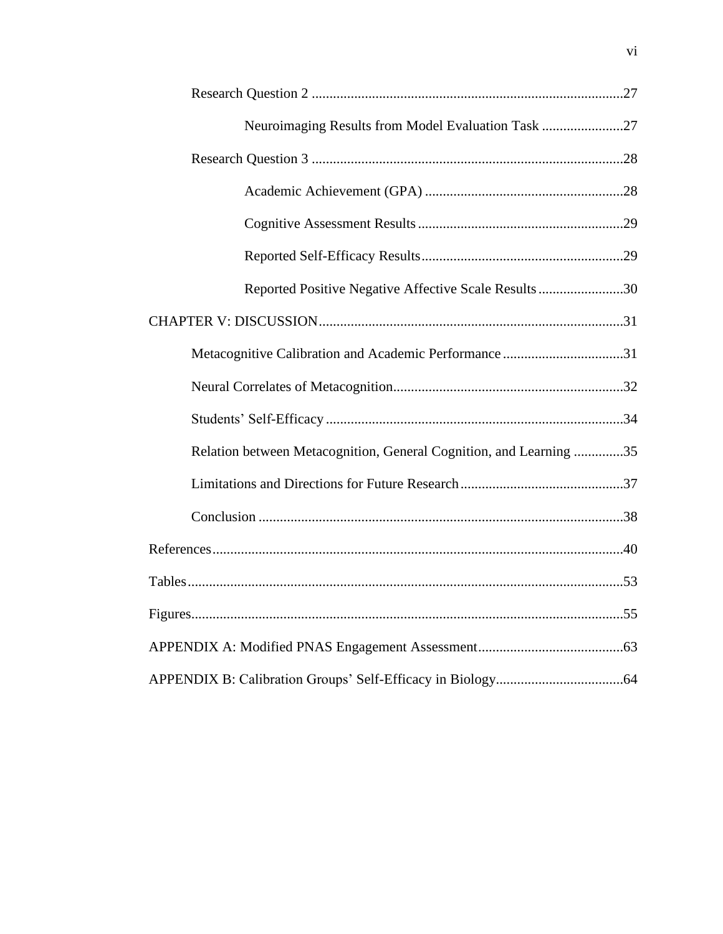| Neuroimaging Results from Model Evaluation Task 27                 |  |
|--------------------------------------------------------------------|--|
|                                                                    |  |
|                                                                    |  |
|                                                                    |  |
|                                                                    |  |
| Reported Positive Negative Affective Scale Results30               |  |
|                                                                    |  |
| Metacognitive Calibration and Academic Performance31               |  |
|                                                                    |  |
|                                                                    |  |
| Relation between Metacognition, General Cognition, and Learning 35 |  |
|                                                                    |  |
|                                                                    |  |
|                                                                    |  |
|                                                                    |  |
|                                                                    |  |
|                                                                    |  |
|                                                                    |  |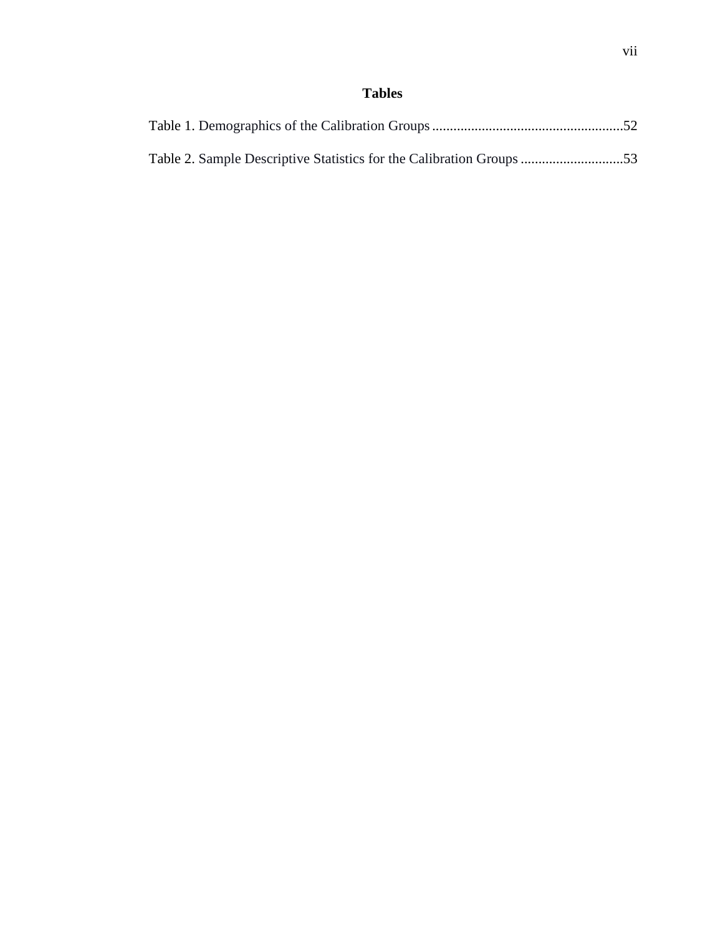## **Tables**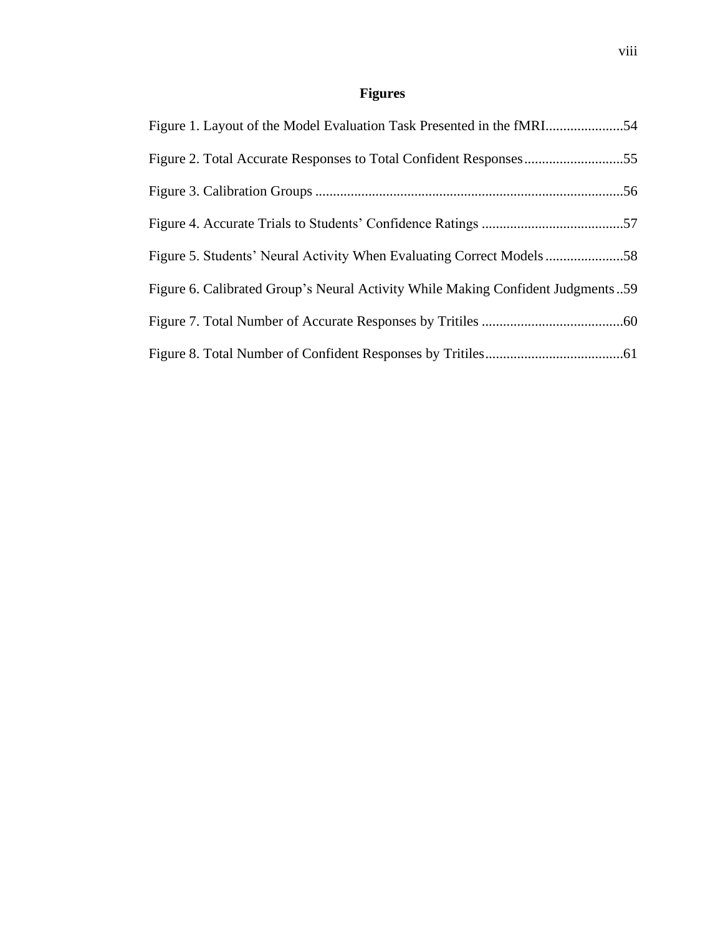# **Figures**

| Figure 2. Total Accurate Responses to Total Confident Responses55               |  |
|---------------------------------------------------------------------------------|--|
|                                                                                 |  |
|                                                                                 |  |
| Figure 5. Students' Neural Activity When Evaluating Correct Models58            |  |
| Figure 6. Calibrated Group's Neural Activity While Making Confident Judgments59 |  |
|                                                                                 |  |
|                                                                                 |  |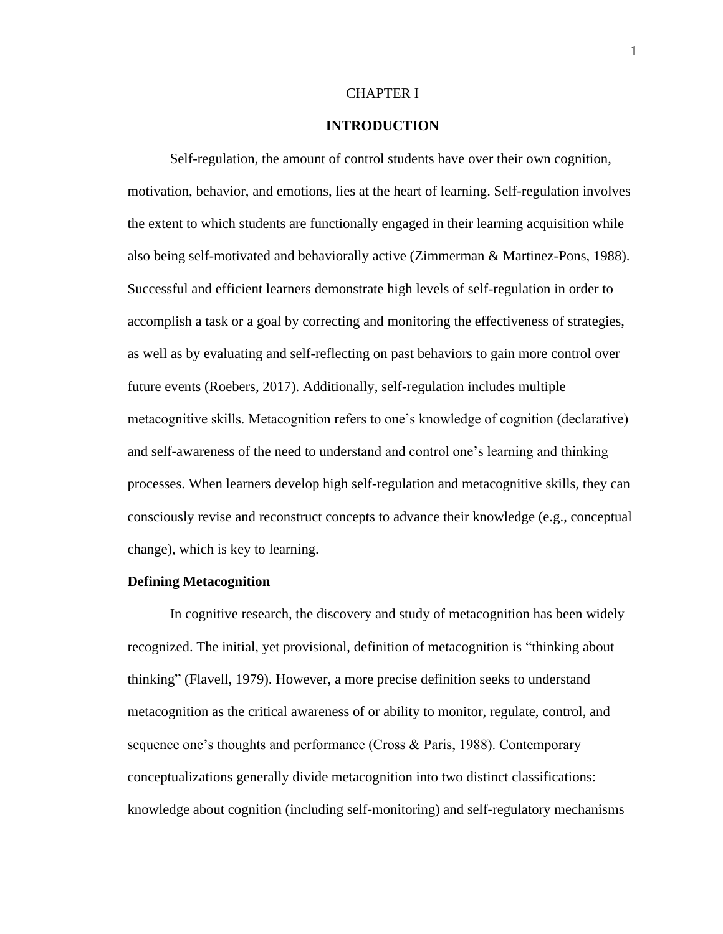#### CHAPTER I

#### **INTRODUCTION**

Self-regulation, the amount of control students have over their own cognition, motivation, behavior, and emotions, lies at the heart of learning. Self-regulation involves the extent to which students are functionally engaged in their learning acquisition while also being self-motivated and behaviorally active (Zimmerman & Martinez-Pons, 1988). Successful and efficient learners demonstrate high levels of self-regulation in order to accomplish a task or a goal by correcting and monitoring the effectiveness of strategies, as well as by evaluating and self-reflecting on past behaviors to gain more control over future events (Roebers, 2017). Additionally, self-regulation includes multiple metacognitive skills. Metacognition refers to one's knowledge of cognition (declarative) and self-awareness of the need to understand and control one's learning and thinking processes. When learners develop high self-regulation and metacognitive skills, they can consciously revise and reconstruct concepts to advance their knowledge (e.g., conceptual change), which is key to learning.

#### **Defining Metacognition**

In cognitive research, the discovery and study of metacognition has been widely recognized. The initial, yet provisional, definition of metacognition is "thinking about thinking" (Flavell, 1979). However, a more precise definition seeks to understand metacognition as the critical awareness of or ability to monitor, regulate, control, and sequence one's thoughts and performance (Cross & Paris, 1988). Contemporary conceptualizations generally divide metacognition into two distinct classifications: knowledge about cognition (including self-monitoring) and self-regulatory mechanisms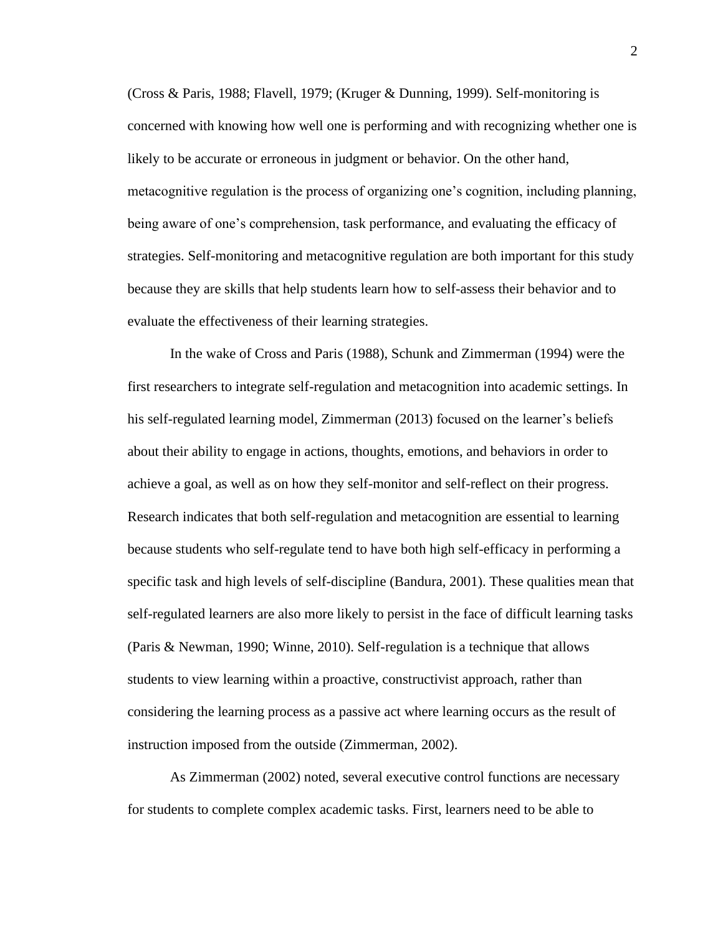(Cross & Paris, 1988; Flavell, 1979; (Kruger & Dunning, 1999). Self-monitoring is concerned with knowing how well one is performing and with recognizing whether one is likely to be accurate or erroneous in judgment or behavior. On the other hand, metacognitive regulation is the process of organizing one's cognition, including planning, being aware of one's comprehension, task performance, and evaluating the efficacy of strategies. Self-monitoring and metacognitive regulation are both important for this study because they are skills that help students learn how to self-assess their behavior and to evaluate the effectiveness of their learning strategies.

In the wake of Cross and Paris (1988), Schunk and Zimmerman (1994) were the first researchers to integrate self-regulation and metacognition into academic settings. In his self-regulated learning model, Zimmerman (2013) focused on the learner's beliefs about their ability to engage in actions, thoughts, emotions, and behaviors in order to achieve a goal, as well as on how they self-monitor and self-reflect on their progress. Research indicates that both self-regulation and metacognition are essential to learning because students who self-regulate tend to have both high self-efficacy in performing a specific task and high levels of self-discipline (Bandura, 2001). These qualities mean that self-regulated learners are also more likely to persist in the face of difficult learning tasks (Paris & Newman, 1990; Winne, 2010). Self-regulation is a technique that allows students to view learning within a proactive, constructivist approach, rather than considering the learning process as a passive act where learning occurs as the result of instruction imposed from the outside (Zimmerman, 2002).

As Zimmerman (2002) noted, several executive control functions are necessary for students to complete complex academic tasks. First, learners need to be able to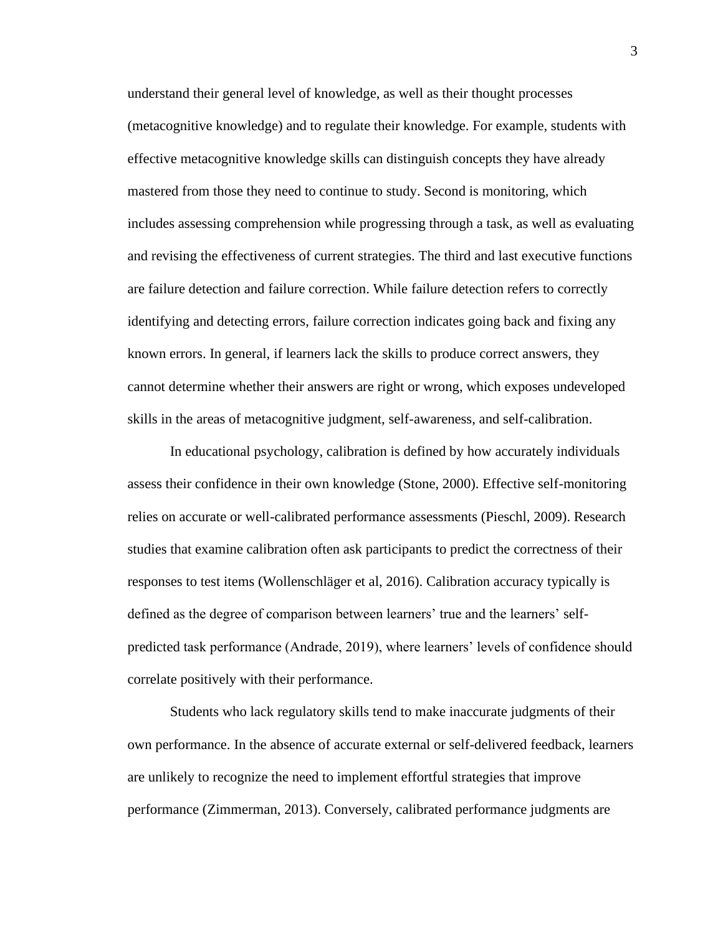understand their general level of knowledge, as well as their thought processes (metacognitive knowledge) and to regulate their knowledge. For example, students with effective metacognitive knowledge skills can distinguish concepts they have already mastered from those they need to continue to study. Second is monitoring, which includes assessing comprehension while progressing through a task, as well as evaluating and revising the effectiveness of current strategies. The third and last executive functions are failure detection and failure correction. While failure detection refers to correctly identifying and detecting errors, failure correction indicates going back and fixing any known errors. In general, if learners lack the skills to produce correct answers, they cannot determine whether their answers are right or wrong, which exposes undeveloped skills in the areas of metacognitive judgment, self-awareness, and self-calibration.

In educational psychology, calibration is defined by how accurately individuals assess their confidence in their own knowledge (Stone, 2000). Effective self-monitoring relies on accurate or well-calibrated performance assessments (Pieschl, 2009). Research studies that examine calibration often ask participants to predict the correctness of their responses to test items (Wollenschläger et al, 2016). Calibration accuracy typically is defined as the degree of comparison between learners' true and the learners' selfpredicted task performance (Andrade, 2019), where learners' levels of confidence should correlate positively with their performance.

Students who lack regulatory skills tend to make inaccurate judgments of their own performance. In the absence of accurate external or self-delivered feedback, learners are unlikely to recognize the need to implement effortful strategies that improve performance (Zimmerman, 2013). Conversely, calibrated performance judgments are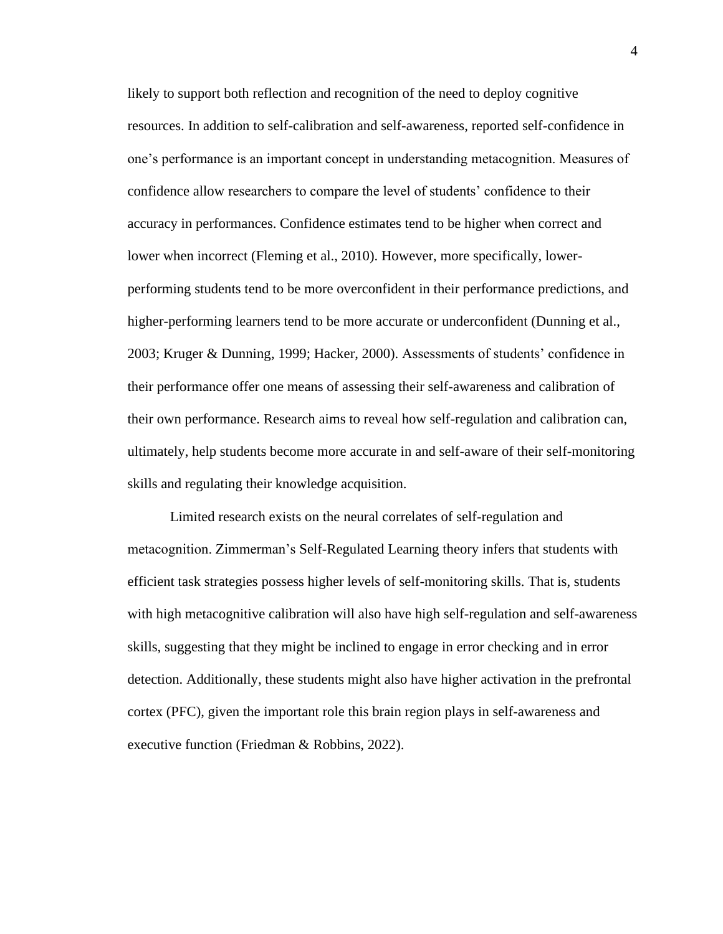likely to support both reflection and recognition of the need to deploy cognitive resources. In addition to self-calibration and self-awareness, reported self-confidence in one's performance is an important concept in understanding metacognition. Measures of confidence allow researchers to compare the level of students' confidence to their accuracy in performances. Confidence estimates tend to be higher when correct and lower when incorrect (Fleming et al., 2010). However, more specifically, lowerperforming students tend to be more overconfident in their performance predictions, and higher-performing learners tend to be more accurate or underconfident (Dunning et al., 2003; Kruger & Dunning, 1999; Hacker, 2000). Assessments of students' confidence in their performance offer one means of assessing their self-awareness and calibration of their own performance. Research aims to reveal how self-regulation and calibration can, ultimately, help students become more accurate in and self-aware of their self-monitoring skills and regulating their knowledge acquisition.

Limited research exists on the neural correlates of self-regulation and metacognition. Zimmerman's Self-Regulated Learning theory infers that students with efficient task strategies possess higher levels of self-monitoring skills. That is, students with high metacognitive calibration will also have high self-regulation and self-awareness skills, suggesting that they might be inclined to engage in error checking and in error detection. Additionally, these students might also have higher activation in the prefrontal cortex (PFC), given the important role this brain region plays in self-awareness and executive function (Friedman & Robbins, 2022).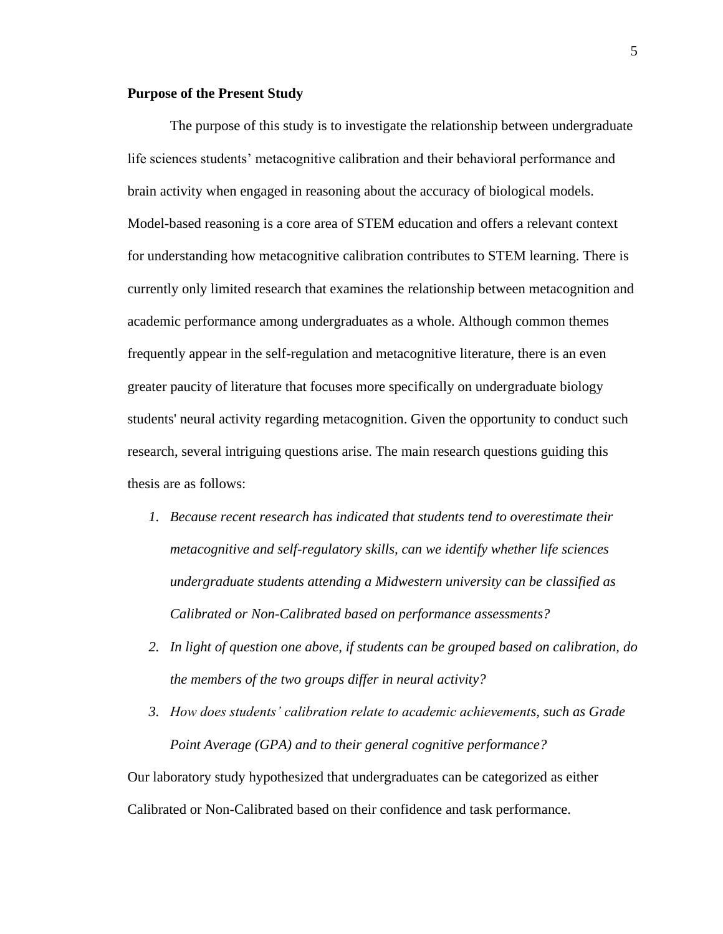#### **Purpose of the Present Study**

The purpose of this study is to investigate the relationship between undergraduate life sciences students' metacognitive calibration and their behavioral performance and brain activity when engaged in reasoning about the accuracy of biological models. Model-based reasoning is a core area of STEM education and offers a relevant context for understanding how metacognitive calibration contributes to STEM learning. There is currently only limited research that examines the relationship between metacognition and academic performance among undergraduates as a whole. Although common themes frequently appear in the self-regulation and metacognitive literature, there is an even greater paucity of literature that focuses more specifically on undergraduate biology students' neural activity regarding metacognition. Given the opportunity to conduct such research, several intriguing questions arise. The main research questions guiding this thesis are as follows:

- *1. Because recent research has indicated that students tend to overestimate their metacognitive and self-regulatory skills, can we identify whether life sciences undergraduate students attending a Midwestern university can be classified as Calibrated or Non-Calibrated based on performance assessments?*
- *2. In light of question one above, if students can be grouped based on calibration, do the members of the two groups differ in neural activity?*
- *3. How does students' calibration relate to academic achievements, such as Grade Point Average (GPA) and to their general cognitive performance?*

Our laboratory study hypothesized that undergraduates can be categorized as either Calibrated or Non-Calibrated based on their confidence and task performance.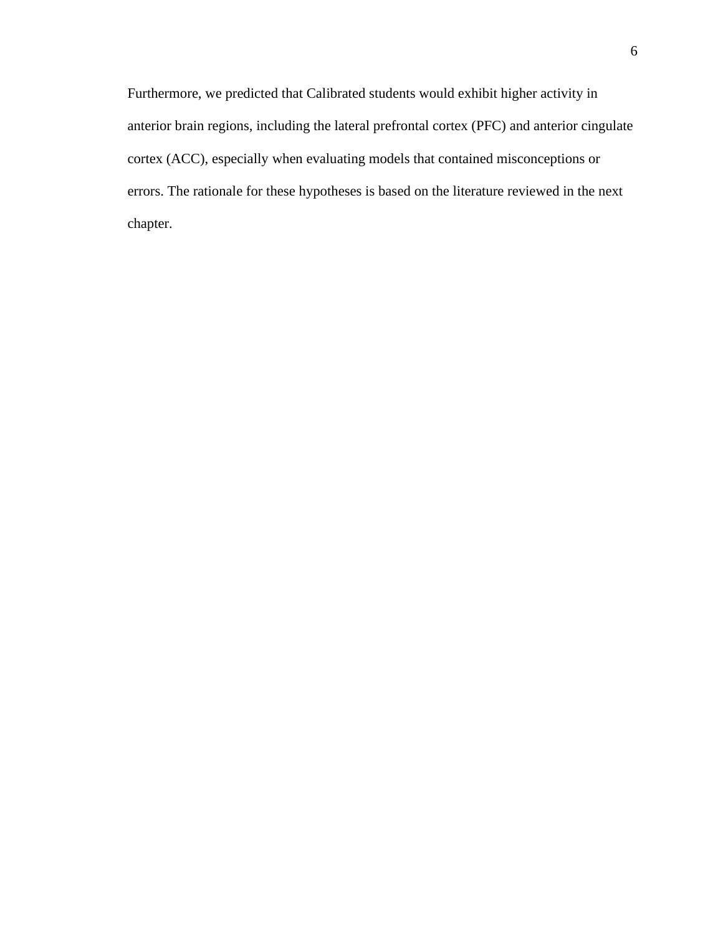Furthermore, we predicted that Calibrated students would exhibit higher activity in anterior brain regions, including the lateral prefrontal cortex (PFC) and anterior cingulate cortex (ACC), especially when evaluating models that contained misconceptions or errors. The rationale for these hypotheses is based on the literature reviewed in the next chapter.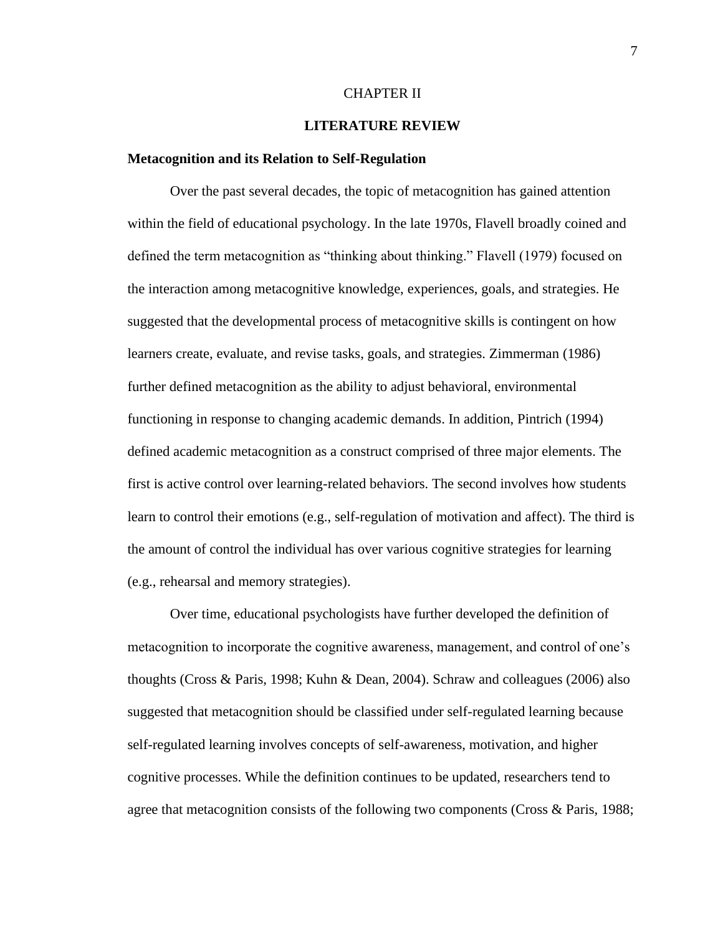#### CHAPTER II

#### **LITERATURE REVIEW**

#### **Metacognition and its Relation to Self-Regulation**

Over the past several decades, the topic of metacognition has gained attention within the field of educational psychology. In the late 1970s, Flavell broadly coined and defined the term metacognition as "thinking about thinking." Flavell (1979) focused on the interaction among metacognitive knowledge, experiences, goals, and strategies. He suggested that the developmental process of metacognitive skills is contingent on how learners create, evaluate, and revise tasks, goals, and strategies. Zimmerman (1986) further defined metacognition as the ability to adjust behavioral, environmental functioning in response to changing academic demands. In addition, Pintrich (1994) defined academic metacognition as a construct comprised of three major elements. The first is active control over learning-related behaviors. The second involves how students learn to control their emotions (e.g., self-regulation of motivation and affect). The third is the amount of control the individual has over various cognitive strategies for learning (e.g., rehearsal and memory strategies).

Over time, educational psychologists have further developed the definition of metacognition to incorporate the cognitive awareness, management, and control of one's thoughts (Cross & Paris, 1998; Kuhn & Dean, 2004). Schraw and colleagues (2006) also suggested that metacognition should be classified under self-regulated learning because self-regulated learning involves concepts of self-awareness, motivation, and higher cognitive processes. While the definition continues to be updated, researchers tend to agree that metacognition consists of the following two components (Cross & Paris, 1988;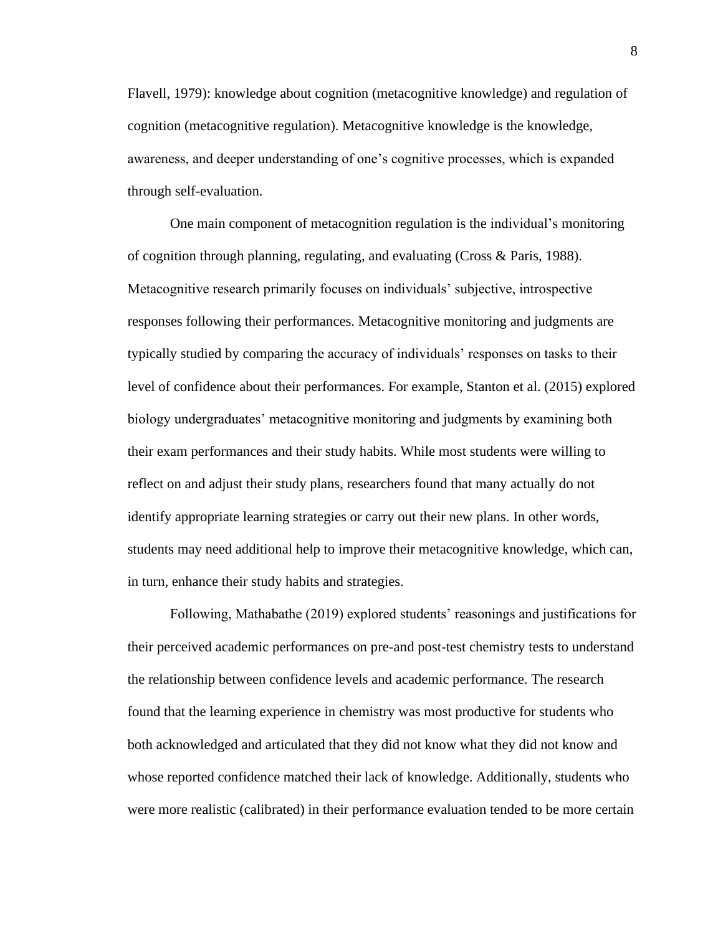Flavell, 1979): knowledge about cognition (metacognitive knowledge) and regulation of cognition (metacognitive regulation). Metacognitive knowledge is the knowledge, awareness, and deeper understanding of one's cognitive processes, which is expanded through self-evaluation.

One main component of metacognition regulation is the individual's monitoring of cognition through planning, regulating, and evaluating (Cross & Paris, 1988). Metacognitive research primarily focuses on individuals' subjective, introspective responses following their performances. Metacognitive monitoring and judgments are typically studied by comparing the accuracy of individuals' responses on tasks to their level of confidence about their performances. For example, Stanton et al. (2015) explored biology undergraduates' metacognitive monitoring and judgments by examining both their exam performances and their study habits. While most students were willing to reflect on and adjust their study plans, researchers found that many actually do not identify appropriate learning strategies or carry out their new plans. In other words, students may need additional help to improve their metacognitive knowledge, which can, in turn, enhance their study habits and strategies.

Following, Mathabathe (2019) explored students' reasonings and justifications for their perceived academic performances on pre-and post-test chemistry tests to understand the relationship between confidence levels and academic performance. The research found that the learning experience in chemistry was most productive for students who both acknowledged and articulated that they did not know what they did not know and whose reported confidence matched their lack of knowledge. Additionally, students who were more realistic (calibrated) in their performance evaluation tended to be more certain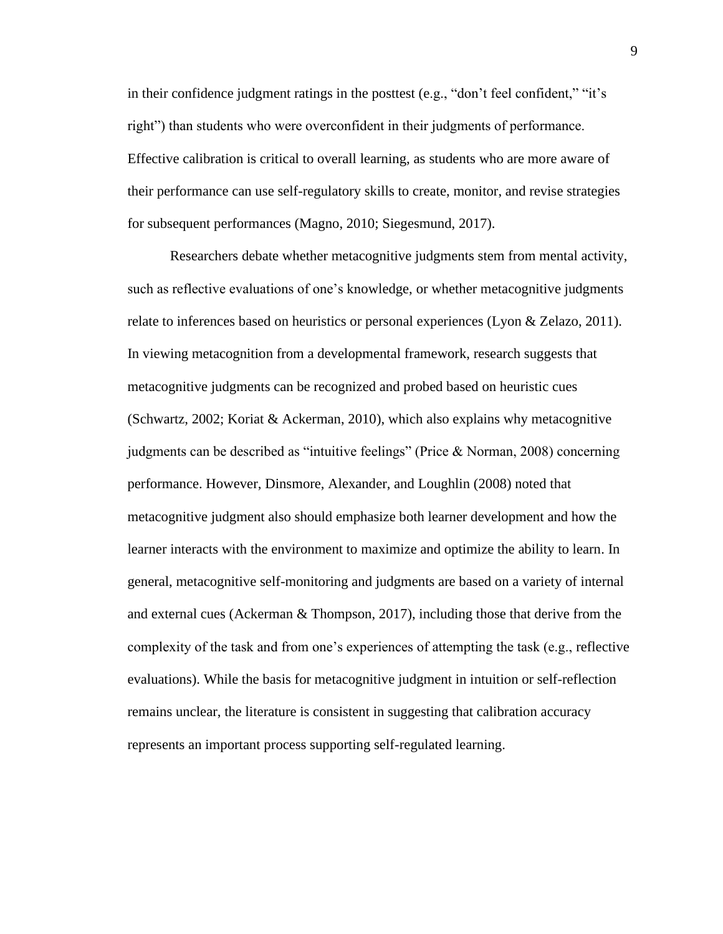in their confidence judgment ratings in the posttest (e.g., "don't feel confident," "it's right") than students who were overconfident in their judgments of performance. Effective calibration is critical to overall learning, as students who are more aware of their performance can use self-regulatory skills to create, monitor, and revise strategies for subsequent performances (Magno, 2010; Siegesmund, 2017).

Researchers debate whether metacognitive judgments stem from mental activity, such as reflective evaluations of one's knowledge, or whether metacognitive judgments relate to inferences based on heuristics or personal experiences (Lyon & Zelazo, 2011). In viewing metacognition from a developmental framework, research suggests that metacognitive judgments can be recognized and probed based on heuristic cues (Schwartz, 2002; Koriat & Ackerman, 2010), which also explains why metacognitive judgments can be described as "intuitive feelings" (Price & Norman, 2008) concerning performance. However, Dinsmore, Alexander, and Loughlin (2008) noted that metacognitive judgment also should emphasize both learner development and how the learner interacts with the environment to maximize and optimize the ability to learn. In general, metacognitive self-monitoring and judgments are based on a variety of internal and external cues (Ackerman & Thompson, 2017), including those that derive from the complexity of the task and from one's experiences of attempting the task (e.g., reflective evaluations). While the basis for metacognitive judgment in intuition or self-reflection remains unclear, the literature is consistent in suggesting that calibration accuracy represents an important process supporting self-regulated learning.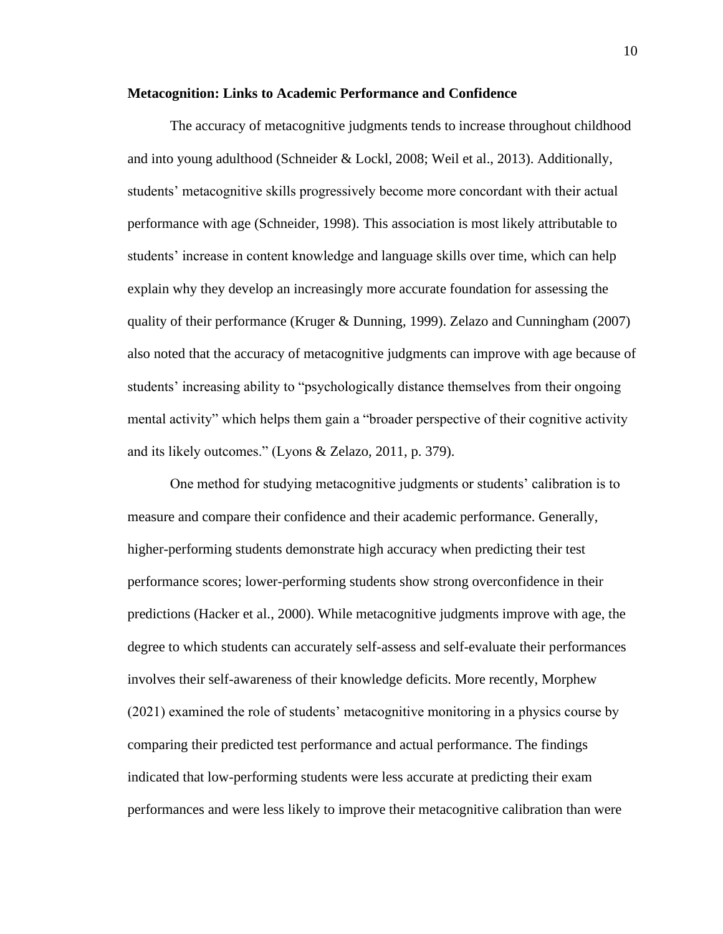#### **Metacognition: Links to Academic Performance and Confidence**

The accuracy of metacognitive judgments tends to increase throughout childhood and into young adulthood (Schneider & Lockl, 2008; Weil et al., 2013). Additionally, students' metacognitive skills progressively become more concordant with their actual performance with age (Schneider, 1998). This association is most likely attributable to students' increase in content knowledge and language skills over time, which can help explain why they develop an increasingly more accurate foundation for assessing the quality of their performance (Kruger & Dunning, 1999). Zelazo and Cunningham (2007) also noted that the accuracy of metacognitive judgments can improve with age because of students' increasing ability to "psychologically distance themselves from their ongoing mental activity" which helps them gain a "broader perspective of their cognitive activity and its likely outcomes." (Lyons & Zelazo, 2011, p. 379).

One method for studying metacognitive judgments or students' calibration is to measure and compare their confidence and their academic performance. Generally, higher-performing students demonstrate high accuracy when predicting their test performance scores; lower-performing students show strong overconfidence in their predictions (Hacker et al., 2000). While metacognitive judgments improve with age, the degree to which students can accurately self-assess and self-evaluate their performances involves their self-awareness of their knowledge deficits. More recently, Morphew (2021) examined the role of students' metacognitive monitoring in a physics course by comparing their predicted test performance and actual performance. The findings indicated that low-performing students were less accurate at predicting their exam performances and were less likely to improve their metacognitive calibration than were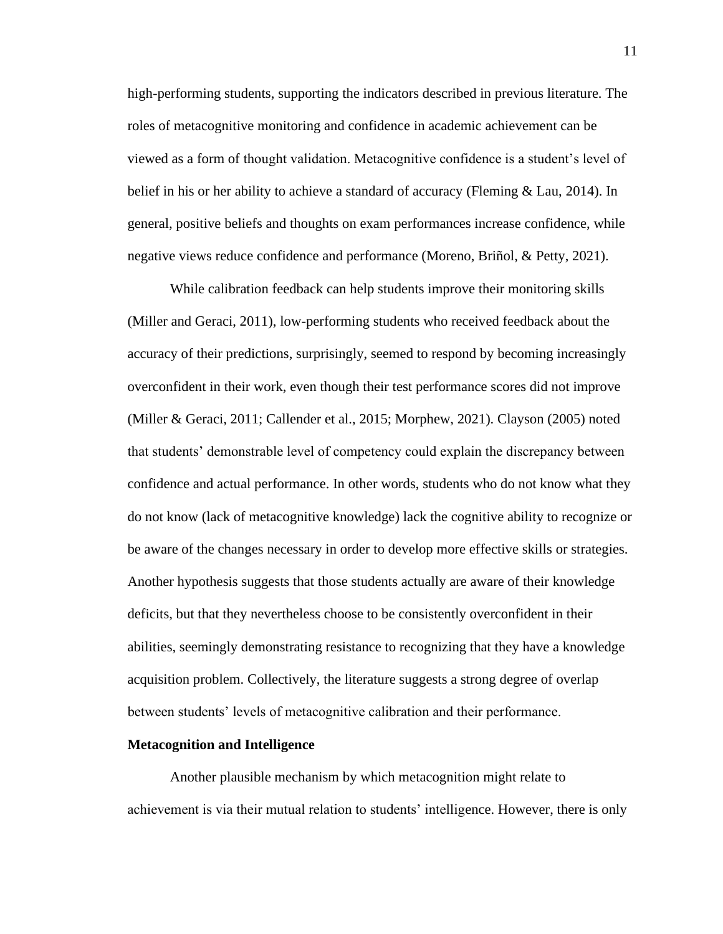high-performing students, supporting the indicators described in previous literature. The roles of metacognitive monitoring and confidence in academic achievement can be viewed as a form of thought validation. Metacognitive confidence is a student's level of belief in his or her ability to achieve a standard of accuracy (Fleming & Lau, 2014). In general, positive beliefs and thoughts on exam performances increase confidence, while negative views reduce confidence and performance (Moreno, Briñol, & Petty, 2021).

While calibration feedback can help students improve their monitoring skills (Miller and Geraci, 2011), low-performing students who received feedback about the accuracy of their predictions, surprisingly, seemed to respond by becoming increasingly overconfident in their work, even though their test performance scores did not improve (Miller & Geraci, 2011; Callender et al., 2015; Morphew, 2021). Clayson (2005) noted that students' demonstrable level of competency could explain the discrepancy between confidence and actual performance. In other words, students who do not know what they do not know (lack of metacognitive knowledge) lack the cognitive ability to recognize or be aware of the changes necessary in order to develop more effective skills or strategies. Another hypothesis suggests that those students actually are aware of their knowledge deficits, but that they nevertheless choose to be consistently overconfident in their abilities, seemingly demonstrating resistance to recognizing that they have a knowledge acquisition problem. Collectively, the literature suggests a strong degree of overlap between students' levels of metacognitive calibration and their performance.

#### **Metacognition and Intelligence**

Another plausible mechanism by which metacognition might relate to achievement is via their mutual relation to students' intelligence. However, there is only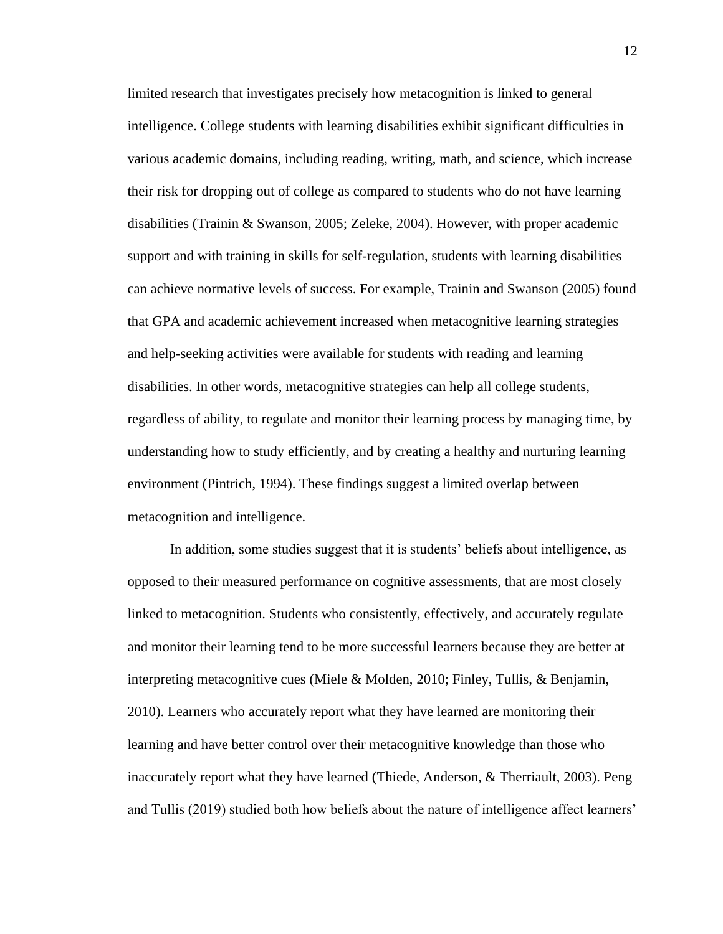limited research that investigates precisely how metacognition is linked to general intelligence. College students with learning disabilities exhibit significant difficulties in various academic domains, including reading, writing, math, and science, which increase their risk for dropping out of college as compared to students who do not have learning disabilities (Trainin & Swanson, 2005; Zeleke, 2004). However, with proper academic support and with training in skills for self-regulation, students with learning disabilities can achieve normative levels of success. For example, Trainin and Swanson (2005) found that GPA and academic achievement increased when metacognitive learning strategies and help-seeking activities were available for students with reading and learning disabilities. In other words, metacognitive strategies can help all college students, regardless of ability, to regulate and monitor their learning process by managing time, by understanding how to study efficiently, and by creating a healthy and nurturing learning environment (Pintrich, 1994). These findings suggest a limited overlap between metacognition and intelligence.

In addition, some studies suggest that it is students' beliefs about intelligence, as opposed to their measured performance on cognitive assessments, that are most closely linked to metacognition. Students who consistently, effectively, and accurately regulate and monitor their learning tend to be more successful learners because they are better at interpreting metacognitive cues (Miele & Molden, 2010; Finley, Tullis, & Benjamin, 2010). Learners who accurately report what they have learned are monitoring their learning and have better control over their metacognitive knowledge than those who inaccurately report what they have learned (Thiede, Anderson, & Therriault, 2003). Peng and Tullis (2019) studied both how beliefs about the nature of intelligence affect learners'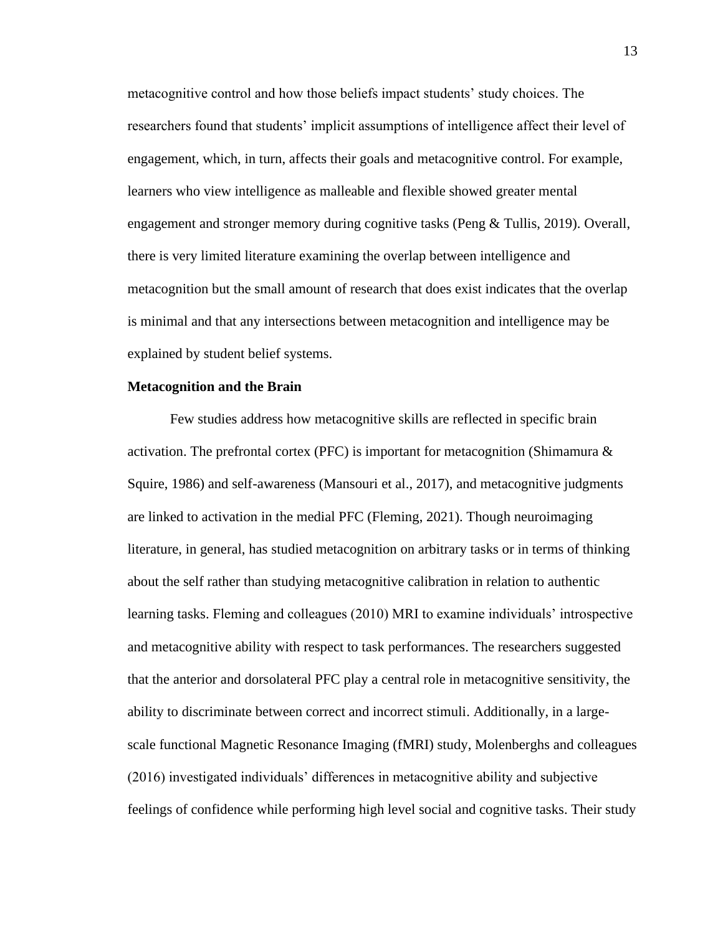metacognitive control and how those beliefs impact students' study choices. The researchers found that students' implicit assumptions of intelligence affect their level of engagement, which, in turn, affects their goals and metacognitive control. For example, learners who view intelligence as malleable and flexible showed greater mental engagement and stronger memory during cognitive tasks (Peng & Tullis, 2019). Overall, there is very limited literature examining the overlap between intelligence and metacognition but the small amount of research that does exist indicates that the overlap is minimal and that any intersections between metacognition and intelligence may be explained by student belief systems.

#### **Metacognition and the Brain**

Few studies address how metacognitive skills are reflected in specific brain activation. The prefrontal cortex (PFC) is important for metacognition (Shimamura  $\&$ Squire, 1986) and self-awareness (Mansouri et al., 2017), and metacognitive judgments are linked to activation in the medial PFC (Fleming, 2021). Though neuroimaging literature, in general, has studied metacognition on arbitrary tasks or in terms of thinking about the self rather than studying metacognitive calibration in relation to authentic learning tasks. Fleming and colleagues (2010) MRI to examine individuals' introspective and metacognitive ability with respect to task performances. The researchers suggested that the anterior and dorsolateral PFC play a central role in metacognitive sensitivity, the ability to discriminate between correct and incorrect stimuli. Additionally, in a largescale functional Magnetic Resonance Imaging (fMRI) study, Molenberghs and colleagues (2016) investigated individuals' differences in metacognitive ability and subjective feelings of confidence while performing high level social and cognitive tasks. Their study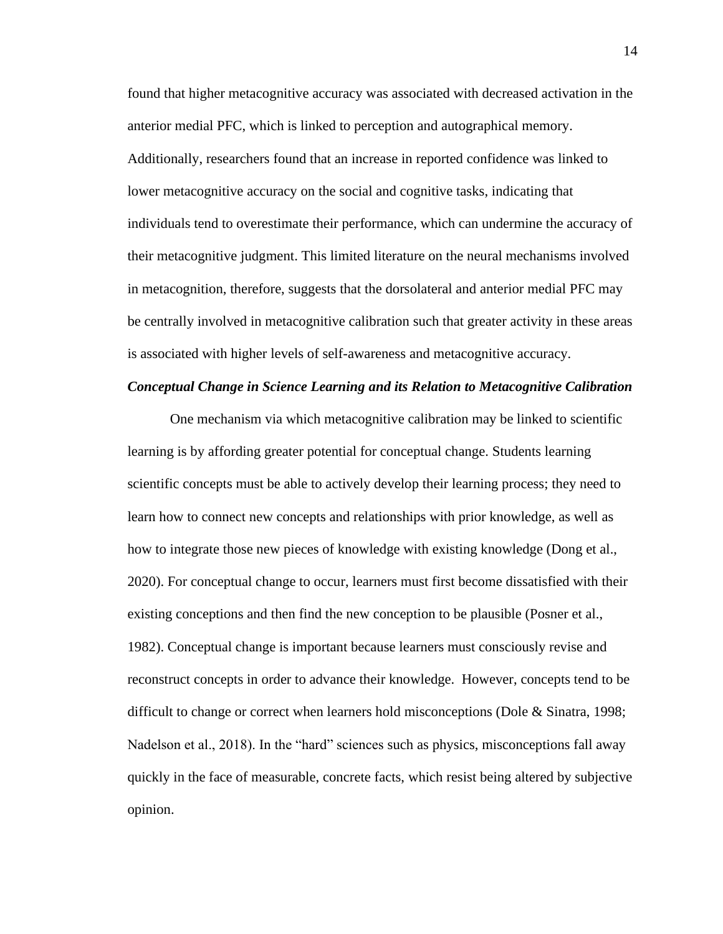found that higher metacognitive accuracy was associated with decreased activation in the anterior medial PFC, which is linked to perception and autographical memory. Additionally, researchers found that an increase in reported confidence was linked to lower metacognitive accuracy on the social and cognitive tasks, indicating that individuals tend to overestimate their performance, which can undermine the accuracy of their metacognitive judgment. This limited literature on the neural mechanisms involved in metacognition, therefore, suggests that the dorsolateral and anterior medial PFC may be centrally involved in metacognitive calibration such that greater activity in these areas is associated with higher levels of self-awareness and metacognitive accuracy.

#### *Conceptual Change in Science Learning and its Relation to Metacognitive Calibration*

One mechanism via which metacognitive calibration may be linked to scientific learning is by affording greater potential for conceptual change. Students learning scientific concepts must be able to actively develop their learning process; they need to learn how to connect new concepts and relationships with prior knowledge, as well as how to integrate those new pieces of knowledge with existing knowledge (Dong et al., 2020). For conceptual change to occur, learners must first become dissatisfied with their existing conceptions and then find the new conception to be plausible (Posner et al., 1982). Conceptual change is important because learners must consciously revise and reconstruct concepts in order to advance their knowledge. However, concepts tend to be difficult to change or correct when learners hold misconceptions (Dole & Sinatra, 1998; Nadelson et al., 2018). In the "hard" sciences such as physics, misconceptions fall away quickly in the face of measurable, concrete facts, which resist being altered by subjective opinion.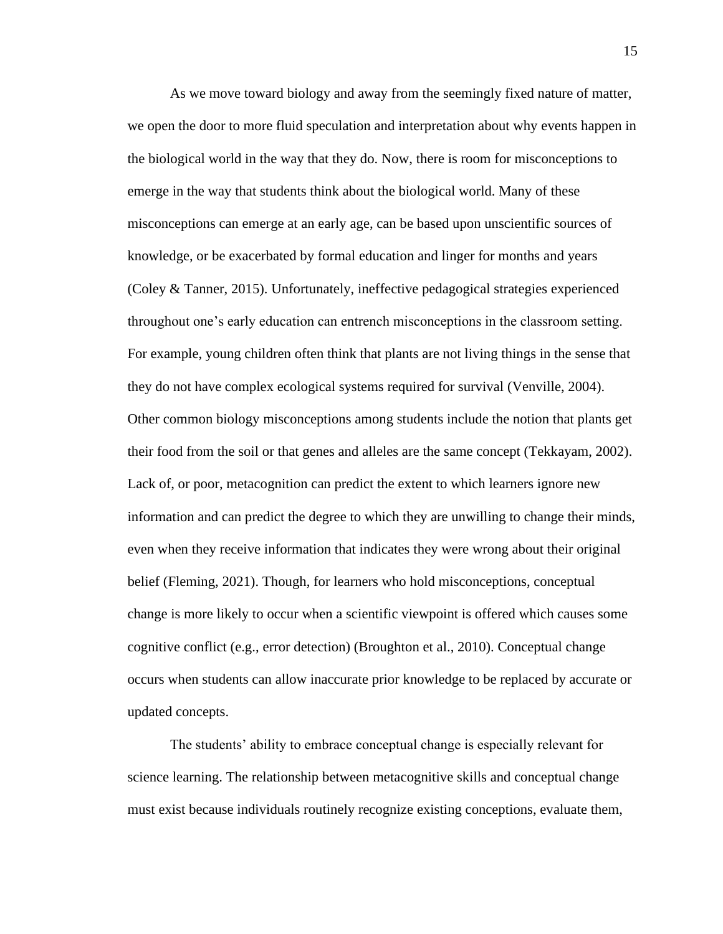As we move toward biology and away from the seemingly fixed nature of matter, we open the door to more fluid speculation and interpretation about why events happen in the biological world in the way that they do. Now, there is room for misconceptions to emerge in the way that students think about the biological world. Many of these misconceptions can emerge at an early age, can be based upon unscientific sources of knowledge, or be exacerbated by formal education and linger for months and years (Coley & Tanner, 2015). Unfortunately, ineffective pedagogical strategies experienced throughout one's early education can entrench misconceptions in the classroom setting. For example, young children often think that plants are not living things in the sense that they do not have complex ecological systems required for survival (Venville, 2004). Other common biology misconceptions among students include the notion that plants get their food from the soil or that genes and alleles are the same concept (Tekkayam, 2002). Lack of, or poor, metacognition can predict the extent to which learners ignore new information and can predict the degree to which they are unwilling to change their minds, even when they receive information that indicates they were wrong about their original belief (Fleming, 2021). Though, for learners who hold misconceptions, conceptual change is more likely to occur when a scientific viewpoint is offered which causes some cognitive conflict (e.g., error detection) (Broughton et al., 2010). Conceptual change occurs when students can allow inaccurate prior knowledge to be replaced by accurate or updated concepts.

The students' ability to embrace conceptual change is especially relevant for science learning. The relationship between metacognitive skills and conceptual change must exist because individuals routinely recognize existing conceptions, evaluate them,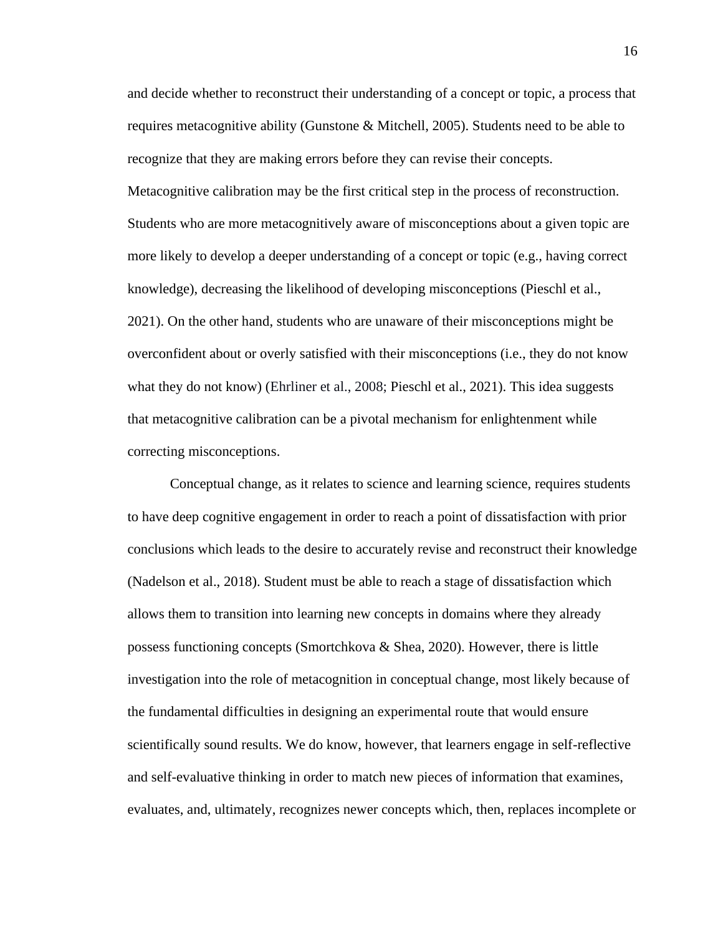and decide whether to reconstruct their understanding of a concept or topic, a process that requires metacognitive ability (Gunstone  $\&$  Mitchell, 2005). Students need to be able to recognize that they are making errors before they can revise their concepts. Metacognitive calibration may be the first critical step in the process of reconstruction. Students who are more metacognitively aware of misconceptions about a given topic are more likely to develop a deeper understanding of a concept or topic (e.g., having correct knowledge), decreasing the likelihood of developing misconceptions (Pieschl et al., 2021). On the other hand, students who are unaware of their misconceptions might be overconfident about or overly satisfied with their misconceptions (i.e., they do not know what they do not know) (Ehrliner et al., 2008; Pieschl et al., 2021). This idea suggests that metacognitive calibration can be a pivotal mechanism for enlightenment while correcting misconceptions.

Conceptual change, as it relates to science and learning science, requires students to have deep cognitive engagement in order to reach a point of dissatisfaction with prior conclusions which leads to the desire to accurately revise and reconstruct their knowledge (Nadelson et al., 2018). Student must be able to reach a stage of dissatisfaction which allows them to transition into learning new concepts in domains where they already possess functioning concepts (Smortchkova & Shea, 2020). However, there is little investigation into the role of metacognition in conceptual change, most likely because of the fundamental difficulties in designing an experimental route that would ensure scientifically sound results. We do know, however, that learners engage in self-reflective and self-evaluative thinking in order to match new pieces of information that examines, evaluates, and, ultimately, recognizes newer concepts which, then, replaces incomplete or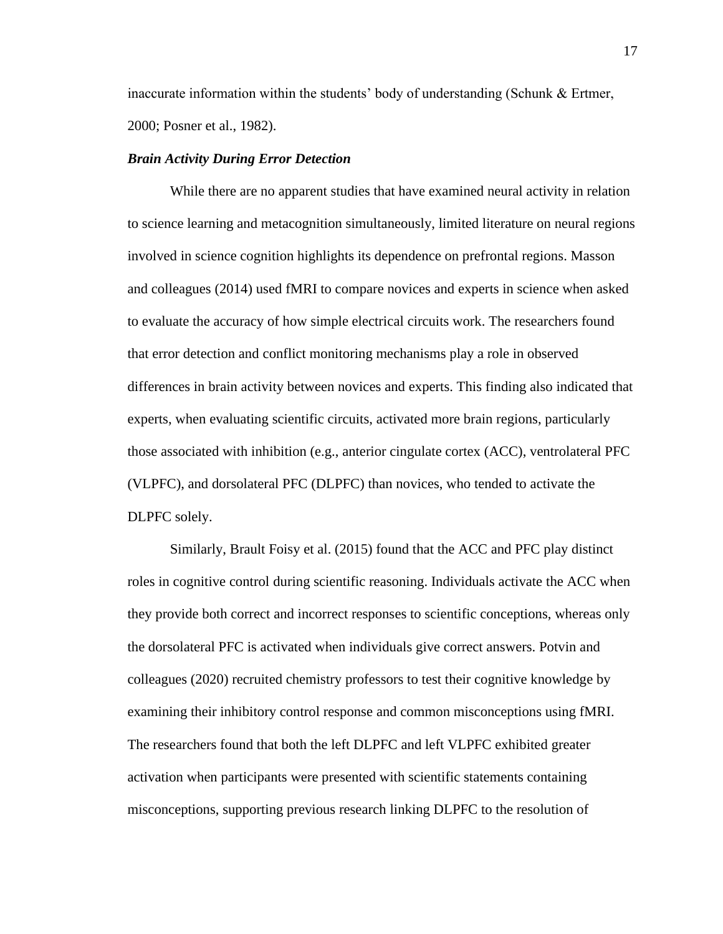inaccurate information within the students' body of understanding (Schunk & Ertmer, 2000; Posner et al., 1982).

#### *Brain Activity During Error Detection*

While there are no apparent studies that have examined neural activity in relation to science learning and metacognition simultaneously, limited literature on neural regions involved in science cognition highlights its dependence on prefrontal regions. Masson and colleagues (2014) used fMRI to compare novices and experts in science when asked to evaluate the accuracy of how simple electrical circuits work. The researchers found that error detection and conflict monitoring mechanisms play a role in observed differences in brain activity between novices and experts. This finding also indicated that experts, when evaluating scientific circuits, activated more brain regions, particularly those associated with inhibition (e.g., anterior cingulate cortex (ACC), ventrolateral PFC (VLPFC), and dorsolateral PFC (DLPFC) than novices, who tended to activate the DLPFC solely.

Similarly, Brault Foisy et al. (2015) found that the ACC and PFC play distinct roles in cognitive control during scientific reasoning. Individuals activate the ACC when they provide both correct and incorrect responses to scientific conceptions, whereas only the dorsolateral PFC is activated when individuals give correct answers. Potvin and colleagues (2020) recruited chemistry professors to test their cognitive knowledge by examining their inhibitory control response and common misconceptions using fMRI. The researchers found that both the left DLPFC and left VLPFC exhibited greater activation when participants were presented with scientific statements containing misconceptions, supporting previous research linking DLPFC to the resolution of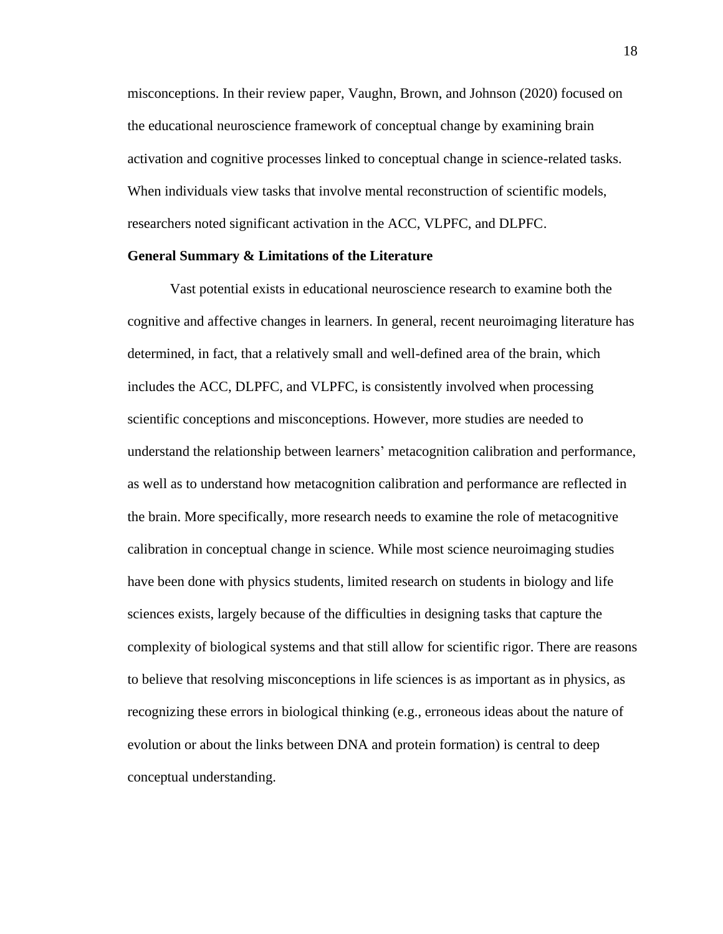misconceptions. In their review paper, Vaughn, Brown, and Johnson (2020) focused on the educational neuroscience framework of conceptual change by examining brain activation and cognitive processes linked to conceptual change in science-related tasks. When individuals view tasks that involve mental reconstruction of scientific models, researchers noted significant activation in the ACC, VLPFC, and DLPFC.

#### **General Summary & Limitations of the Literature**

Vast potential exists in educational neuroscience research to examine both the cognitive and affective changes in learners. In general, recent neuroimaging literature has determined, in fact, that a relatively small and well-defined area of the brain, which includes the ACC, DLPFC, and VLPFC, is consistently involved when processing scientific conceptions and misconceptions. However, more studies are needed to understand the relationship between learners' metacognition calibration and performance, as well as to understand how metacognition calibration and performance are reflected in the brain. More specifically, more research needs to examine the role of metacognitive calibration in conceptual change in science. While most science neuroimaging studies have been done with physics students, limited research on students in biology and life sciences exists, largely because of the difficulties in designing tasks that capture the complexity of biological systems and that still allow for scientific rigor. There are reasons to believe that resolving misconceptions in life sciences is as important as in physics, as recognizing these errors in biological thinking (e.g., erroneous ideas about the nature of evolution or about the links between DNA and protein formation) is central to deep conceptual understanding.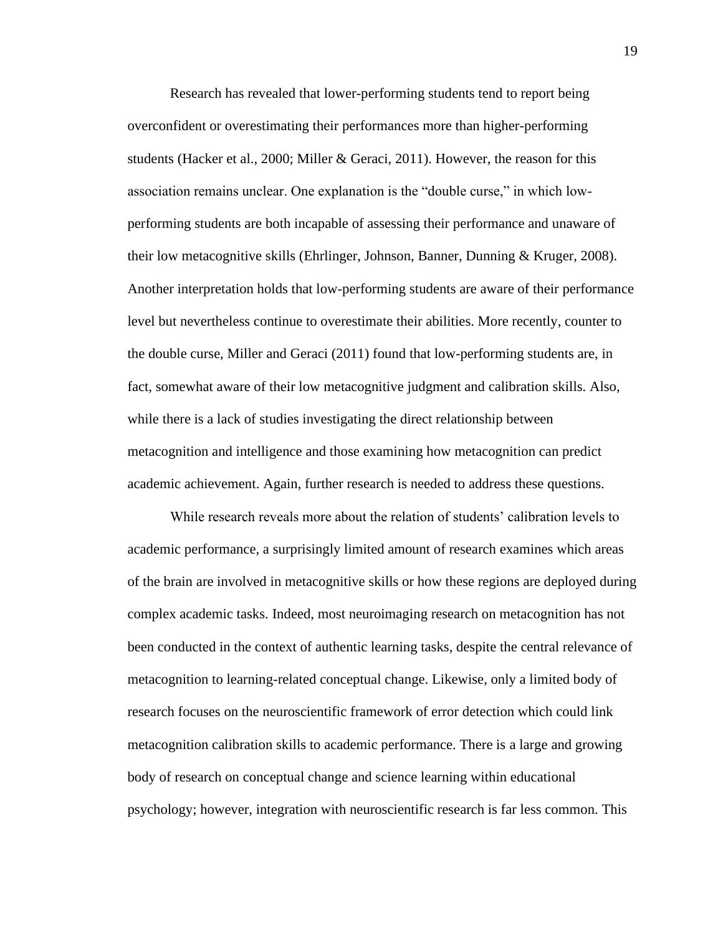Research has revealed that lower-performing students tend to report being overconfident or overestimating their performances more than higher-performing students (Hacker et al., 2000; Miller & Geraci, 2011). However, the reason for this association remains unclear. One explanation is the "double curse," in which lowperforming students are both incapable of assessing their performance and unaware of their low metacognitive skills (Ehrlinger, Johnson, Banner, Dunning & Kruger, 2008). Another interpretation holds that low-performing students are aware of their performance level but nevertheless continue to overestimate their abilities. More recently, counter to the double curse, Miller and Geraci (2011) found that low-performing students are, in fact, somewhat aware of their low metacognitive judgment and calibration skills. Also, while there is a lack of studies investigating the direct relationship between metacognition and intelligence and those examining how metacognition can predict academic achievement. Again, further research is needed to address these questions.

While research reveals more about the relation of students' calibration levels to academic performance, a surprisingly limited amount of research examines which areas of the brain are involved in metacognitive skills or how these regions are deployed during complex academic tasks. Indeed, most neuroimaging research on metacognition has not been conducted in the context of authentic learning tasks, despite the central relevance of metacognition to learning-related conceptual change. Likewise, only a limited body of research focuses on the neuroscientific framework of error detection which could link metacognition calibration skills to academic performance. There is a large and growing body of research on conceptual change and science learning within educational psychology; however, integration with neuroscientific research is far less common. This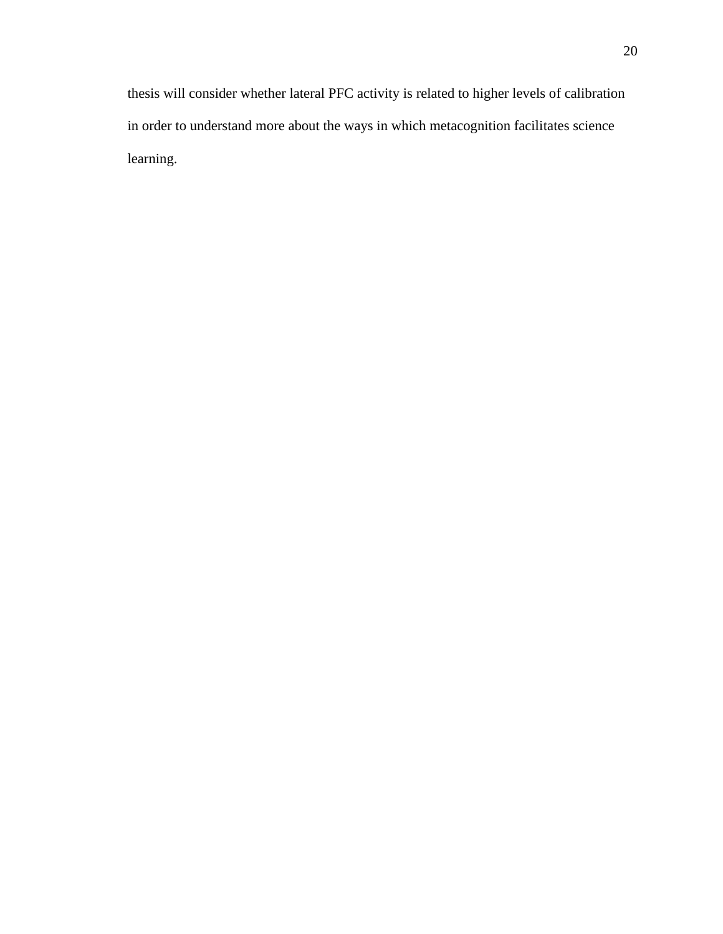thesis will consider whether lateral PFC activity is related to higher levels of calibration in order to understand more about the ways in which metacognition facilitates science learning.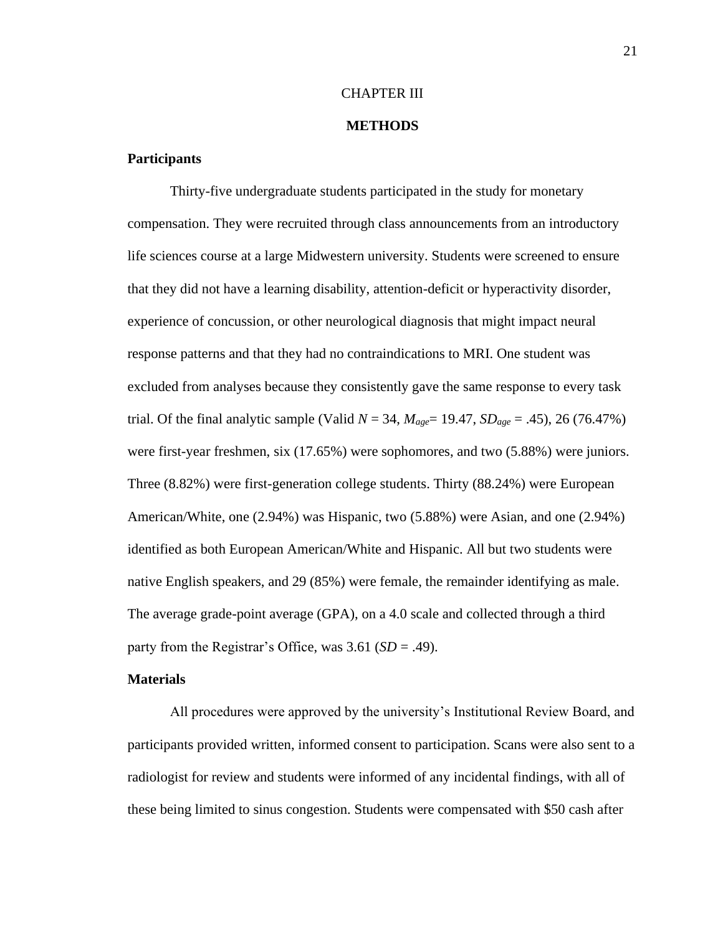#### CHAPTER III

#### **METHODS**

#### **Participants**

Thirty-five undergraduate students participated in the study for monetary compensation. They were recruited through class announcements from an introductory life sciences course at a large Midwestern university. Students were screened to ensure that they did not have a learning disability, attention-deficit or hyperactivity disorder, experience of concussion, or other neurological diagnosis that might impact neural response patterns and that they had no contraindications to MRI. One student was excluded from analyses because they consistently gave the same response to every task trial. Of the final analytic sample (Valid  $N = 34$ ,  $M_{age} = 19.47$ ,  $SD_{age} = .45$ ), 26 (76.47%) were first-year freshmen, six (17.65%) were sophomores, and two (5.88%) were juniors. Three (8.82%) were first-generation college students. Thirty (88.24%) were European American/White, one (2.94%) was Hispanic, two (5.88%) were Asian, and one (2.94%) identified as both European American/White and Hispanic. All but two students were native English speakers, and 29 (85%) were female, the remainder identifying as male. The average grade-point average (GPA), on a 4.0 scale and collected through a third party from the Registrar's Office, was 3.61 (*SD* = .49).

#### **Materials**

All procedures were approved by the university's Institutional Review Board, and participants provided written, informed consent to participation. Scans were also sent to a radiologist for review and students were informed of any incidental findings, with all of these being limited to sinus congestion. Students were compensated with \$50 cash after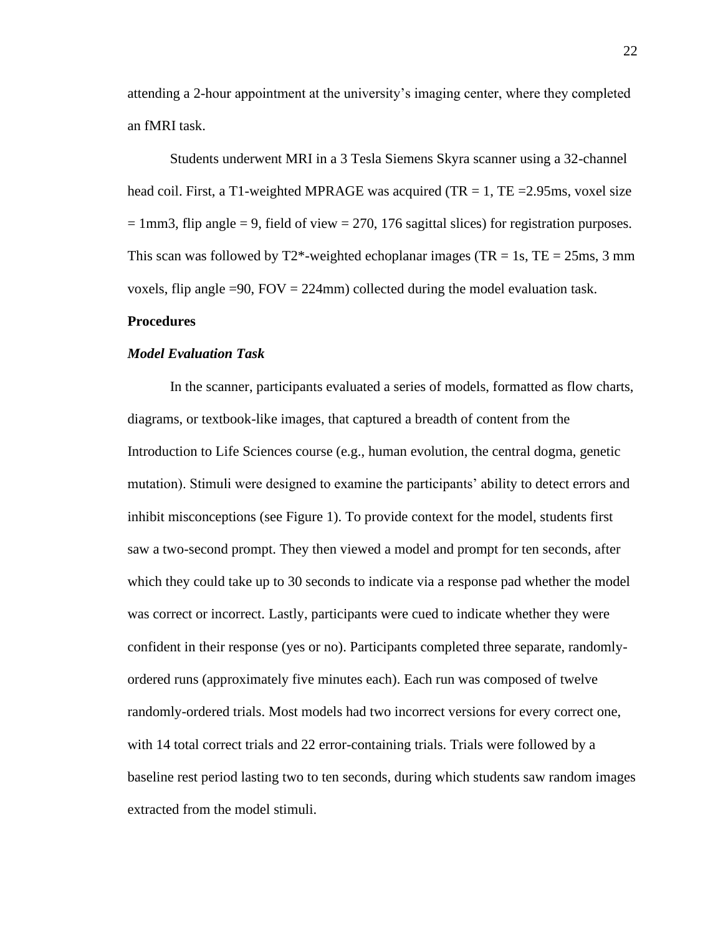attending a 2-hour appointment at the university's imaging center, where they completed an fMRI task.

Students underwent MRI in a 3 Tesla Siemens Skyra scanner using a 32-channel head coil. First, a T1-weighted MPRAGE was acquired (TR  $= 1$ , TE  $= 2.95$ ms, voxel size  $= 1 \text{mm}$ 3, flip angle  $= 9$ , field of view  $= 270$ , 176 sagittal slices) for registration purposes. This scan was followed by  $T2^*$ -weighted echoplanar images (TR = 1s, TE = 25ms, 3 mm voxels, flip angle =90,  $FOV = 224$ mm) collected during the model evaluation task.

#### **Procedures**

#### *Model Evaluation Task*

In the scanner, participants evaluated a series of models, formatted as flow charts, diagrams, or textbook-like images, that captured a breadth of content from the Introduction to Life Sciences course (e.g., human evolution, the central dogma, genetic mutation). Stimuli were designed to examine the participants' ability to detect errors and inhibit misconceptions (see Figure 1). To provide context for the model, students first saw a two-second prompt. They then viewed a model and prompt for ten seconds, after which they could take up to 30 seconds to indicate via a response pad whether the model was correct or incorrect. Lastly, participants were cued to indicate whether they were confident in their response (yes or no). Participants completed three separate, randomlyordered runs (approximately five minutes each). Each run was composed of twelve randomly-ordered trials. Most models had two incorrect versions for every correct one, with 14 total correct trials and 22 error-containing trials. Trials were followed by a baseline rest period lasting two to ten seconds, during which students saw random images extracted from the model stimuli.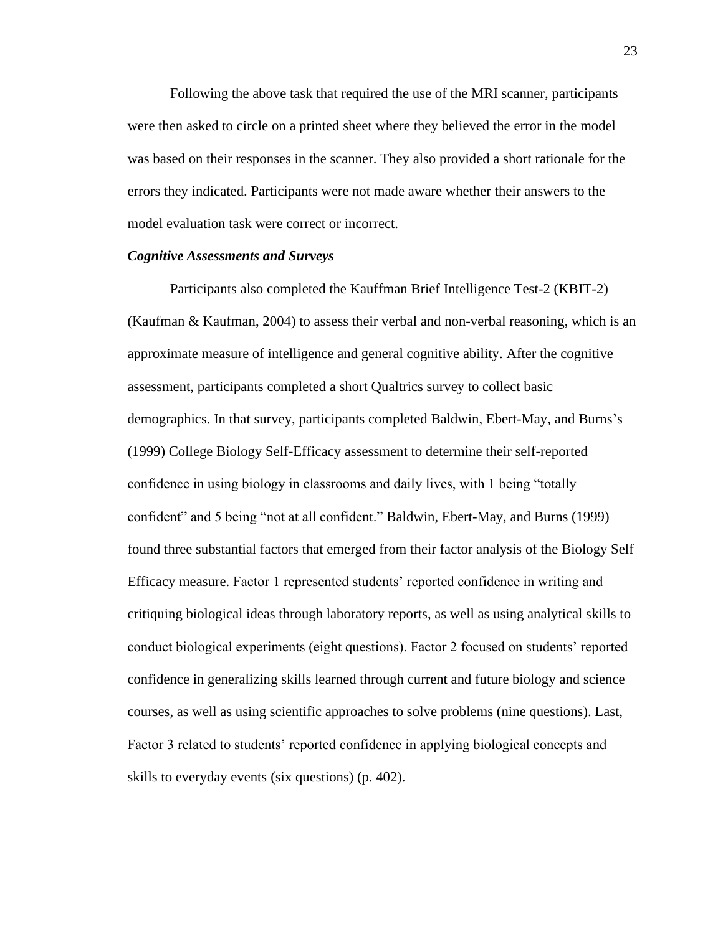Following the above task that required the use of the MRI scanner, participants were then asked to circle on a printed sheet where they believed the error in the model was based on their responses in the scanner. They also provided a short rationale for the errors they indicated. Participants were not made aware whether their answers to the model evaluation task were correct or incorrect.

#### *Cognitive Assessments and Surveys*

Participants also completed the Kauffman Brief Intelligence Test-2 (KBIT-2) (Kaufman & Kaufman, 2004) to assess their verbal and non-verbal reasoning, which is an approximate measure of intelligence and general cognitive ability. After the cognitive assessment, participants completed a short Qualtrics survey to collect basic demographics. In that survey, participants completed Baldwin, Ebert-May, and Burns's (1999) College Biology Self-Efficacy assessment to determine their self-reported confidence in using biology in classrooms and daily lives, with 1 being "totally confident" and 5 being "not at all confident." Baldwin, Ebert-May, and Burns (1999) found three substantial factors that emerged from their factor analysis of the Biology Self Efficacy measure. Factor 1 represented students' reported confidence in writing and critiquing biological ideas through laboratory reports, as well as using analytical skills to conduct biological experiments (eight questions). Factor 2 focused on students' reported confidence in generalizing skills learned through current and future biology and science courses, as well as using scientific approaches to solve problems (nine questions). Last, Factor 3 related to students' reported confidence in applying biological concepts and skills to everyday events (six questions) (p. 402).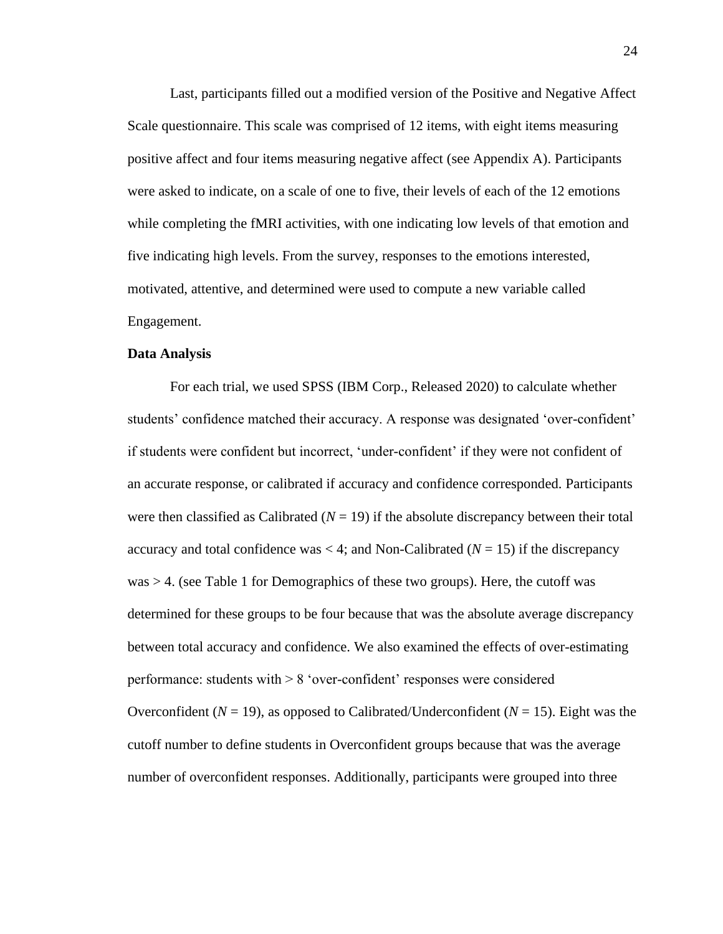Last, participants filled out a modified version of the Positive and Negative Affect Scale questionnaire. This scale was comprised of 12 items, with eight items measuring positive affect and four items measuring negative affect (see Appendix A). Participants were asked to indicate, on a scale of one to five, their levels of each of the 12 emotions while completing the fMRI activities, with one indicating low levels of that emotion and five indicating high levels. From the survey, responses to the emotions interested, motivated, attentive, and determined were used to compute a new variable called Engagement.

#### **Data Analysis**

For each trial, we used SPSS (IBM Corp., Released 2020) to calculate whether students' confidence matched their accuracy. A response was designated 'over-confident' if students were confident but incorrect, 'under-confident' if they were not confident of an accurate response, or calibrated if accuracy and confidence corresponded. Participants were then classified as Calibrated  $(N = 19)$  if the absolute discrepancy between their total accuracy and total confidence was  $\lt 4$ ; and Non-Calibrated ( $N = 15$ ) if the discrepancy  $was > 4$ . (see Table 1 for Demographics of these two groups). Here, the cutoff was determined for these groups to be four because that was the absolute average discrepancy between total accuracy and confidence. We also examined the effects of over-estimating performance: students with > 8 'over-confident' responses were considered Overconfident ( $N = 19$ ), as opposed to Calibrated/Underconfident ( $N = 15$ ). Eight was the cutoff number to define students in Overconfident groups because that was the average number of overconfident responses. Additionally, participants were grouped into three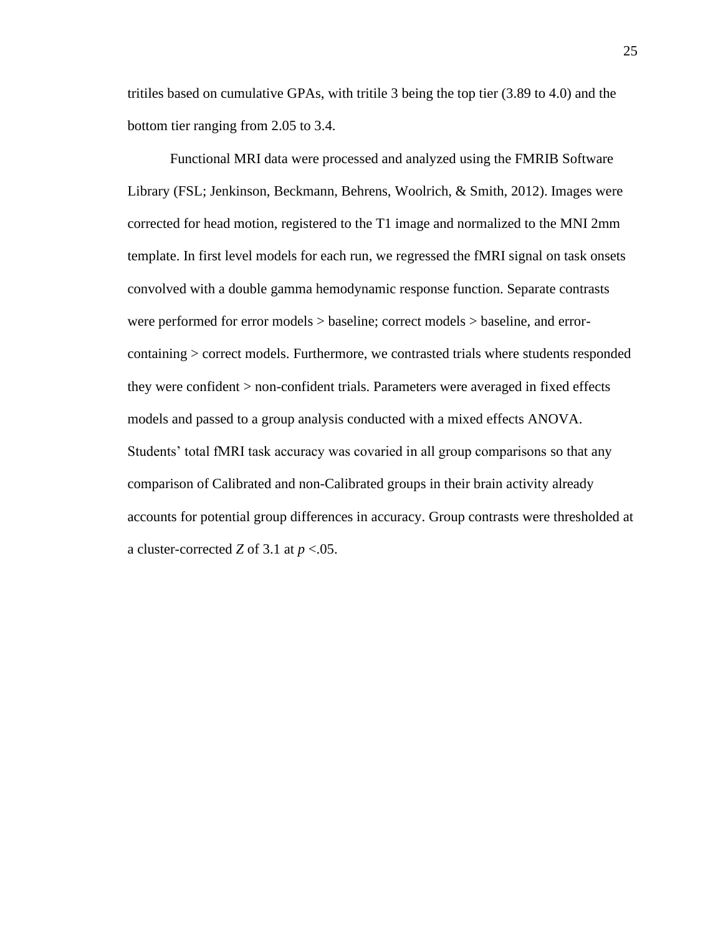tritiles based on cumulative GPAs, with tritile 3 being the top tier (3.89 to 4.0) and the bottom tier ranging from 2.05 to 3.4.

Functional MRI data were processed and analyzed using the FMRIB Software Library (FSL; Jenkinson, Beckmann, Behrens, Woolrich, & Smith, 2012). Images were corrected for head motion, registered to the T1 image and normalized to the MNI 2mm template. In first level models for each run, we regressed the fMRI signal on task onsets convolved with a double gamma hemodynamic response function. Separate contrasts were performed for error models > baseline; correct models > baseline, and errorcontaining > correct models. Furthermore, we contrasted trials where students responded they were confident > non-confident trials. Parameters were averaged in fixed effects models and passed to a group analysis conducted with a mixed effects ANOVA. Students' total fMRI task accuracy was covaried in all group comparisons so that any comparison of Calibrated and non-Calibrated groups in their brain activity already accounts for potential group differences in accuracy. Group contrasts were thresholded at a cluster-corrected *Z* of 3.1 at *p* <.05.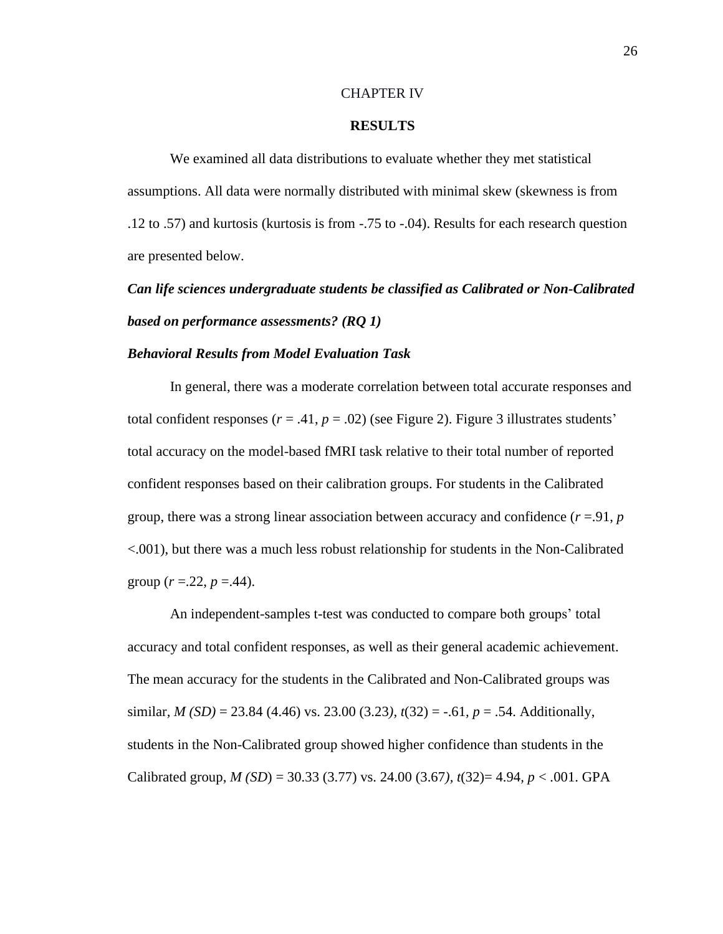#### CHAPTER IV

#### **RESULTS**

We examined all data distributions to evaluate whether they met statistical assumptions. All data were normally distributed with minimal skew (skewness is from .12 to .57) and kurtosis (kurtosis is from -.75 to -.04). Results for each research question are presented below.

*Can life sciences undergraduate students be classified as Calibrated or Non-Calibrated based on performance assessments? (RQ 1)*

#### *Behavioral Results from Model Evaluation Task*

In general, there was a moderate correlation between total accurate responses and total confident responses  $(r = .41, p = .02)$  (see Figure 2). Figure 3 illustrates students' total accuracy on the model-based fMRI task relative to their total number of reported confident responses based on their calibration groups. For students in the Calibrated group, there was a strong linear association between accuracy and confidence  $(r = .91, p)$ <.001), but there was a much less robust relationship for students in the Non-Calibrated group  $(r = 0.22, p = 0.44)$ .

An independent-samples t-test was conducted to compare both groups' total accuracy and total confident responses, as well as their general academic achievement. The mean accuracy for the students in the Calibrated and Non-Calibrated groups was similar*, M (SD)* = 23.84 (4.46) vs. 23.00 (3.23*), t*(32) = -.61*, p* = .54. Additionally, students in the Non-Calibrated group showed higher confidence than students in the Calibrated group, *M (SD*) = 30.33 (3.77) vs. 24.00 (3.67*), t*(32)= 4.94*, p* < .001. GPA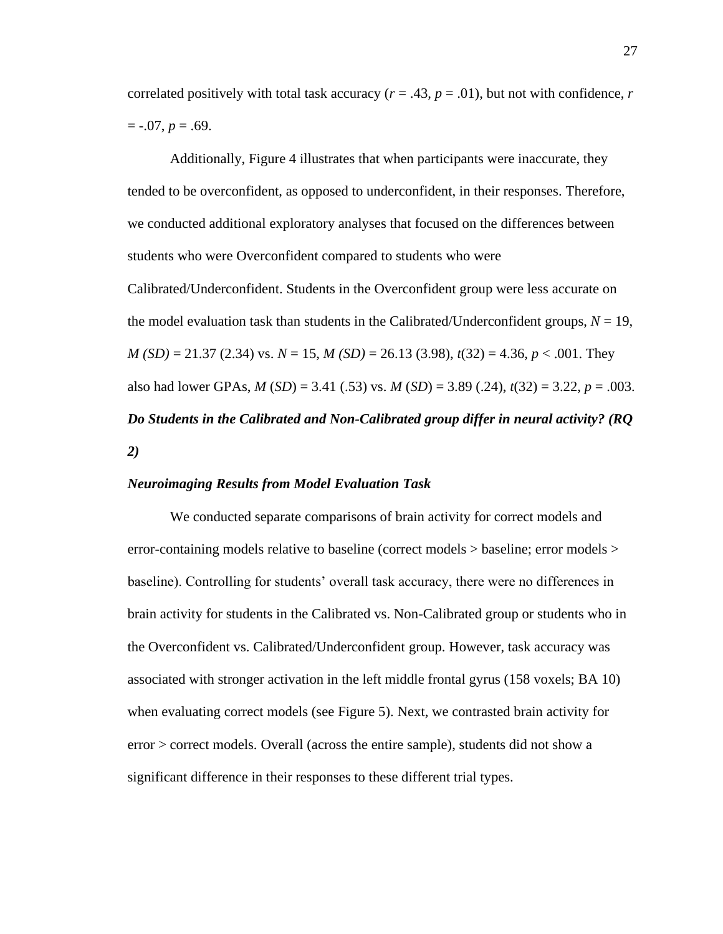correlated positively with total task accuracy  $(r = .43, p = .01)$ , but not with confidence, *r*  $=$  -.07,  $p = .69$ .

Additionally, Figure 4 illustrates that when participants were inaccurate, they tended to be overconfident, as opposed to underconfident, in their responses. Therefore, we conducted additional exploratory analyses that focused on the differences between students who were Overconfident compared to students who were Calibrated/Underconfident. Students in the Overconfident group were less accurate on the model evaluation task than students in the Calibrated/Underconfident groups,  $N = 19$ , *M (SD)* = 21.37 (2.34) vs. *N* = 15, *M (SD)* = 26.13 (3.98), *t*(32) = 4.36, *p* < .001. They also had lower GPAs, *M* (*SD*) = 3.41 (.53) vs. *M* (*SD*) = 3.89 (.24), *t*(32) = 3.22, *p* = .003. *Do Students in the Calibrated and Non-Calibrated group differ in neural activity? (RQ 2)*

#### *Neuroimaging Results from Model Evaluation Task*

We conducted separate comparisons of brain activity for correct models and error-containing models relative to baseline (correct models > baseline; error models > baseline). Controlling for students' overall task accuracy, there were no differences in brain activity for students in the Calibrated vs. Non-Calibrated group or students who in the Overconfident vs. Calibrated/Underconfident group. However, task accuracy was associated with stronger activation in the left middle frontal gyrus (158 voxels; BA 10) when evaluating correct models (see Figure 5). Next, we contrasted brain activity for error > correct models. Overall (across the entire sample), students did not show a significant difference in their responses to these different trial types.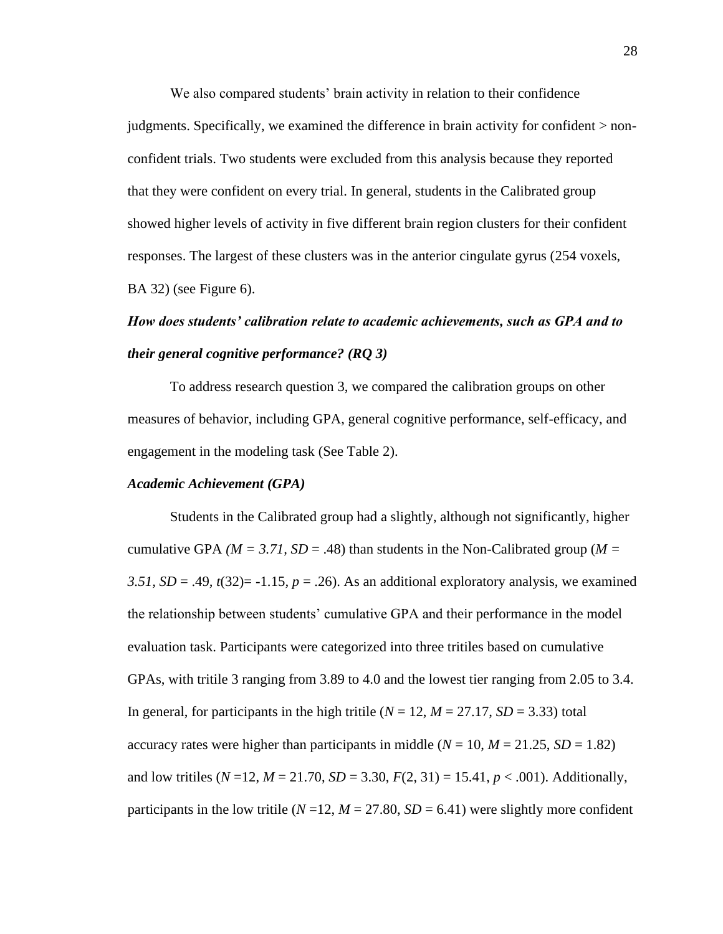We also compared students' brain activity in relation to their confidence judgments. Specifically, we examined the difference in brain activity for confident > nonconfident trials. Two students were excluded from this analysis because they reported that they were confident on every trial. In general, students in the Calibrated group showed higher levels of activity in five different brain region clusters for their confident responses. The largest of these clusters was in the anterior cingulate gyrus (254 voxels, BA 32) (see Figure 6).

# *How does students' calibration relate to academic achievements, such as GPA and to their general cognitive performance? (RQ 3)*

To address research question 3, we compared the calibration groups on other measures of behavior, including GPA, general cognitive performance, self-efficacy, and engagement in the modeling task (See Table 2).

### *Academic Achievement (GPA)*

Students in the Calibrated group had a slightly, although not significantly, higher cumulative GPA *(* $M = 3.71$ *, SD = .*48) than students in the Non-Calibrated group *(* $M =$ *3.51, SD* = .49*, t*(32)= -1.15*, p* = .26). As an additional exploratory analysis, we examined the relationship between students' cumulative GPA and their performance in the model evaluation task. Participants were categorized into three tritiles based on cumulative GPAs, with tritile 3 ranging from 3.89 to 4.0 and the lowest tier ranging from 2.05 to 3.4. In general, for participants in the high tritile  $(N = 12, M = 27.17, SD = 3.33)$  total accuracy rates were higher than participants in middle  $(N = 10, M = 21.25, SD = 1.82)$ and low tritiles ( $N = 12$ ,  $M = 21.70$ ,  $SD = 3.30$ ,  $F(2, 31) = 15.41$ ,  $p < .001$ ). Additionally, participants in the low tritile ( $N = 12$ ,  $M = 27.80$ ,  $SD = 6.41$ ) were slightly more confident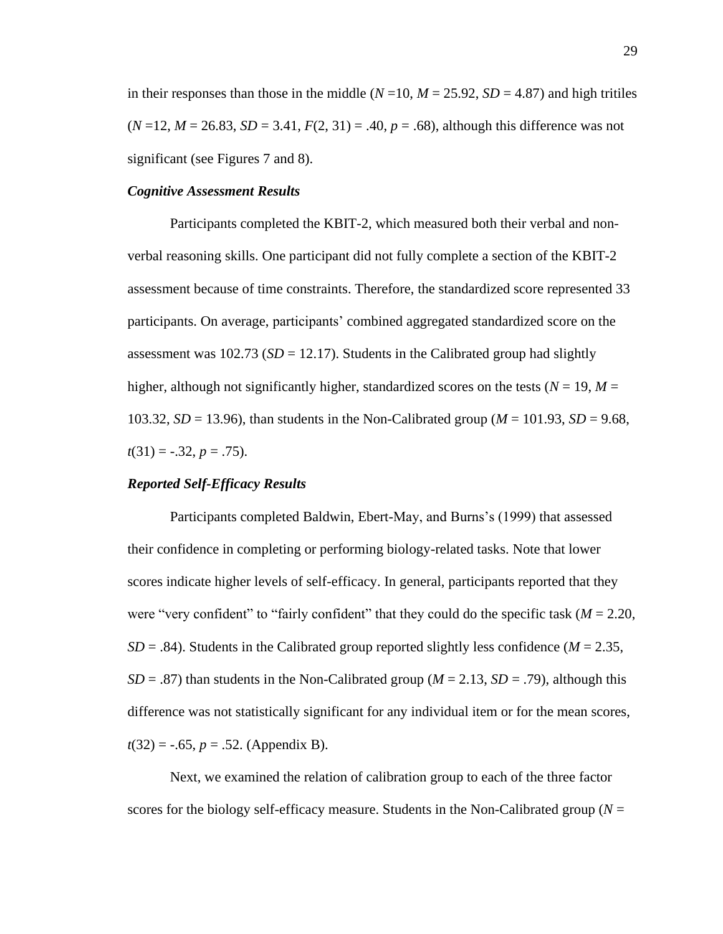in their responses than those in the middle  $(N=10, M=25.92, SD=4.87)$  and high tritiles  $(N=12, M=26.83, SD = 3.41, F(2, 31) = .40, p = .68$ ), although this difference was not significant (see Figures 7 and 8).

### *Cognitive Assessment Results*

Participants completed the KBIT-2, which measured both their verbal and nonverbal reasoning skills. One participant did not fully complete a section of the KBIT-2 assessment because of time constraints. Therefore, the standardized score represented 33 participants. On average, participants' combined aggregated standardized score on the assessment was  $102.73$  ( $SD = 12.17$ ). Students in the Calibrated group had slightly higher, although not significantly higher, standardized scores on the tests ( $N = 19$ ,  $M =$ 103.32, *SD* = 13.96), than students in the Non-Calibrated group (*M* = 101.93, *SD* = 9.68,  $t(31) = -.32, p = .75$ .

### *Reported Self-Efficacy Results*

Participants completed Baldwin, Ebert-May, and Burns's (1999) that assessed their confidence in completing or performing biology-related tasks. Note that lower scores indicate higher levels of self-efficacy. In general, participants reported that they were "very confident" to "fairly confident" that they could do the specific task  $(M = 2.20$ ,  $SD = .84$ ). Students in the Calibrated group reported slightly less confidence ( $M = 2.35$ ,  $SD = .87$ ) than students in the Non-Calibrated group ( $M = 2.13$ ,  $SD = .79$ ), although this difference was not statistically significant for any individual item or for the mean scores,  $t(32) = -.65, p = .52.$  (Appendix B).

Next, we examined the relation of calibration group to each of the three factor scores for the biology self-efficacy measure. Students in the Non-Calibrated group ( $N =$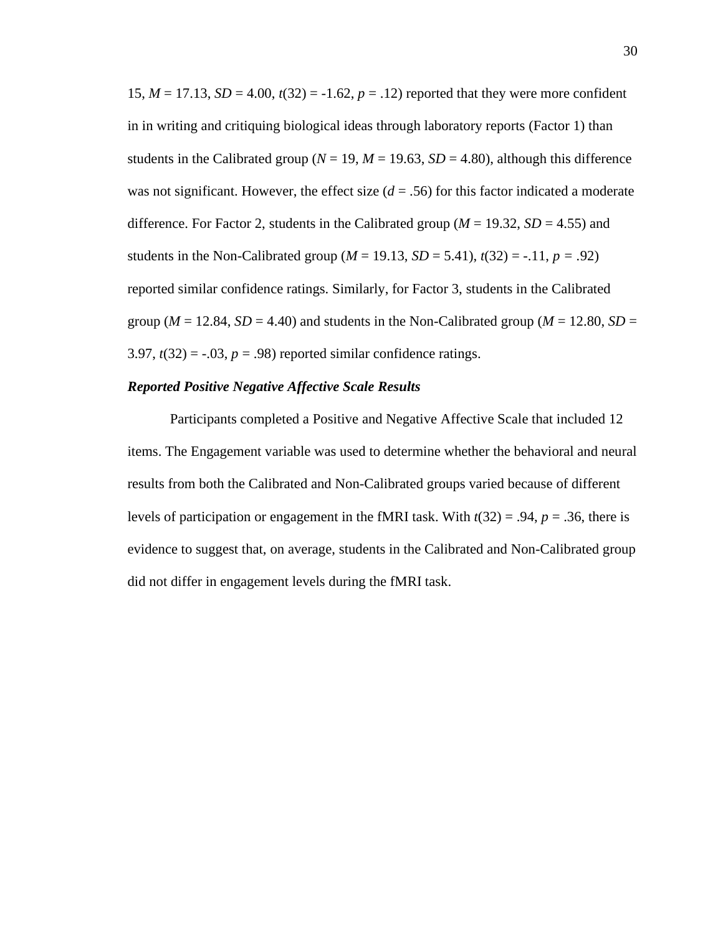15,  $M = 17.13$ ,  $SD = 4.00$ ,  $t(32) = -1.62$ ,  $p = .12$ ) reported that they were more confident in in writing and critiquing biological ideas through laboratory reports (Factor 1) than students in the Calibrated group ( $N = 19$ ,  $M = 19.63$ ,  $SD = 4.80$ ), although this difference was not significant. However, the effect size  $(d = .56)$  for this factor indicated a moderate difference. For Factor 2, students in the Calibrated group ( $M = 19.32$ ,  $SD = 4.55$ ) and students in the Non-Calibrated group ( $M = 19.13$ ,  $SD = 5.41$ ),  $t(32) = -0.11$ ,  $p = 0.92$ ) reported similar confidence ratings. Similarly, for Factor 3, students in the Calibrated group ( $M = 12.84$ ,  $SD = 4.40$ ) and students in the Non-Calibrated group ( $M = 12.80$ ,  $SD =$ 3.97,  $t(32) = -.03$ ,  $p = .98$ ) reported similar confidence ratings.

#### *Reported Positive Negative Affective Scale Results*

Participants completed a Positive and Negative Affective Scale that included 12 items. The Engagement variable was used to determine whether the behavioral and neural results from both the Calibrated and Non-Calibrated groups varied because of different levels of participation or engagement in the fMRI task. With  $t(32) = .94$ ,  $p = .36$ , there is evidence to suggest that, on average, students in the Calibrated and Non-Calibrated group did not differ in engagement levels during the fMRI task.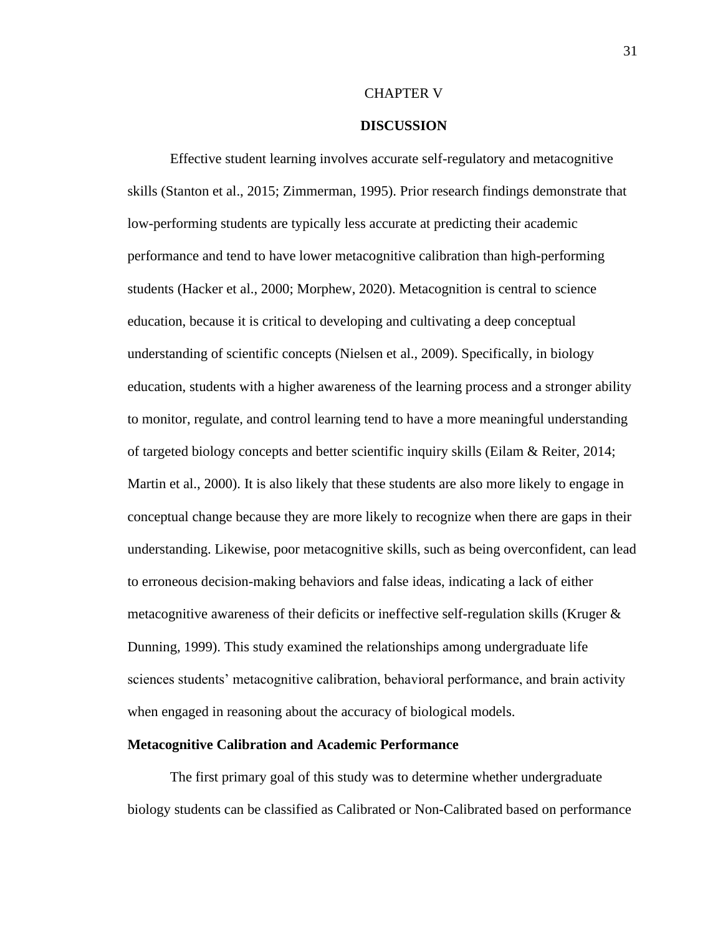#### CHAPTER V

### **DISCUSSION**

Effective student learning involves accurate self-regulatory and metacognitive skills (Stanton et al., 2015; Zimmerman, 1995). Prior research findings demonstrate that low-performing students are typically less accurate at predicting their academic performance and tend to have lower metacognitive calibration than high-performing students (Hacker et al., 2000; Morphew, 2020). Metacognition is central to science education, because it is critical to developing and cultivating a deep conceptual understanding of scientific concepts (Nielsen et al., 2009). Specifically, in biology education, students with a higher awareness of the learning process and a stronger ability to monitor, regulate, and control learning tend to have a more meaningful understanding of targeted biology concepts and better scientific inquiry skills (Eilam & Reiter, 2014; Martin et al., 2000). It is also likely that these students are also more likely to engage in conceptual change because they are more likely to recognize when there are gaps in their understanding. Likewise, poor metacognitive skills, such as being overconfident, can lead to erroneous decision-making behaviors and false ideas, indicating a lack of either metacognitive awareness of their deficits or ineffective self-regulation skills (Kruger  $\&$ Dunning, 1999). This study examined the relationships among undergraduate life sciences students' metacognitive calibration, behavioral performance, and brain activity when engaged in reasoning about the accuracy of biological models.

#### **Metacognitive Calibration and Academic Performance**

The first primary goal of this study was to determine whether undergraduate biology students can be classified as Calibrated or Non-Calibrated based on performance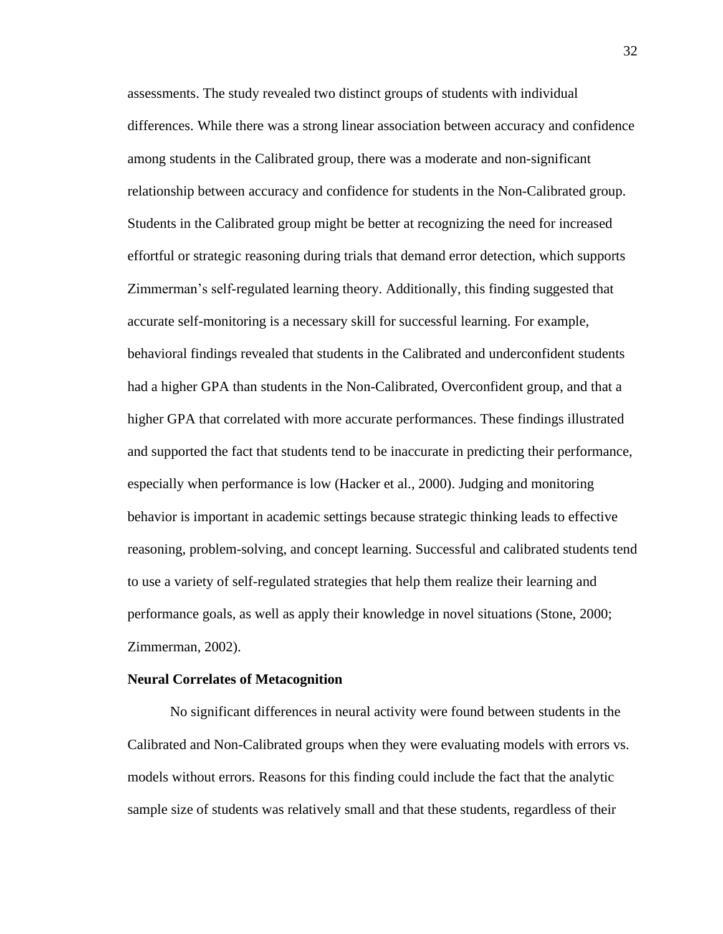assessments. The study revealed two distinct groups of students with individual differences. While there was a strong linear association between accuracy and confidence among students in the Calibrated group, there was a moderate and non-significant relationship between accuracy and confidence for students in the Non-Calibrated group. Students in the Calibrated group might be better at recognizing the need for increased effortful or strategic reasoning during trials that demand error detection, which supports Zimmerman's self-regulated learning theory. Additionally, this finding suggested that accurate self-monitoring is a necessary skill for successful learning. For example, behavioral findings revealed that students in the Calibrated and underconfident students had a higher GPA than students in the Non-Calibrated, Overconfident group, and that a higher GPA that correlated with more accurate performances. These findings illustrated and supported the fact that students tend to be inaccurate in predicting their performance, especially when performance is low (Hacker et al., 2000). Judging and monitoring behavior is important in academic settings because strategic thinking leads to effective reasoning, problem-solving, and concept learning. Successful and calibrated students tend to use a variety of self-regulated strategies that help them realize their learning and performance goals, as well as apply their knowledge in novel situations (Stone, 2000; Zimmerman, 2002).

#### **Neural Correlates of Metacognition**

No significant differences in neural activity were found between students in the Calibrated and Non-Calibrated groups when they were evaluating models with errors vs. models without errors. Reasons for this finding could include the fact that the analytic sample size of students was relatively small and that these students, regardless of their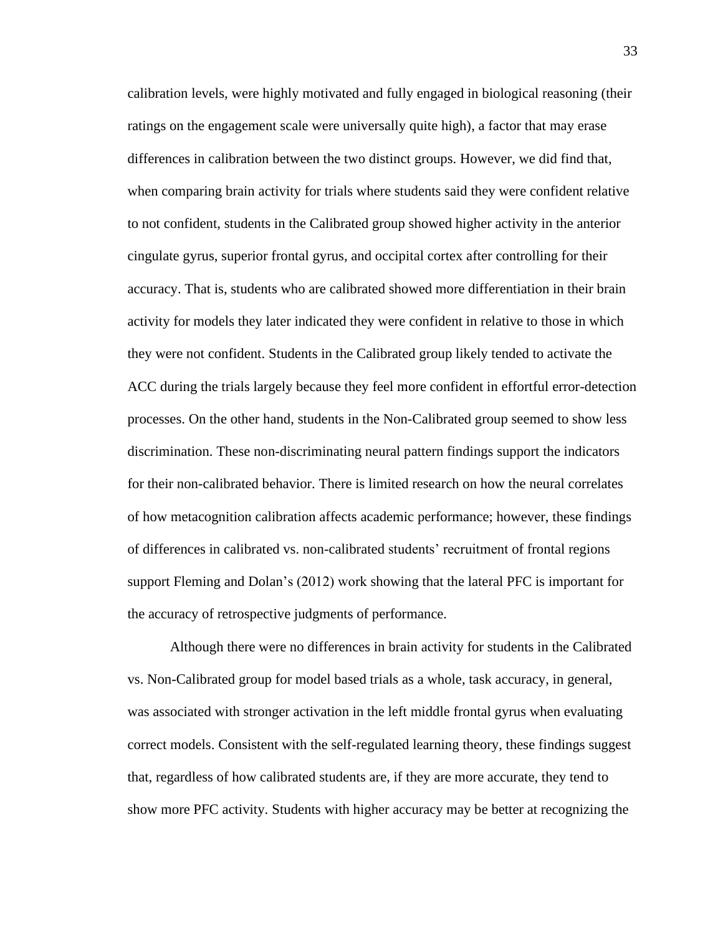calibration levels, were highly motivated and fully engaged in biological reasoning (their ratings on the engagement scale were universally quite high), a factor that may erase differences in calibration between the two distinct groups. However, we did find that, when comparing brain activity for trials where students said they were confident relative to not confident, students in the Calibrated group showed higher activity in the anterior cingulate gyrus, superior frontal gyrus, and occipital cortex after controlling for their accuracy. That is, students who are calibrated showed more differentiation in their brain activity for models they later indicated they were confident in relative to those in which they were not confident. Students in the Calibrated group likely tended to activate the ACC during the trials largely because they feel more confident in effortful error-detection processes. On the other hand, students in the Non-Calibrated group seemed to show less discrimination. These non-discriminating neural pattern findings support the indicators for their non-calibrated behavior. There is limited research on how the neural correlates of how metacognition calibration affects academic performance; however, these findings of differences in calibrated vs. non-calibrated students' recruitment of frontal regions support Fleming and Dolan's (2012) work showing that the lateral PFC is important for the accuracy of retrospective judgments of performance.

Although there were no differences in brain activity for students in the Calibrated vs. Non-Calibrated group for model based trials as a whole, task accuracy, in general, was associated with stronger activation in the left middle frontal gyrus when evaluating correct models. Consistent with the self-regulated learning theory, these findings suggest that, regardless of how calibrated students are, if they are more accurate, they tend to show more PFC activity. Students with higher accuracy may be better at recognizing the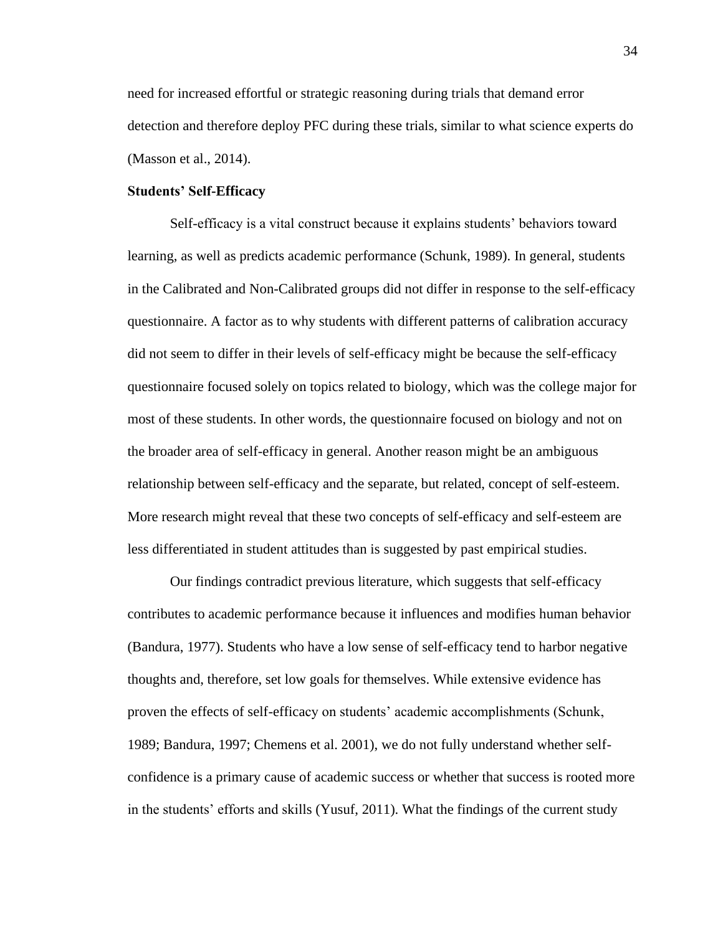need for increased effortful or strategic reasoning during trials that demand error detection and therefore deploy PFC during these trials, similar to what science experts do (Masson et al., 2014).

#### **Students' Self-Efficacy**

Self-efficacy is a vital construct because it explains students' behaviors toward learning, as well as predicts academic performance (Schunk, 1989). In general, students in the Calibrated and Non-Calibrated groups did not differ in response to the self-efficacy questionnaire. A factor as to why students with different patterns of calibration accuracy did not seem to differ in their levels of self-efficacy might be because the self-efficacy questionnaire focused solely on topics related to biology, which was the college major for most of these students. In other words, the questionnaire focused on biology and not on the broader area of self-efficacy in general. Another reason might be an ambiguous relationship between self-efficacy and the separate, but related, concept of self-esteem. More research might reveal that these two concepts of self-efficacy and self-esteem are less differentiated in student attitudes than is suggested by past empirical studies.

Our findings contradict previous literature, which suggests that self-efficacy contributes to academic performance because it influences and modifies human behavior (Bandura, 1977). Students who have a low sense of self-efficacy tend to harbor negative thoughts and, therefore, set low goals for themselves. While extensive evidence has proven the effects of self-efficacy on students' academic accomplishments (Schunk, 1989; Bandura, 1997; Chemens et al. 2001), we do not fully understand whether selfconfidence is a primary cause of academic success or whether that success is rooted more in the students' efforts and skills (Yusuf, 2011). What the findings of the current study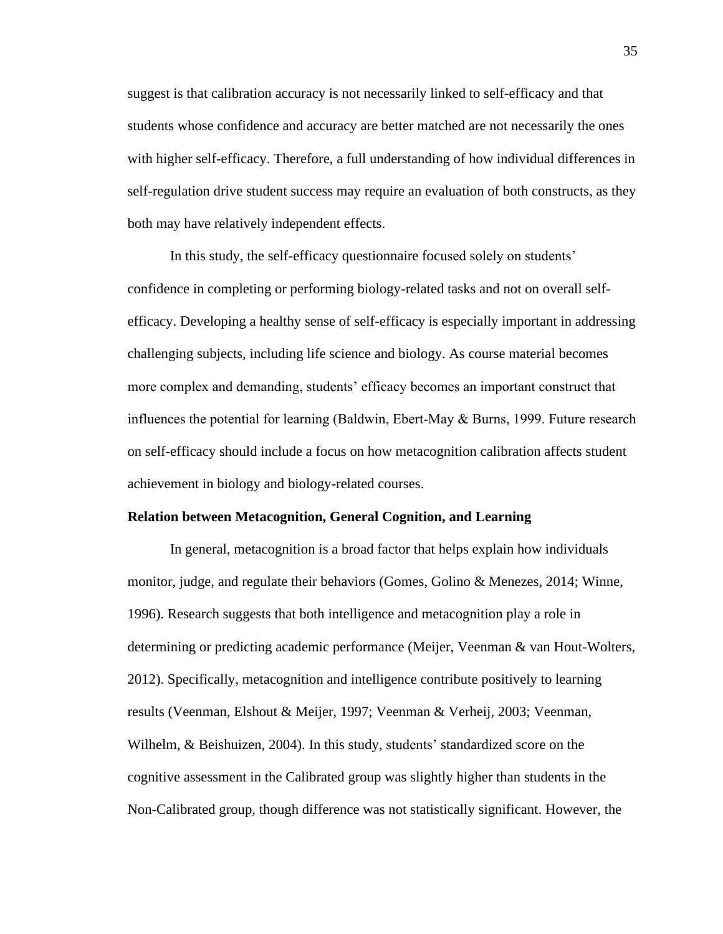suggest is that calibration accuracy is not necessarily linked to self-efficacy and that students whose confidence and accuracy are better matched are not necessarily the ones with higher self-efficacy. Therefore, a full understanding of how individual differences in self-regulation drive student success may require an evaluation of both constructs, as they both may have relatively independent effects.

In this study, the self-efficacy questionnaire focused solely on students' confidence in completing or performing biology-related tasks and not on overall selfefficacy. Developing a healthy sense of self-efficacy is especially important in addressing challenging subjects, including life science and biology. As course material becomes more complex and demanding, students' efficacy becomes an important construct that influences the potential for learning (Baldwin, Ebert-May & Burns, 1999. Future research on self-efficacy should include a focus on how metacognition calibration affects student achievement in biology and biology-related courses.

#### **Relation between Metacognition, General Cognition, and Learning**

In general, metacognition is a broad factor that helps explain how individuals monitor, judge, and regulate their behaviors (Gomes, Golino & Menezes, 2014; Winne, 1996). Research suggests that both intelligence and metacognition play a role in determining or predicting academic performance (Meijer, Veenman & van Hout-Wolters, 2012). Specifically, metacognition and intelligence contribute positively to learning results (Veenman, Elshout & Meijer, 1997; Veenman & Verheij, 2003; Veenman, Wilhelm, & Beishuizen, 2004). In this study, students' standardized score on the cognitive assessment in the Calibrated group was slightly higher than students in the Non-Calibrated group, though difference was not statistically significant. However, the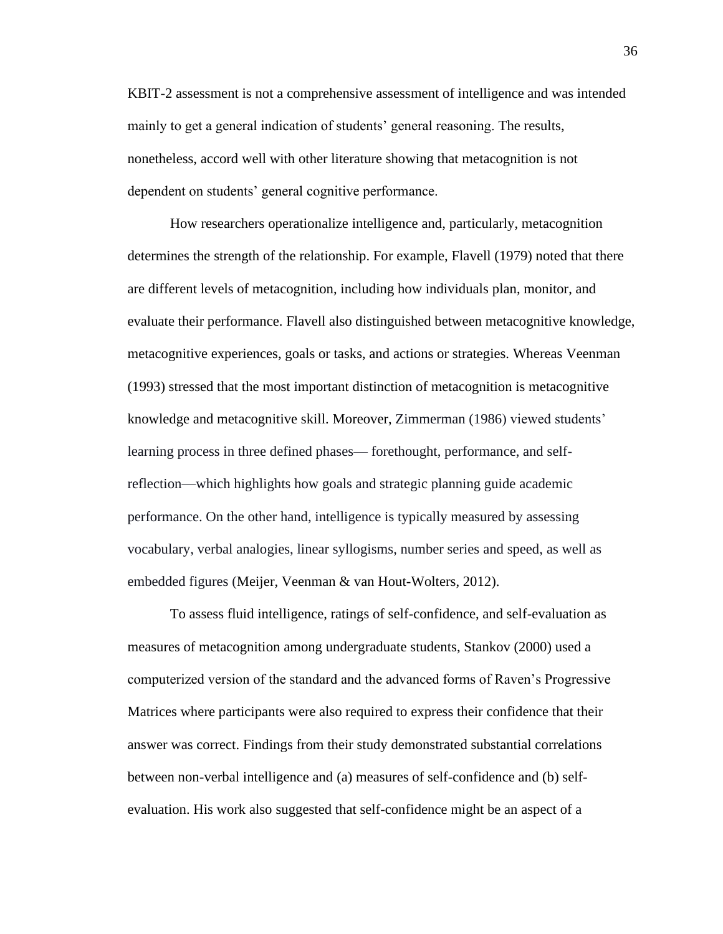KBIT-2 assessment is not a comprehensive assessment of intelligence and was intended mainly to get a general indication of students' general reasoning. The results, nonetheless, accord well with other literature showing that metacognition is not dependent on students' general cognitive performance.

How researchers operationalize intelligence and, particularly, metacognition determines the strength of the relationship. For example, Flavell (1979) noted that there are different levels of metacognition, including how individuals plan, monitor, and evaluate their performance. Flavell also distinguished between metacognitive knowledge, metacognitive experiences, goals or tasks, and actions or strategies. Whereas Veenman (1993) stressed that the most important distinction of metacognition is metacognitive knowledge and metacognitive skill. Moreover, Zimmerman (1986) viewed students' learning process in three defined phases— forethought, performance, and selfreflection—which highlights how goals and strategic planning guide academic performance. On the other hand, intelligence is typically measured by assessing vocabulary, verbal analogies, linear syllogisms, number series and speed, as well as embedded figures (Meijer, Veenman & van Hout-Wolters, 2012).

To assess fluid intelligence, ratings of self-confidence, and self-evaluation as measures of metacognition among undergraduate students, Stankov (2000) used a computerized version of the standard and the advanced forms of Raven's Progressive Matrices where participants were also required to express their confidence that their answer was correct. Findings from their study demonstrated substantial correlations between non-verbal intelligence and (a) measures of self-confidence and (b) selfevaluation. His work also suggested that self-confidence might be an aspect of a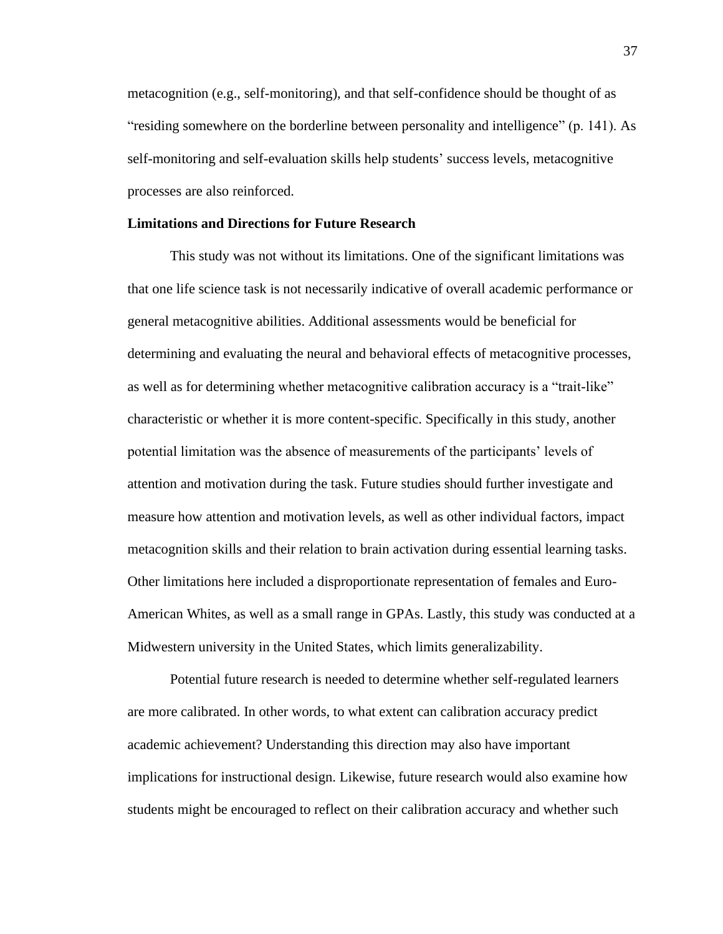metacognition (e.g., self-monitoring), and that self-confidence should be thought of as "residing somewhere on the borderline between personality and intelligence" (p. 141). As self-monitoring and self-evaluation skills help students' success levels, metacognitive processes are also reinforced.

#### **Limitations and Directions for Future Research**

This study was not without its limitations. One of the significant limitations was that one life science task is not necessarily indicative of overall academic performance or general metacognitive abilities. Additional assessments would be beneficial for determining and evaluating the neural and behavioral effects of metacognitive processes, as well as for determining whether metacognitive calibration accuracy is a "trait-like" characteristic or whether it is more content-specific. Specifically in this study, another potential limitation was the absence of measurements of the participants' levels of attention and motivation during the task. Future studies should further investigate and measure how attention and motivation levels, as well as other individual factors, impact metacognition skills and their relation to brain activation during essential learning tasks. Other limitations here included a disproportionate representation of females and Euro-American Whites, as well as a small range in GPAs. Lastly, this study was conducted at a Midwestern university in the United States, which limits generalizability.

Potential future research is needed to determine whether self-regulated learners are more calibrated. In other words, to what extent can calibration accuracy predict academic achievement? Understanding this direction may also have important implications for instructional design. Likewise, future research would also examine how students might be encouraged to reflect on their calibration accuracy and whether such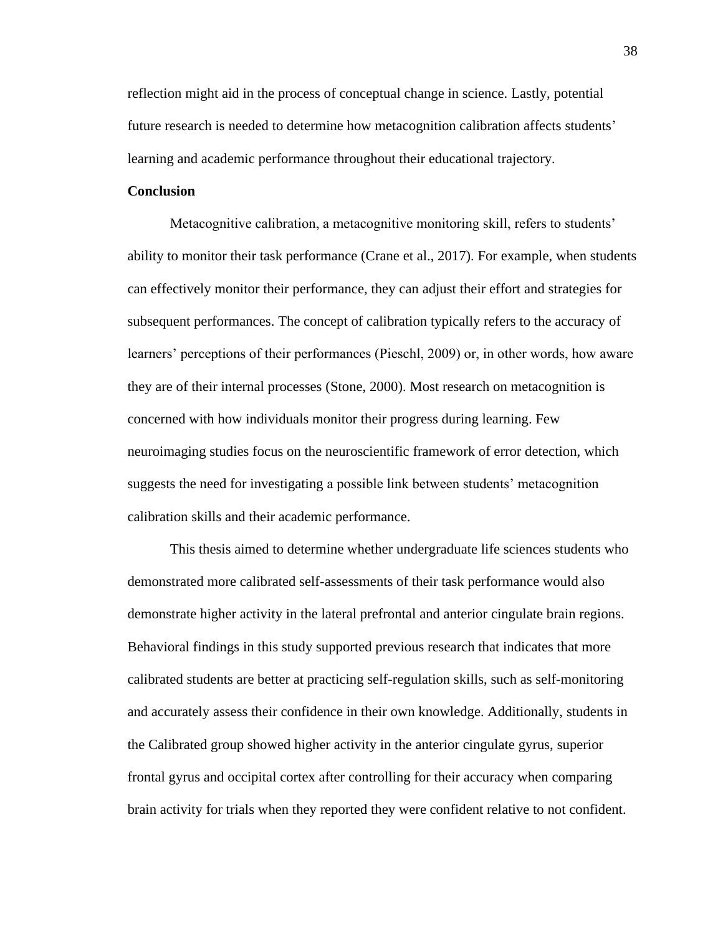reflection might aid in the process of conceptual change in science. Lastly, potential future research is needed to determine how metacognition calibration affects students' learning and academic performance throughout their educational trajectory.

### **Conclusion**

Metacognitive calibration, a metacognitive monitoring skill, refers to students' ability to monitor their task performance (Crane et al., 2017). For example, when students can effectively monitor their performance, they can adjust their effort and strategies for subsequent performances. The concept of calibration typically refers to the accuracy of learners' perceptions of their performances (Pieschl, 2009) or, in other words, how aware they are of their internal processes (Stone, 2000). Most research on metacognition is concerned with how individuals monitor their progress during learning. Few neuroimaging studies focus on the neuroscientific framework of error detection, which suggests the need for investigating a possible link between students' metacognition calibration skills and their academic performance.

This thesis aimed to determine whether undergraduate life sciences students who demonstrated more calibrated self-assessments of their task performance would also demonstrate higher activity in the lateral prefrontal and anterior cingulate brain regions. Behavioral findings in this study supported previous research that indicates that more calibrated students are better at practicing self-regulation skills, such as self-monitoring and accurately assess their confidence in their own knowledge. Additionally, students in the Calibrated group showed higher activity in the anterior cingulate gyrus, superior frontal gyrus and occipital cortex after controlling for their accuracy when comparing brain activity for trials when they reported they were confident relative to not confident.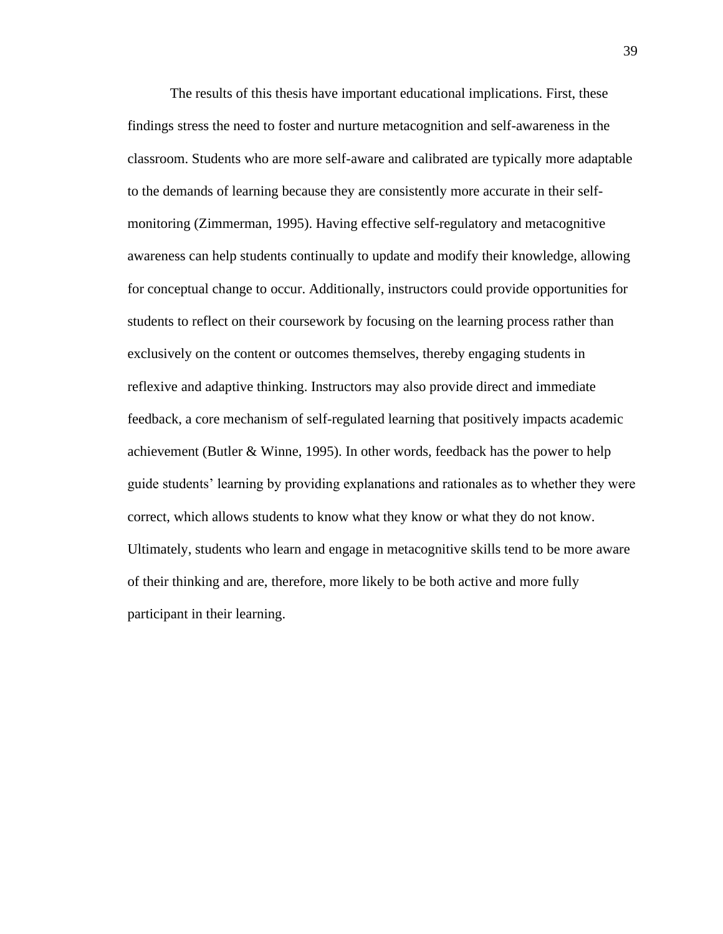The results of this thesis have important educational implications. First, these findings stress the need to foster and nurture metacognition and self-awareness in the classroom. Students who are more self-aware and calibrated are typically more adaptable to the demands of learning because they are consistently more accurate in their selfmonitoring (Zimmerman, 1995). Having effective self-regulatory and metacognitive awareness can help students continually to update and modify their knowledge, allowing for conceptual change to occur. Additionally, instructors could provide opportunities for students to reflect on their coursework by focusing on the learning process rather than exclusively on the content or outcomes themselves, thereby engaging students in reflexive and adaptive thinking. Instructors may also provide direct and immediate feedback, a core mechanism of self-regulated learning that positively impacts academic achievement (Butler & Winne, 1995). In other words, feedback has the power to help guide students' learning by providing explanations and rationales as to whether they were correct, which allows students to know what they know or what they do not know. Ultimately, students who learn and engage in metacognitive skills tend to be more aware of their thinking and are, therefore, more likely to be both active and more fully participant in their learning.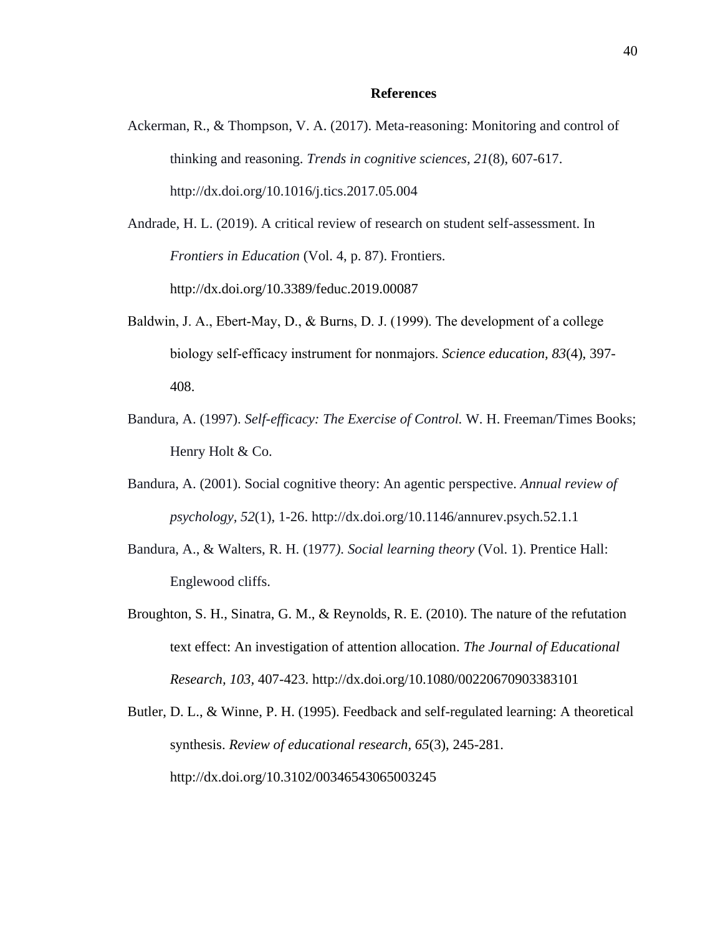#### **References**

- Ackerman, R., & Thompson, V. A. (2017). Meta-reasoning: Monitoring and control of thinking and reasoning. *Trends in cognitive sciences, 21*(8), 607-617. http://dx.doi.org/10.1016/j.tics.2017.05.004
- Andrade, H. L. (2019). A critical review of research on student self-assessment. In *Frontiers in Education* (Vol. 4, p. 87). Frontiers. http://dx.doi.org/10.3389/feduc.2019.00087
- Baldwin, J. A., Ebert‐May, D., & Burns, D. J. (1999). The development of a college biology self‐efficacy instrument for nonmajors. *Science education, 83*(4), 397- 408.
- Bandura, A. (1997). *Self-efficacy: The Exercise of Control.* W. H. Freeman/Times Books; Henry Holt & Co.
- Bandura, A. (2001). Social cognitive theory: An agentic perspective. *Annual review of psychology, 52*(1), 1-26. http://dx.doi.org/10.1146/annurev.psych.52.1.1
- Bandura, A., & Walters, R. H. (1977*). Social learning theory* (Vol. 1). Prentice Hall: Englewood cliffs.
- Broughton, S. H., Sinatra, G. M., & Reynolds, R. E. (2010). The nature of the refutation text effect: An investigation of attention allocation. *The Journal of Educational Research, 103,* 407-423. http://dx.doi.org/10.1080/00220670903383101
- Butler, D. L., & Winne, P. H. (1995). Feedback and self-regulated learning: A theoretical synthesis. *Review of educational research, 65*(3), 245-281. http://dx.doi.org/10.3102/00346543065003245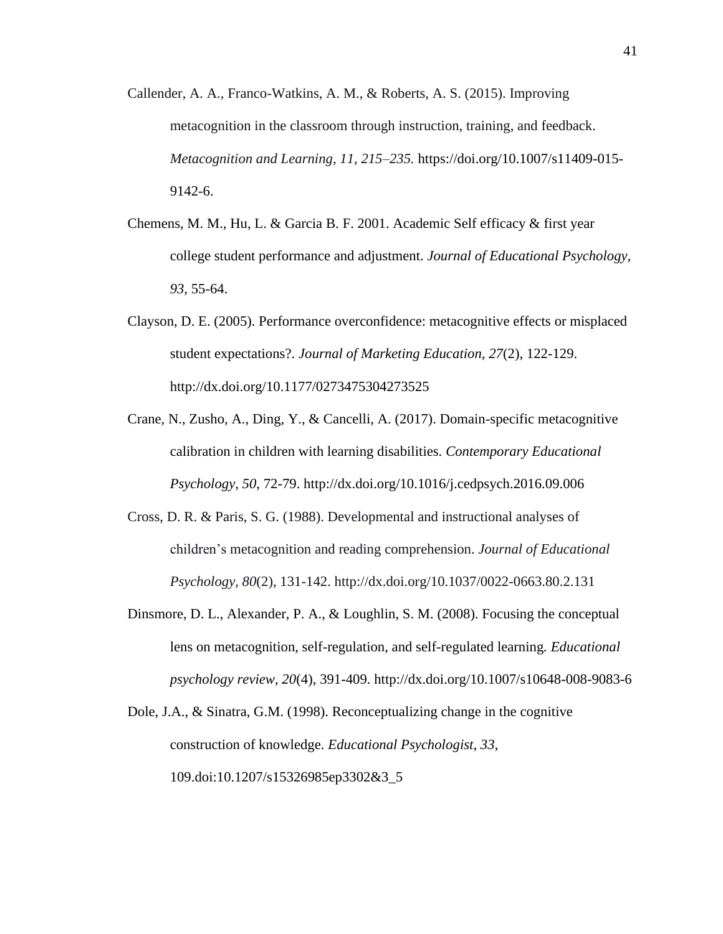- Callender, A. A., Franco-Watkins, A. M., & Roberts, A. S. (2015). Improving metacognition in the classroom through instruction, training, and feedback. *Metacognition and Learning, 11, 215–235.* https://doi.org/10.1007/s11409-015- 9142-6.
- Chemens, M. M., Hu, L. & Garcia B. F. 2001. Academic Self efficacy & first year college student performance and adjustment. *Journal of Educational Psychology, 93*, 55-64.
- Clayson, D. E. (2005). Performance overconfidence: metacognitive effects or misplaced student expectations?. *Journal of Marketing Education, 27*(2), 122-129. http://dx.doi.org/10.1177/0273475304273525
- Crane, N., Zusho, A., Ding, Y., & Cancelli, A. (2017). Domain-specific metacognitive calibration in children with learning disabilities. *Contemporary Educational Psychology, 50*, 72-79. http://dx.doi.org/10.1016/j.cedpsych.2016.09.006
- Cross, D. R. & Paris, S. G. (1988). Developmental and instructional analyses of children's metacognition and reading comprehension. *Journal of Educational Psychology, 80*(2), 131-142. http://dx.doi.org/10.1037/0022-0663.80.2.131
- Dinsmore, D. L., Alexander, P. A., & Loughlin, S. M. (2008). Focusing the conceptual lens on metacognition, self-regulation, and self-regulated learning*. Educational psychology review, 20*(4), 391-409. http://dx.doi.org/10.1007/s10648-008-9083-6
- Dole, J.A., & Sinatra, G.M. (1998). Reconceptualizing change in the cognitive construction of knowledge. *Educational Psychologist, 33*, 109.doi:10.1207/s15326985ep3302&3\_5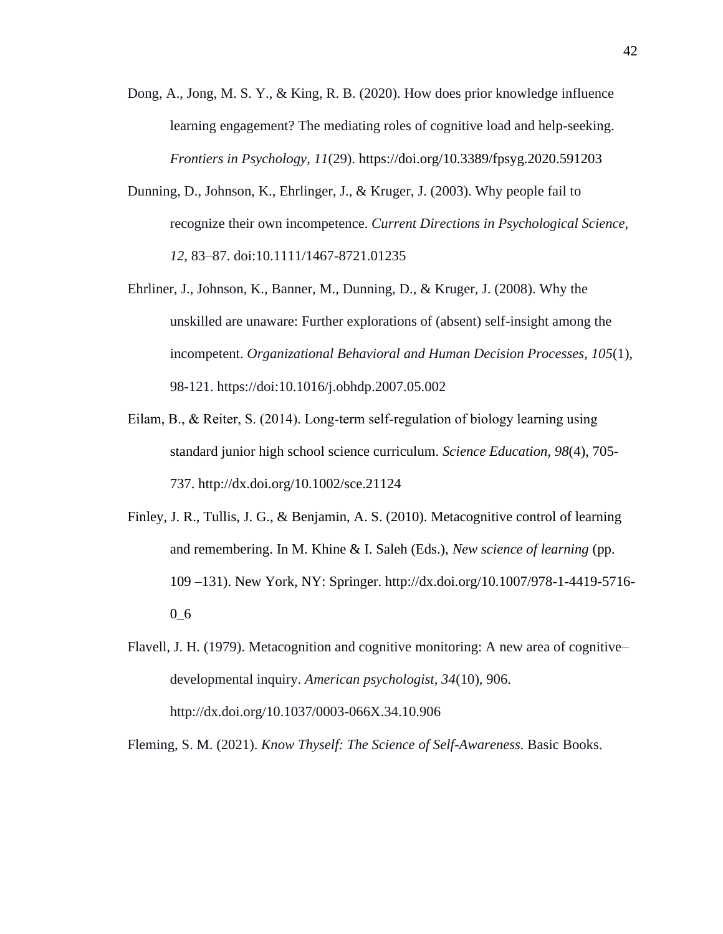- Dong, A., Jong, M. S. Y., & King, R. B. (2020). How does prior knowledge influence learning engagement? The mediating roles of cognitive load and help-seeking. *Frontiers in Psychology, 11*(29). https://doi.org/10.3389/fpsyg.2020.591203
- Dunning, D., Johnson, K., Ehrlinger, J., & Kruger, J. (2003). Why people fail to recognize their own incompetence. *Current Directions in Psychological Science, 12*, 83–87. doi:10.1111/1467-8721.01235
- Ehrliner, J., Johnson, K., Banner, M., Dunning, D., & Kruger, J. (2008). Why the unskilled are unaware: Further explorations of (absent) self-insight among the incompetent. *Organizational Behavioral and Human Decision Processes, 105*(1), 98-121. https://doi:10.1016/j.obhdp.2007.05.002
- Eilam, B., & Reiter, S. (2014). Long‐term self‐regulation of biology learning using standard junior high school science curriculum. *Science Education, 98*(4), 705- 737. http://dx.doi.org/10.1002/sce.21124
- Finley, J. R., Tullis, J. G., & Benjamin, A. S. (2010). Metacognitive control of learning and remembering. In M. Khine & I. Saleh (Eds.), *New science of learning* (pp. 109 –131). New York, NY: Springer. http://dx.doi.org/10.1007/978-1-4419-5716- 0\_6
- Flavell, J. H. (1979). Metacognition and cognitive monitoring: A new area of cognitive– developmental inquiry. *American psychologist, 34*(10), 906. http://dx.doi.org/10.1037/0003-066X.34.10.906

Fleming, S. M. (2021). *Know Thyself: The Science of Self-Awareness.* Basic Books.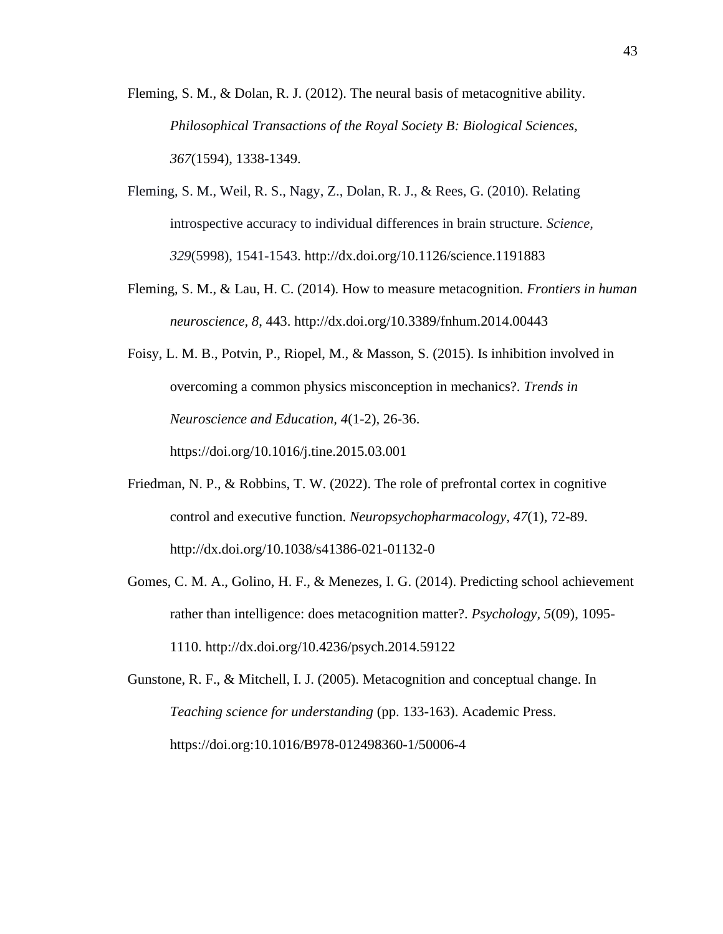Fleming, S. M., & Dolan, R. J. (2012). The neural basis of metacognitive ability. *Philosophical Transactions of the Royal Society B: Biological Sciences, 367*(1594), 1338-1349.

- Fleming, S. M., Weil, R. S., Nagy, Z., Dolan, R. J., & Rees, G. (2010). Relating introspective accuracy to individual differences in brain structure. *Science, 329*(5998), 1541-1543. http://dx.doi.org/10.1126/science.1191883
- Fleming, S. M., & Lau, H. C. (2014). How to measure metacognition. *Frontiers in human neuroscience, 8*, 443. http://dx.doi.org/10.3389/fnhum.2014.00443
- Foisy, L. M. B., Potvin, P., Riopel, M., & Masson, S. (2015). Is inhibition involved in overcoming a common physics misconception in mechanics?. *Trends in Neuroscience and Education, 4*(1-2), 26-36. https://doi.org/10.1016/j.tine.2015.03.001
- Friedman, N. P., & Robbins, T. W. (2022). The role of prefrontal cortex in cognitive control and executive function. *Neuropsychopharmacology, 47*(1), 72-89. http://dx.doi.org/10.1038/s41386-021-01132-0
- Gomes, C. M. A., Golino, H. F., & Menezes, I. G. (2014). Predicting school achievement rather than intelligence: does metacognition matter?. *Psychology, 5*(09), 1095- 1110. http://dx.doi.org/10.4236/psych.2014.59122

Gunstone, R. F., & Mitchell, I. J. (2005). Metacognition and conceptual change. In *Teaching science for understanding* (pp. 133-163). Academic Press. https://doi.org:10.1016/B978-012498360-1/50006-4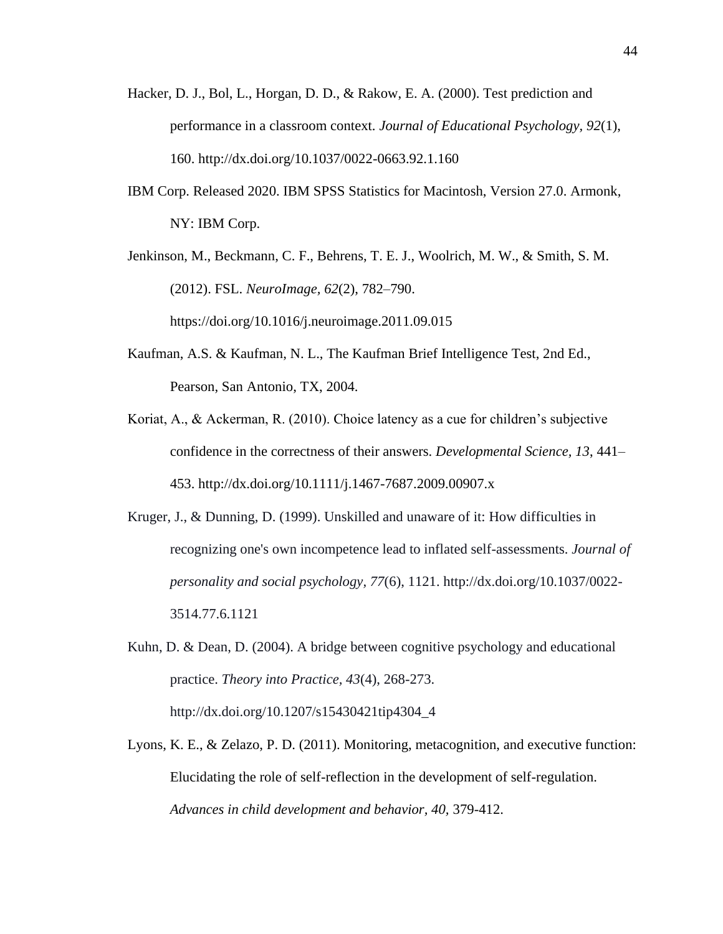- Hacker, D. J., Bol, L., Horgan, D. D., & Rakow, E. A. (2000). Test prediction and performance in a classroom context. *Journal of Educational Psychology, 92*(1), 160. http://dx.doi.org/10.1037/0022-0663.92.1.160
- IBM Corp. Released 2020. IBM SPSS Statistics for Macintosh, Version 27.0. Armonk, NY: IBM Corp.

Jenkinson, M., Beckmann, C. F., Behrens, T. E. J., Woolrich, M. W., & Smith, S. M. (2012). FSL. *NeuroImage, 62*(2), 782–790. https://doi.org/10.1016/j.neuroimage.2011.09.015

- Kaufman, A.S. & Kaufman, N. L., The Kaufman Brief Intelligence Test, 2nd Ed., Pearson, San Antonio, TX, 2004.
- Koriat, A., & Ackerman, R. (2010). Choice latency as a cue for children's subjective confidence in the correctness of their answers. *Developmental Science, 13*, 441– 453. http://dx.doi.org/10.1111/j.1467-7687.2009.00907.x
- Kruger, J., & Dunning, D. (1999). Unskilled and unaware of it: How difficulties in recognizing one's own incompetence lead to inflated self-assessments. *Journal of personality and social psychology, 77*(6), 1121. http://dx.doi.org/10.1037/0022- 3514.77.6.1121
- Kuhn, D. & Dean, D. (2004). A bridge between cognitive psychology and educational practice. *Theory into Practice, 43*(4), 268-273. http://dx.doi.org/10.1207/s15430421tip4304\_4
- Lyons, K. E., & Zelazo, P. D. (2011). Monitoring, metacognition, and executive function: Elucidating the role of self-reflection in the development of self-regulation. *Advances in child development and behavior, 40,* 379-412.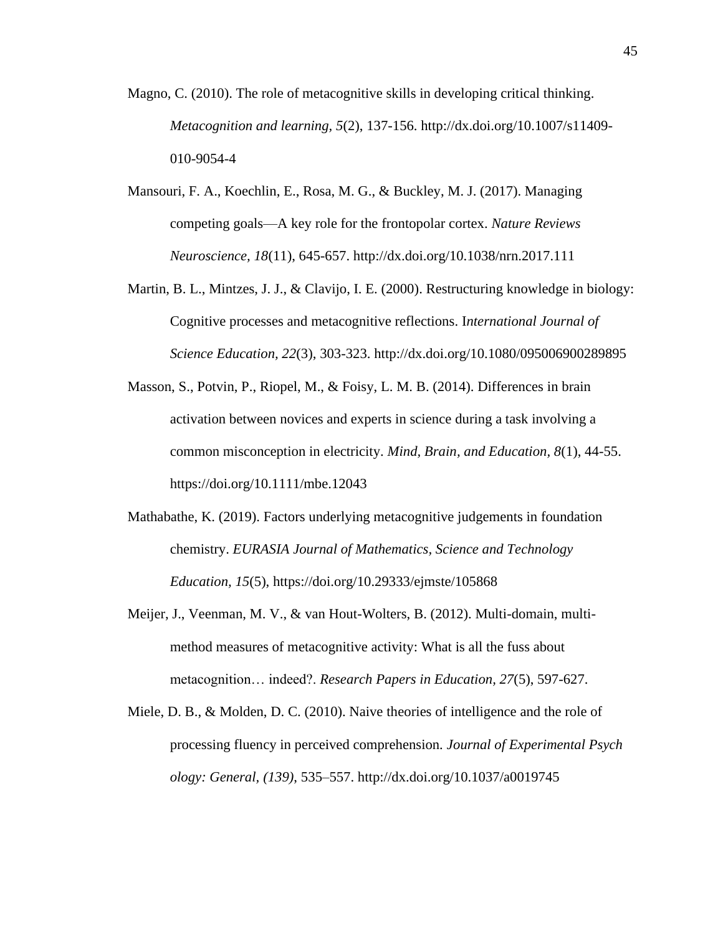- Magno, C. (2010). The role of metacognitive skills in developing critical thinking. *Metacognition and learning, 5*(2), 137-156. http://dx.doi.org/10.1007/s11409- 010-9054-4
- Mansouri, F. A., Koechlin, E., Rosa, M. G., & Buckley, M. J. (2017). Managing competing goals—A key role for the frontopolar cortex. *Nature Reviews Neuroscience, 18*(11), 645-657. http://dx.doi.org/10.1038/nrn.2017.111
- Martin, B. L., Mintzes, J. J., & Clavijo, I. E. (2000). Restructuring knowledge in biology: Cognitive processes and metacognitive reflections. I*nternational Journal of Science Education, 22*(3), 303-323. http://dx.doi.org/10.1080/095006900289895
- Masson, S., Potvin, P., Riopel, M., & Foisy, L. M. B. (2014). Differences in brain activation between novices and experts in science during a task involving a common misconception in electricity. *Mind, Brain, and Education, 8*(1), 44-55. https://doi.org/10.1111/mbe.12043
- Mathabathe, K. (2019). Factors underlying metacognitive judgements in foundation chemistry. *EURASIA Journal of Mathematics, Science and Technology Education, 15*(5), https://doi.org/10.29333/ejmste/105868
- Meijer, J., Veenman, M. V., & van Hout-Wolters, B. (2012). Multi-domain, multimethod measures of metacognitive activity: What is all the fuss about metacognition… indeed?. *Research Papers in Education, 27*(5), 597-627.
- Miele, D. B., & Molden, D. C. (2010). Naive theories of intelligence and the role of processing fluency in perceived comprehension*. Journal of Experimental Psych ology: General, (139)*, 535–557. http://dx.doi.org/10.1037/a0019745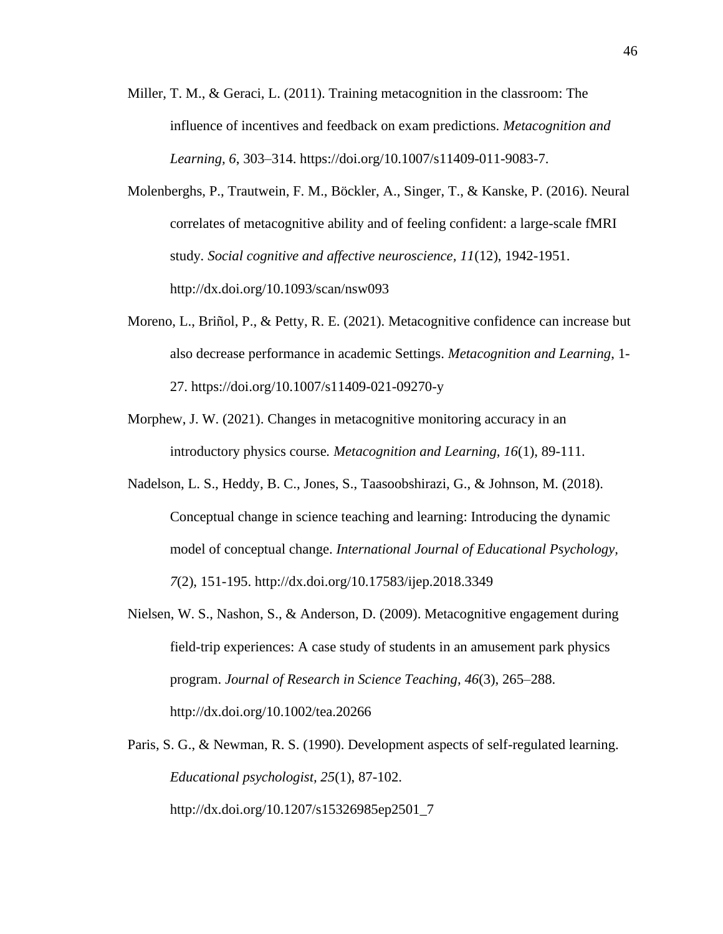- Miller, T. M., & Geraci, L. (2011). Training metacognition in the classroom: The influence of incentives and feedback on exam predictions. *Metacognition and Learning, 6*, 303–314. https://doi.org/10.1007/s11409-011-9083-7.
- Molenberghs, P., Trautwein, F. M., Böckler, A., Singer, T., & Kanske, P. (2016). Neural correlates of metacognitive ability and of feeling confident: a large-scale fMRI study*. Social cognitive and affective neuroscience, 11*(12), 1942-1951. http://dx.doi.org/10.1093/scan/nsw093
- Moreno, L., Briñol, P., & Petty, R. E. (2021). Metacognitive confidence can increase but also decrease performance in academic Settings. *Metacognition and Learning*, 1- 27. https://doi.org/10.1007/s11409-021-09270-y
- Morphew, J. W. (2021). Changes in metacognitive monitoring accuracy in an introductory physics course*. Metacognition and Learning, 16*(1), 89-111.
- Nadelson, L. S., Heddy, B. C., Jones, S., Taasoobshirazi, G., & Johnson, M. (2018). Conceptual change in science teaching and learning: Introducing the dynamic model of conceptual change. *International Journal of Educational Psychology, 7*(2), 151-195. http://dx.doi.org/10.17583/ijep.2018.3349
- Nielsen, W. S., Nashon, S., & Anderson, D. (2009). Metacognitive engagement during field-trip experiences: A case study of students in an amusement park physics program. *Journal of Research in Science Teaching, 46*(3), 265–288. http://dx.doi.org/10.1002/tea.20266
- Paris, S. G., & Newman, R. S. (1990). Development aspects of self-regulated learning. *Educational psychologist, 25*(1), 87-102. http://dx.doi.org/10.1207/s15326985ep2501\_7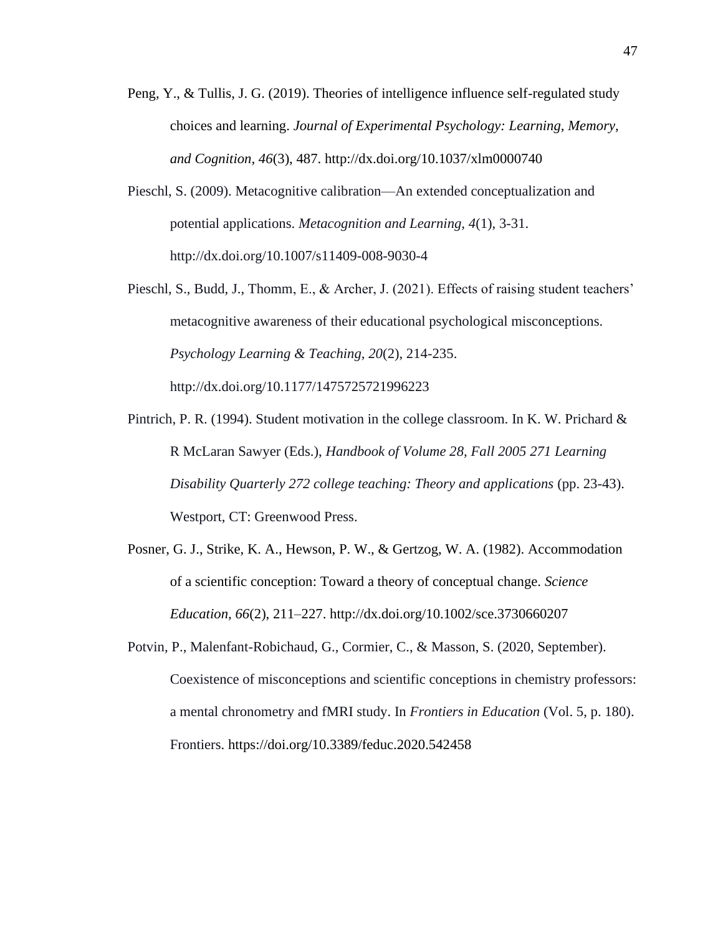- Peng, Y., & Tullis, J. G. (2019). Theories of intelligence influence self-regulated study choices and learning. *Journal of Experimental Psychology: Learning, Memory, and Cognition, 46*(3), 487. http://dx.doi.org/10.1037/xlm0000740
- Pieschl, S. (2009). Metacognitive calibration—An extended conceptualization and potential applications. *Metacognition and Learning, 4*(1), 3-31. http://dx.doi.org/10.1007/s11409-008-9030-4
- Pieschl, S., Budd, J., Thomm, E., & Archer, J. (2021). Effects of raising student teachers' metacognitive awareness of their educational psychological misconceptions. *Psychology Learning & Teaching, 20*(2), 214-235. http://dx.doi.org/10.1177/1475725721996223
- Pintrich, P. R. (1994). Student motivation in the college classroom. In K. W. Prichard  $\&$ R McLaran Sawyer (Eds.), *Handbook of Volume 28, Fall 2005 271 Learning Disability Quarterly 272 college teaching: Theory and applications* (pp. 23-43). Westport, CT: Greenwood Press.
- Posner, G. J., Strike, K. A., Hewson, P. W., & Gertzog, W. A. (1982). Accommodation of a scientific conception: Toward a theory of conceptual change. *Science Education, 66*(2), 211–227. http://dx.doi.org/10.1002/sce.3730660207
- Potvin, P., Malenfant-Robichaud, G., Cormier, C., & Masson, S. (2020, September). Coexistence of misconceptions and scientific conceptions in chemistry professors: a mental chronometry and fMRI study. In *Frontiers in Education* (Vol. 5, p. 180). Frontiers. https://doi.org/10.3389/feduc.2020.542458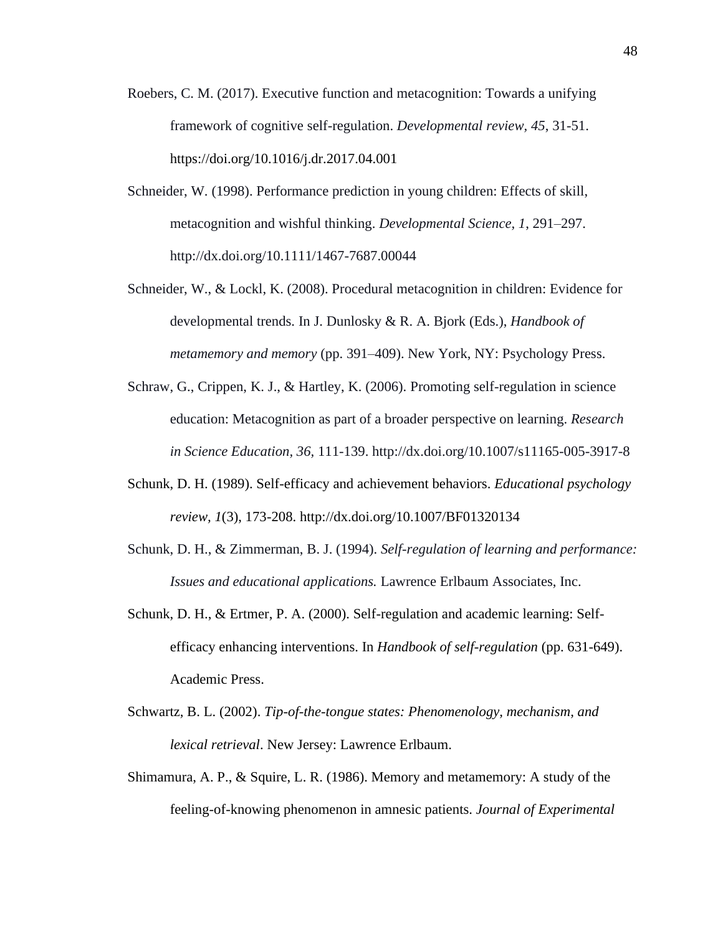- Roebers, C. M. (2017). Executive function and metacognition: Towards a unifying framework of cognitive self-regulation. *Developmental review, 45*, 31-51. https://doi.org/10.1016/j.dr.2017.04.001
- Schneider, W. (1998). Performance prediction in young children: Effects of skill, metacognition and wishful thinking. *Developmental Science, 1*, 291–297. http://dx.doi.org/10.1111/1467-7687.00044
- Schneider, W., & Lockl, K. (2008). Procedural metacognition in children: Evidence for developmental trends. In J. Dunlosky & R. A. Bjork (Eds.), *Handbook of metamemory and memory* (pp. 391–409). New York, NY: Psychology Press.
- Schraw, G., Crippen, K. J., & Hartley, K. (2006). Promoting self-regulation in science education: Metacognition as part of a broader perspective on learning. *Research in Science Education, 36,* 111-139. http://dx.doi.org/10.1007/s11165-005-3917-8
- Schunk, D. H. (1989). Self-efficacy and achievement behaviors. *Educational psychology review, 1*(3), 173-208. http://dx.doi.org/10.1007/BF01320134
- Schunk, D. H., & Zimmerman, B. J. (1994). *Self-regulation of learning and performance: Issues and educational applications.* Lawrence Erlbaum Associates, Inc.
- Schunk, D. H., & Ertmer, P. A. (2000). Self-regulation and academic learning: Selfefficacy enhancing interventions. In *Handbook of self-regulation* (pp. 631-649). Academic Press.
- Schwartz, B. L. (2002). *Tip-of-the-tongue states: Phenomenology, mechanism, and lexical retrieval*. New Jersey: Lawrence Erlbaum.
- Shimamura, A. P., & Squire, L. R. (1986). Memory and metamemory: A study of the feeling-of-knowing phenomenon in amnesic patients. *Journal of Experimental*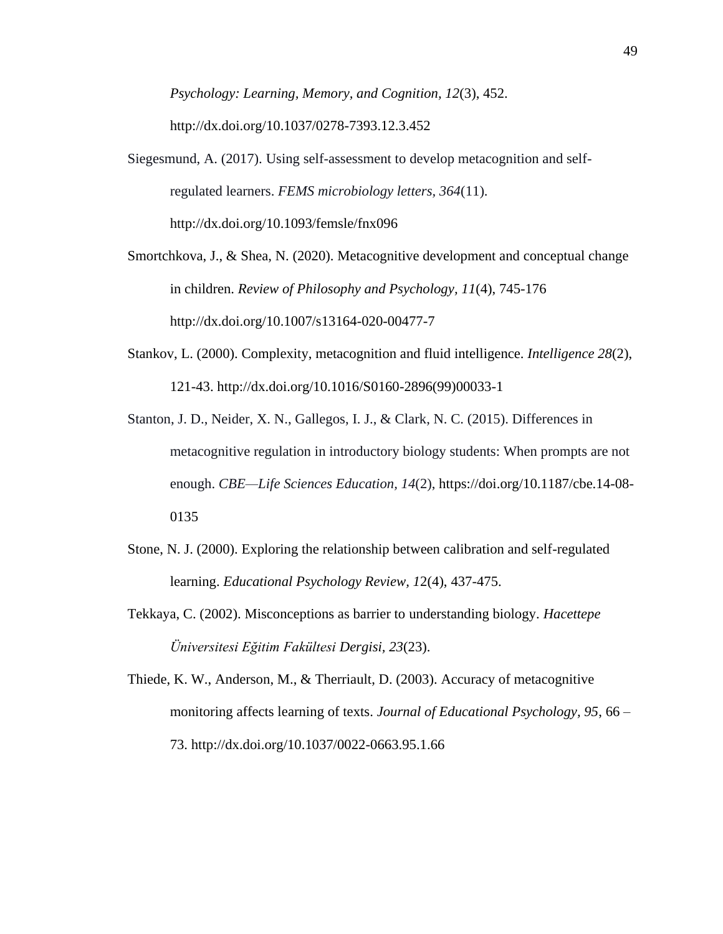*Psychology: Learning, Memory, and Cognition, 12*(3), 452. http://dx.doi.org/10.1037/0278-7393.12.3.452

Siegesmund, A. (2017). Using self-assessment to develop metacognition and selfregulated learners. *FEMS microbiology letters, 364*(11). http://dx.doi.org/10.1093/femsle/fnx096

Smortchkova, J., & Shea, N. (2020). Metacognitive development and conceptual change in children. *Review of Philosophy and Psychology, 11*(4), 745-176 http://dx.doi.org/10.1007/s13164-020-00477-7

- Stankov, L. (2000). Complexity, metacognition and fluid intelligence. *Intelligence 28*(2), 121-43. http://dx.doi.org/10.1016/S0160-2896(99)00033-1
- Stanton, J. D., Neider, X. N., Gallegos, I. J., & Clark, N. C. (2015). Differences in metacognitive regulation in introductory biology students: When prompts are not enough. *CBE—Life Sciences Education, 14*(2), https://doi.org/10.1187/cbe.14-08- 0135
- Stone, N. J. (2000). Exploring the relationship between calibration and self-regulated learning. *Educational Psychology Review, 1*2(4), 437-475.
- Tekkaya, C. (2002). Misconceptions as barrier to understanding biology. *Hacettepe Üniversitesi Eğitim Fakültesi Dergisi, 23*(23).
- Thiede, K. W., Anderson, M., & Therriault, D. (2003). Accuracy of metacognitive monitoring affects learning of texts. *Journal of Educational Psychology, 95*, 66 – 73. http://dx.doi.org/10.1037/0022-0663.95.1.66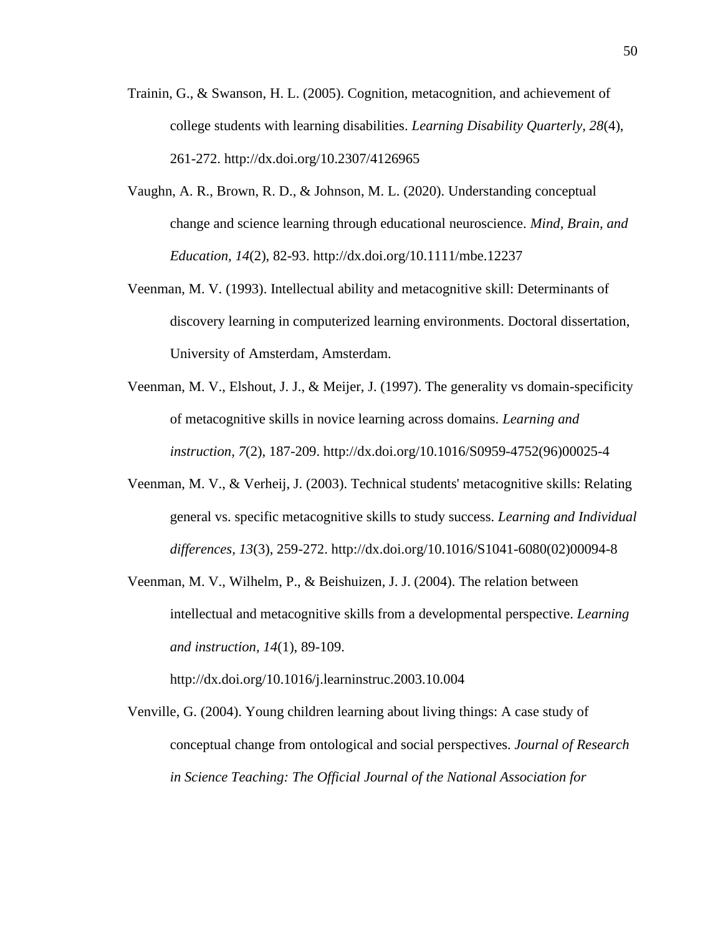- Trainin, G., & Swanson, H. L. (2005). Cognition, metacognition, and achievement of college students with learning disabilities. *Learning Disability Quarterly, 28*(4), 261-272. http://dx.doi.org/10.2307/4126965
- Vaughn, A. R., Brown, R. D., & Johnson, M. L. (2020). Understanding conceptual change and science learning through educational neuroscience. *Mind, Brain, and Education, 14*(2), 82-93. http://dx.doi.org/10.1111/mbe.12237
- Veenman, M. V. (1993). Intellectual ability and metacognitive skill: Determinants of discovery learning in computerized learning environments. Doctoral dissertation, University of Amsterdam, Amsterdam.
- Veenman, M. V., Elshout, J. J., & Meijer, J. (1997). The generality vs domain-specificity of metacognitive skills in novice learning across domains. *Learning and instruction, 7*(2), 187-209. http://dx.doi.org/10.1016/S0959-4752(96)00025-4
- Veenman, M. V., & Verheij, J. (2003). Technical students' metacognitive skills: Relating general vs. specific metacognitive skills to study success. *Learning and Individual differences, 13*(3), 259-272. http://dx.doi.org/10.1016/S1041-6080(02)00094-8
- Veenman, M. V., Wilhelm, P., & Beishuizen, J. J. (2004). The relation between intellectual and metacognitive skills from a developmental perspective. *Learning and instruction, 14*(1), 89-109.

http://dx.doi.org/10.1016/j.learninstruc.2003.10.004

Venville, G. (2004). Young children learning about living things: A case study of conceptual change from ontological and social perspectives. *Journal of Research in Science Teaching: The Official Journal of the National Association for*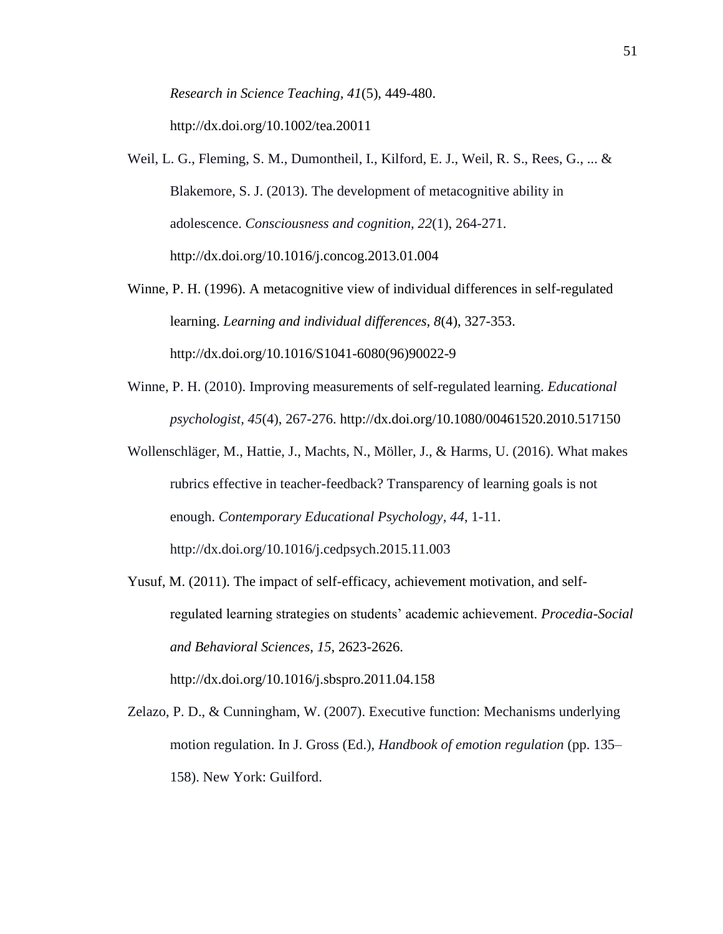*Research in Science Teaching, 41*(5), 449-480. http://dx.doi.org/10.1002/tea.20011

- Weil, L. G., Fleming, S. M., Dumontheil, I., Kilford, E. J., Weil, R. S., Rees, G., ... & Blakemore, S. J. (2013). The development of metacognitive ability in adolescence. *Consciousness and cognition, 22*(1), 264-271. http://dx.doi.org/10.1016/j.concog.2013.01.004
- Winne, P. H. (1996). A metacognitive view of individual differences in self-regulated learning. *Learning and individual differences, 8*(4), 327-353. http://dx.doi.org/10.1016/S1041-6080(96)90022-9
- Winne, P. H. (2010). Improving measurements of self-regulated learning. *Educational psychologist, 45*(4), 267-276. http://dx.doi.org/10.1080/00461520.2010.517150
- Wollenschläger, M., Hattie, J., Machts, N., Möller, J., & Harms, U. (2016). What makes rubrics effective in teacher-feedback? Transparency of learning goals is not enough. *Contemporary Educational Psychology, 44*, 1-11. http://dx.doi.org/10.1016/j.cedpsych.2015.11.003
- Yusuf, M. (2011). The impact of self-efficacy, achievement motivation, and selfregulated learning strategies on students' academic achievement. *Procedia-Social and Behavioral Sciences, 15*, 2623-2626. http://dx.doi.org/10.1016/j.sbspro.2011.04.158
- Zelazo, P. D., & Cunningham, W. (2007). Executive function: Mechanisms underlying motion regulation. In J. Gross (Ed.), *Handbook of emotion regulation* (pp. 135– 158). New York: Guilford.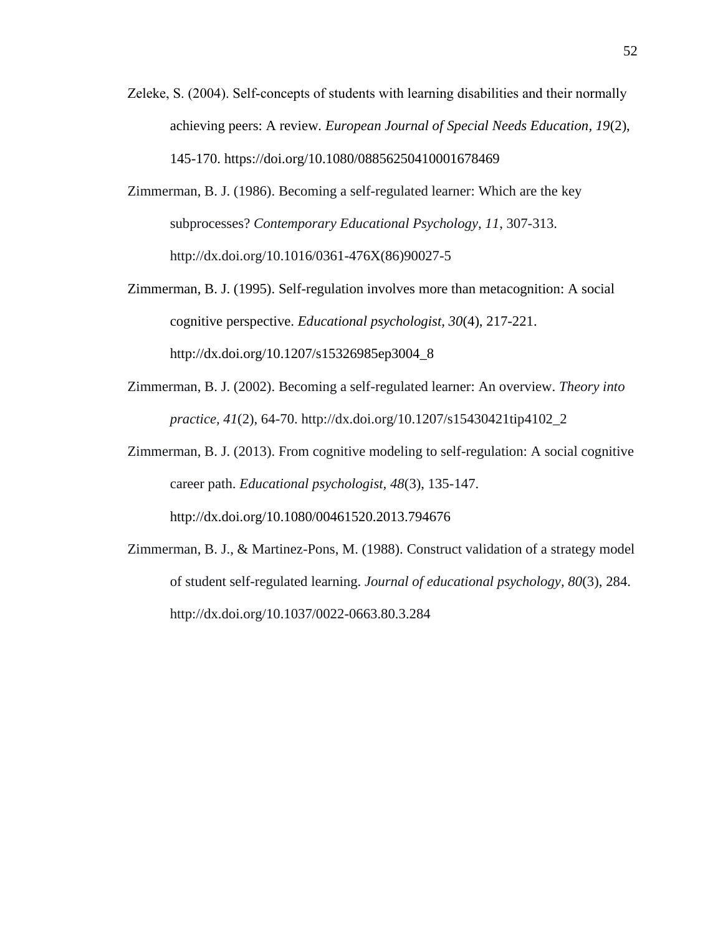- Zeleke, S. (2004). Self-concepts of students with learning disabilities and their normally achieving peers: A review*. European Journal of Special Needs Education, 19*(2), 145-170. https://doi.org/10.1080/08856250410001678469
- Zimmerman, B. J. (1986). Becoming a self-regulated learner: Which are the key subprocesses? *Contemporary Educational Psychology, 11*, 307-313. http://dx.doi.org/10.1016/0361-476X(86)90027-5
- Zimmerman, B. J. (1995). Self-regulation involves more than metacognition: A social cognitive perspective. *Educational psychologist, 30*(4), 217-221. http://dx.doi.org/10.1207/s15326985ep3004\_8
- Zimmerman, B. J. (2002). Becoming a self-regulated learner: An overview. *Theory into practice, 41*(2), 64-70. http://dx.doi.org/10.1207/s15430421tip4102\_2
- Zimmerman, B. J. (2013). From cognitive modeling to self-regulation: A social cognitive career path. *Educational psychologist, 48*(3), 135-147. http://dx.doi.org/10.1080/00461520.2013.794676
- Zimmerman, B. J., & Martinez-Pons, M. (1988). Construct validation of a strategy model of student self-regulated learning. *Journal of educational psychology, 80*(3), 284. http://dx.doi.org/10.1037/0022-0663.80.3.284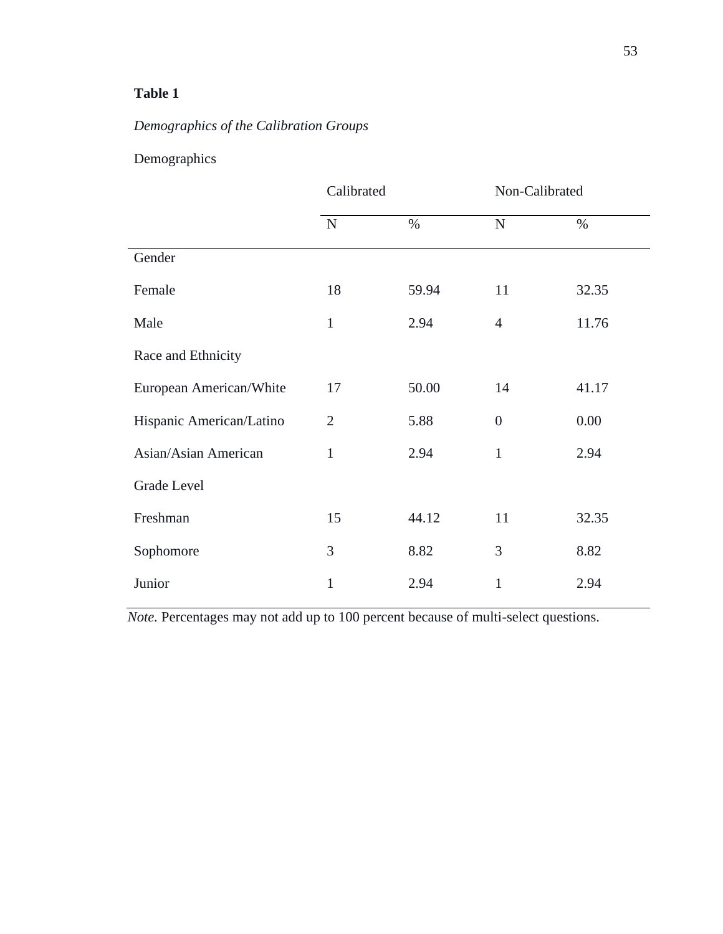### **Table 1**

# *Demographics of the Calibration Groups*

### Demographics

|                          | Calibrated     |       | Non-Calibrated |       |
|--------------------------|----------------|-------|----------------|-------|
|                          | $\mathbf N$    | $\%$  | ${\bf N}$      | $\%$  |
| Gender                   |                |       |                |       |
| Female                   | 18             | 59.94 | 11             | 32.35 |
| Male                     | $\mathbf{1}$   | 2.94  | $\overline{4}$ | 11.76 |
| Race and Ethnicity       |                |       |                |       |
| European American/White  | 17             | 50.00 | 14             | 41.17 |
| Hispanic American/Latino | $\overline{2}$ | 5.88  | $\overline{0}$ | 0.00  |
| Asian/Asian American     | $\mathbf{1}$   | 2.94  | 1              | 2.94  |
| <b>Grade Level</b>       |                |       |                |       |
| Freshman                 | 15             | 44.12 | 11             | 32.35 |
| Sophomore                | 3              | 8.82  | 3              | 8.82  |
| Junior                   | $\mathbf{1}$   | 2.94  | $\mathbf{1}$   | 2.94  |

*Note.* Percentages may not add up to 100 percent because of multi-select questions.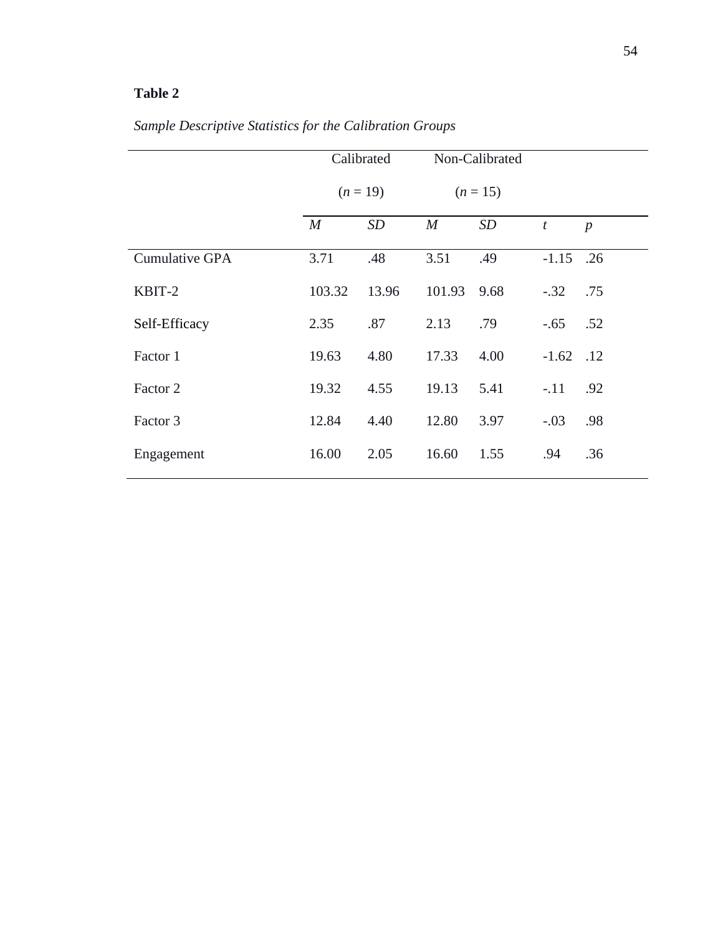## **Table 2**

# *Sample Descriptive Statistics for the Calibration Groups*

|                | Calibrated       |       |                  | Non-Calibrated |                |                  |
|----------------|------------------|-------|------------------|----------------|----------------|------------------|
|                | $(n=19)$         |       | $(n = 15)$       |                |                |                  |
|                | $\boldsymbol{M}$ | SD    | $\boldsymbol{M}$ | <b>SD</b>      | $\mathfrak{t}$ | $\boldsymbol{p}$ |
| Cumulative GPA | 3.71             | .48   | 3.51             | .49            | $-1.15$ .26    |                  |
| KBIT-2         | 103.32           | 13.96 | 101.93           | 9.68           | $-.32$         | .75              |
| Self-Efficacy  | 2.35             | .87   | 2.13             | .79            | $-.65$         | .52              |
| Factor 1       | 19.63            | 4.80  | 17.33            | 4.00           | $-1.62$ .12    |                  |
| Factor 2       | 19.32            | 4.55  | 19.13            | 5.41           | $-.11$         | .92              |
| Factor 3       | 12.84            | 4.40  | 12.80            | 3.97           | $-.03$         | .98              |
| Engagement     | 16.00            | 2.05  | 16.60            | 1.55           | .94            | .36              |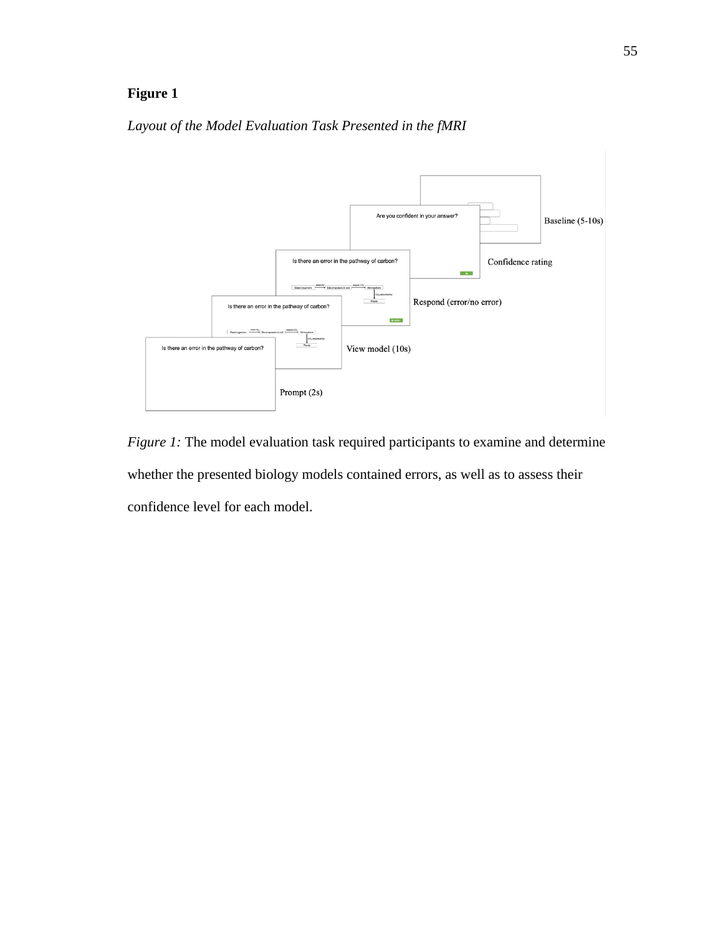

### *Layout of the Model Evaluation Task Presented in the fMRI*

*Figure 1:* The model evaluation task required participants to examine and determine whether the presented biology models contained errors, as well as to assess their confidence level for each model.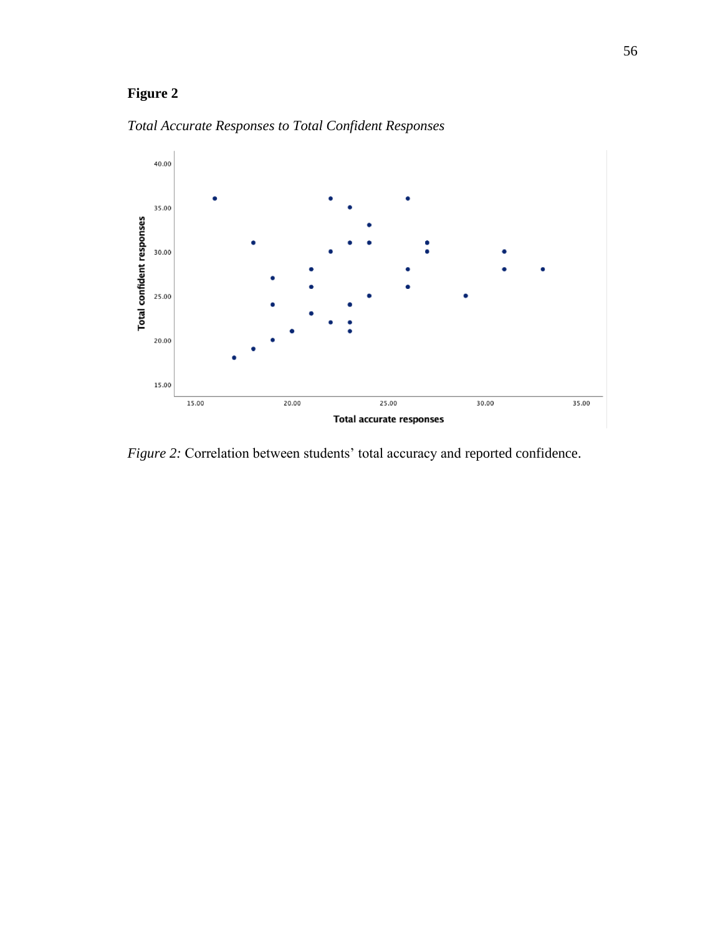

*Total Accurate Responses to Total Confident Responses*

*Figure 2:* Correlation between students' total accuracy and reported confidence.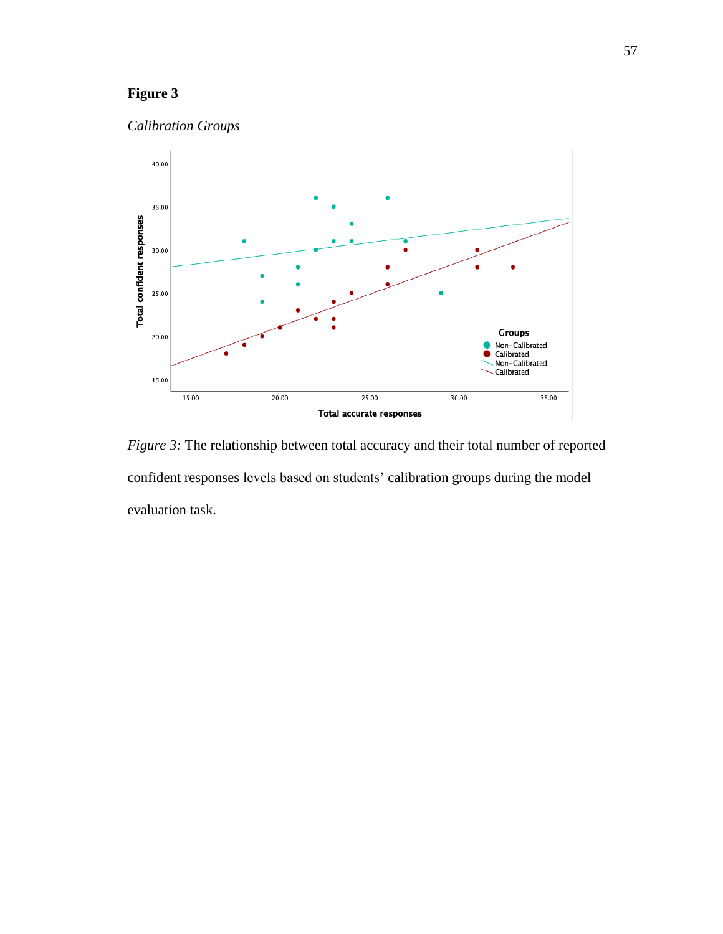



*Figure 3:* The relationship between total accuracy and their total number of reported confident responses levels based on students' calibration groups during the model evaluation task.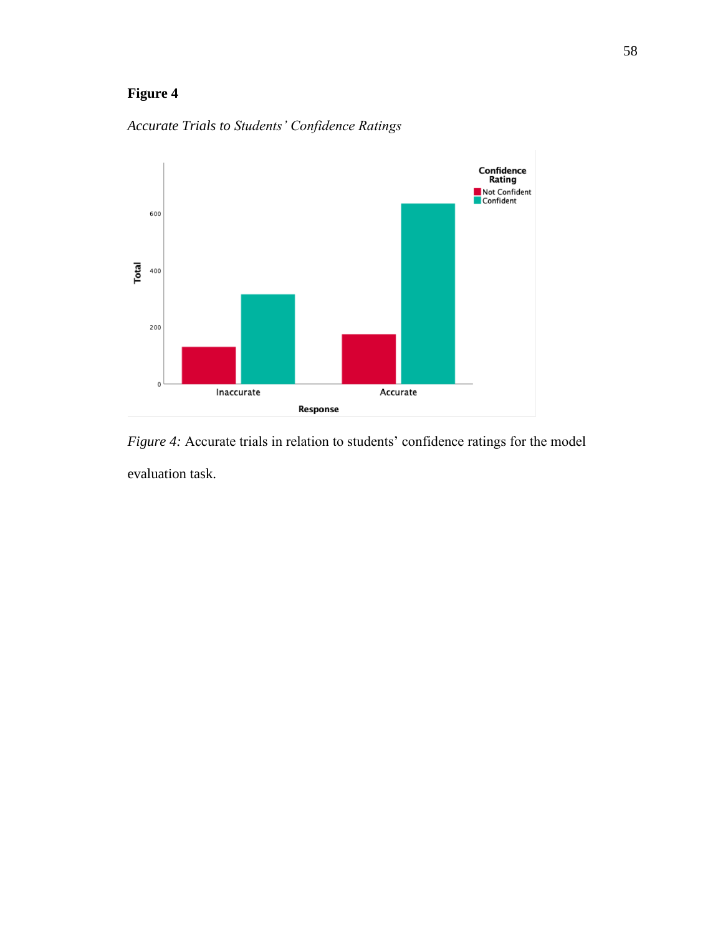

*Accurate Trials to Students' Confidence Ratings*

*Figure 4:* Accurate trials in relation to students' confidence ratings for the model evaluation task.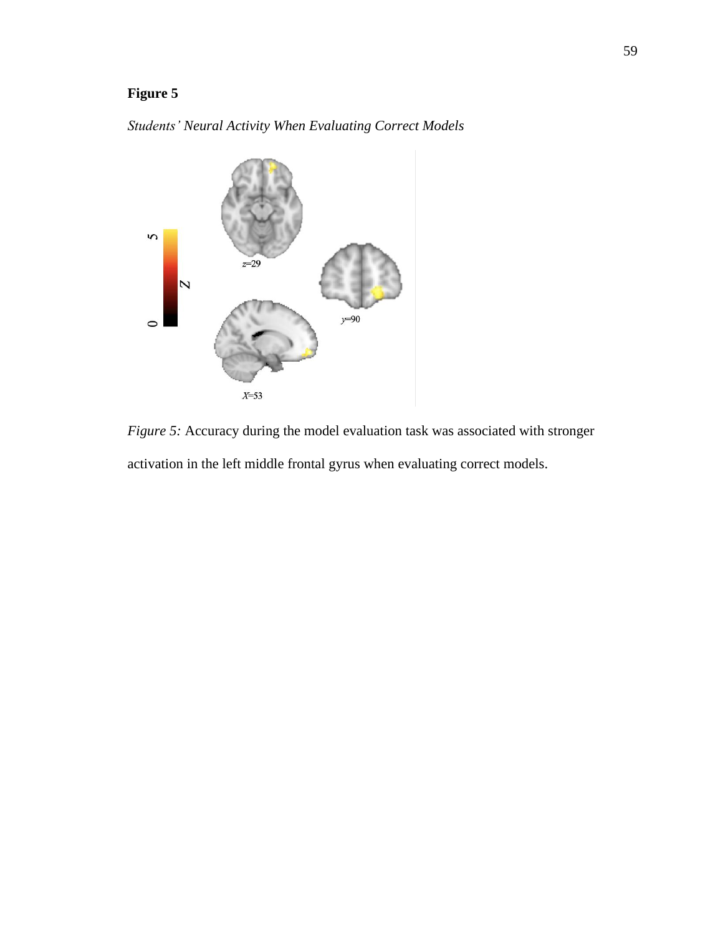*Students' Neural Activity When Evaluating Correct Models*



*Figure 5:* Accuracy during the model evaluation task was associated with stronger activation in the left middle frontal gyrus when evaluating correct models.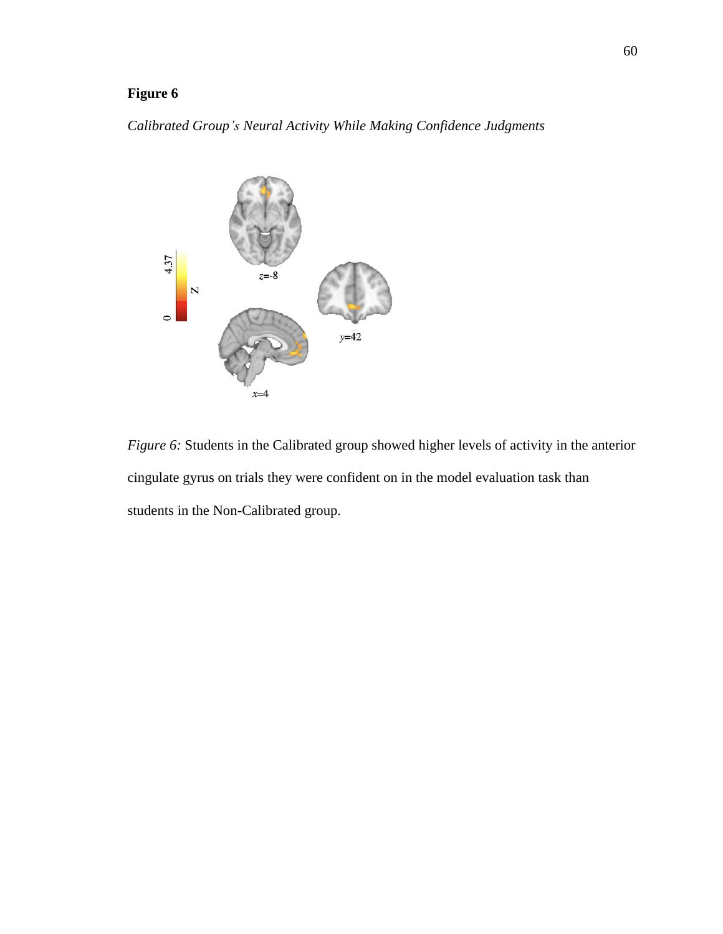### *Calibrated Group's Neural Activity While Making Confidence Judgments*



*Figure 6:* Students in the Calibrated group showed higher levels of activity in the anterior cingulate gyrus on trials they were confident on in the model evaluation task than students in the Non-Calibrated group.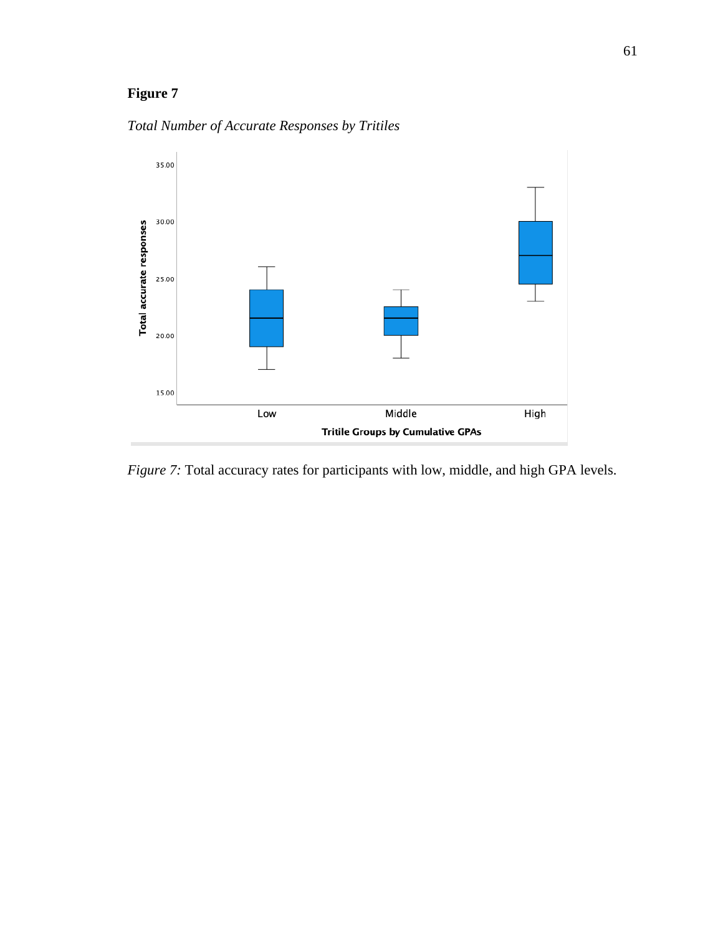



*Figure 7:* Total accuracy rates for participants with low, middle, and high GPA levels.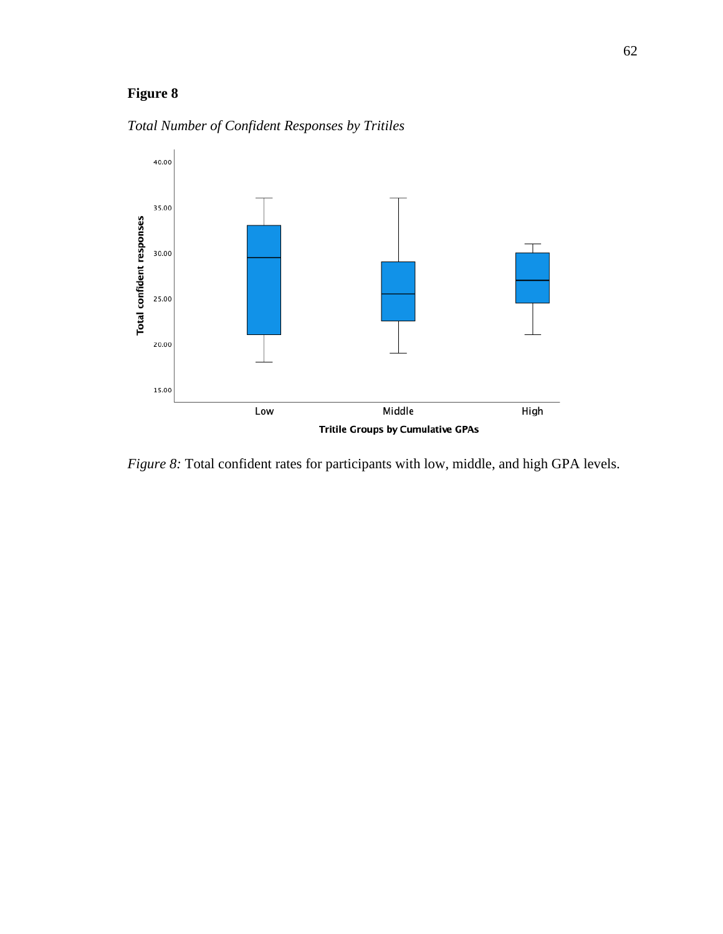

*Total Number of Confident Responses by Tritiles*

*Figure 8:* Total confident rates for participants with low, middle, and high GPA levels.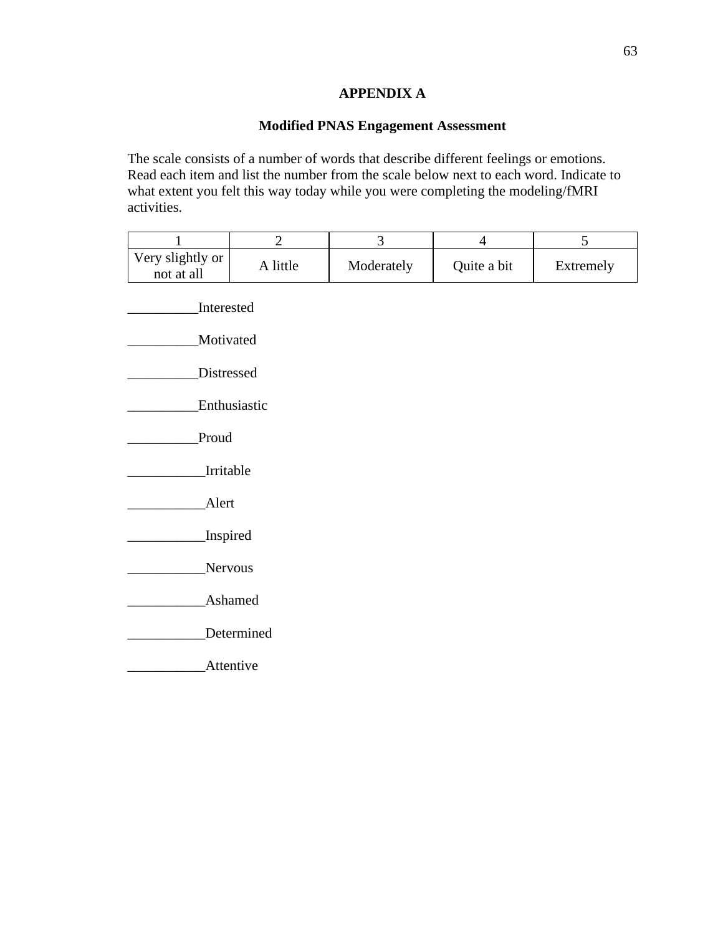### **APPENDIX A**

### **Modified PNAS Engagement Assessment**

The scale consists of a number of words that describe different feelings or emotions. Read each item and list the number from the scale below next to each word. Indicate to what extent you felt this way today while you were completing the modeling/fMRI activities.

| $\mathbf{1}$                   | $\overline{2}$ | 3          | $\overline{4}$ | 5         |  |  |  |
|--------------------------------|----------------|------------|----------------|-----------|--|--|--|
| Very slightly or<br>not at all | A little       | Moderately | Quite a bit    | Extremely |  |  |  |
| Interested                     |                |            |                |           |  |  |  |
| Motivated                      |                |            |                |           |  |  |  |
| Distressed                     |                |            |                |           |  |  |  |
| Enthusiastic                   |                |            |                |           |  |  |  |
| Proud                          |                |            |                |           |  |  |  |
| Irritable                      |                |            |                |           |  |  |  |
| Alert                          |                |            |                |           |  |  |  |
| Inspired                       |                |            |                |           |  |  |  |
| Nervous                        |                |            |                |           |  |  |  |
| <b>Ashamed</b>                 |                |            |                |           |  |  |  |
| Determined                     |                |            |                |           |  |  |  |
| Attentive                      |                |            |                |           |  |  |  |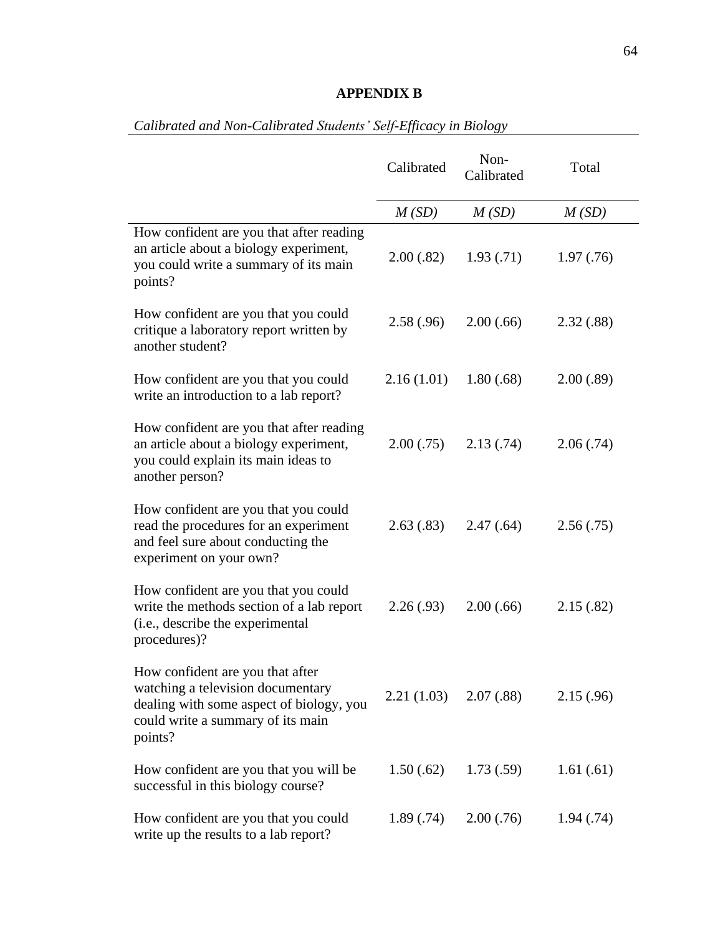## **APPENDIX B**

|                                                                                                                                                                   | Calibrated               | Non-<br>Calibrated | Total      |
|-------------------------------------------------------------------------------------------------------------------------------------------------------------------|--------------------------|--------------------|------------|
|                                                                                                                                                                   | M(SD)                    | M(SD)              | M(SD)      |
| How confident are you that after reading<br>an article about a biology experiment,<br>you could write a summary of its main<br>points?                            | 2.00(.82)                | 1.93(0.71)         | 1.97(0.76) |
| How confident are you that you could<br>critique a laboratory report written by<br>another student?                                                               | 2.58(.96)                | 2.00(.66)          | 2.32(.88)  |
| How confident are you that you could<br>write an introduction to a lab report?                                                                                    | 2.16(1.01)               | 1.80(.68)          | 2.00(.89)  |
| How confident are you that after reading<br>an article about a biology experiment,<br>you could explain its main ideas to<br>another person?                      | 2.00(.75)                | 2.13(.74)          | 2.06(.74)  |
| How confident are you that you could<br>read the procedures for an experiment<br>and feel sure about conducting the<br>experiment on your own?                    | 2.63(.83)                | 2.47(.64)          | 2.56(.75)  |
| How confident are you that you could<br>write the methods section of a lab report<br>(i.e., describe the experimental<br>procedures)?                             | 2.26(.93)                | 2.00(.66)          | 2.15(.82)  |
| How confident are you that after<br>watching a television documentary<br>dealing with some aspect of biology, you<br>could write a summary of its main<br>points? | $2.21(1.03)$ $2.07(.88)$ |                    | 2.15(.96)  |
| How confident are you that you will be<br>successful in this biology course?                                                                                      | 1.50(.62)                | 1.73(.59)          | 1.61(.61)  |
| How confident are you that you could<br>write up the results to a lab report?                                                                                     | 1.89(.74)                | 2.00(.76)          | 1.94(0.74) |

## *Calibrated and Non-Calibrated Students' Self-Efficacy in Biology*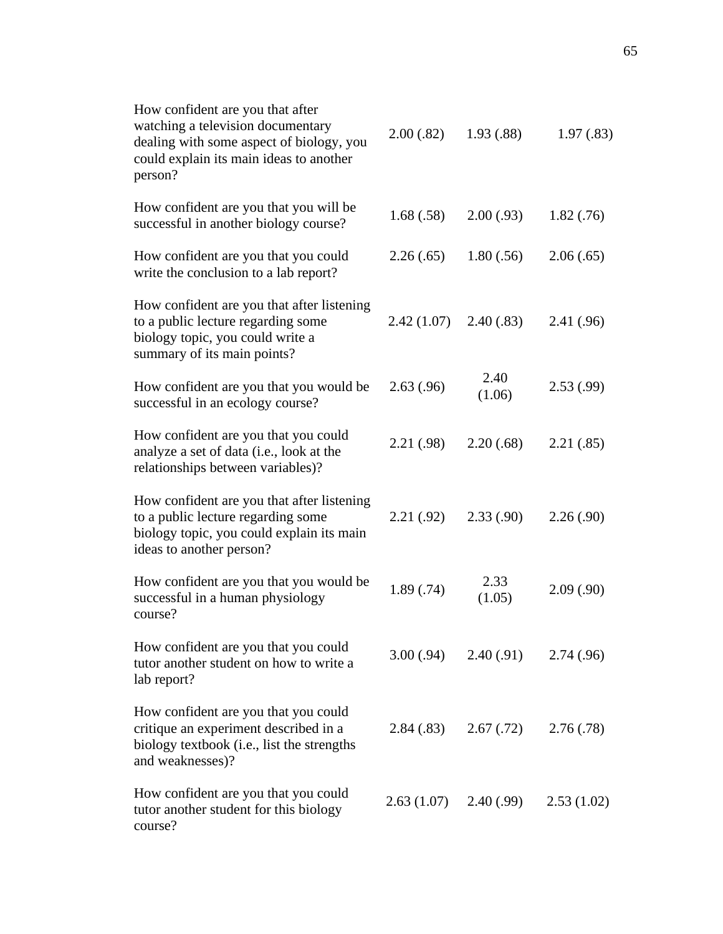| How confident are you that after<br>watching a television documentary<br>dealing with some aspect of biology, you<br>could explain its main ideas to another<br>person? | 2.00(.82)  | 1.93(.88)      | 1.97(.83)  |
|-------------------------------------------------------------------------------------------------------------------------------------------------------------------------|------------|----------------|------------|
| How confident are you that you will be<br>successful in another biology course?                                                                                         | 1.68(.58)  | 2.00(.93)      | 1.82(0.76) |
| How confident are you that you could<br>write the conclusion to a lab report?                                                                                           | 2.26(.65)  | 1.80(.56)      | 2.06(.65)  |
| How confident are you that after listening<br>to a public lecture regarding some<br>biology topic, you could write a<br>summary of its main points?                     | 2.42(1.07) | 2.40(.83)      | 2.41(.96)  |
| How confident are you that you would be<br>successful in an ecology course?                                                                                             | 2.63(.96)  | 2.40<br>(1.06) | 2.53(.99)  |
| How confident are you that you could<br>analyze a set of data (i.e., look at the<br>relationships between variables)?                                                   | 2.21(.98)  | 2.20(.68)      | 2.21(.85)  |
| How confident are you that after listening<br>to a public lecture regarding some<br>biology topic, you could explain its main<br>ideas to another person?               | 2.21(.92)  | 2.33(.90)      | 2.26(.90)  |
| How confident are you that you would be<br>successful in a human physiology<br>course?                                                                                  | 1.89(.74)  | 2.33<br>(1.05) | 2.09(.90)  |
| How confident are you that you could<br>tutor another student on how to write a<br>lab report?                                                                          | 3.00(.94)  | 2.40(0.91)     | 2.74(.96)  |
| How confident are you that you could<br>critique an experiment described in a<br>biology textbook (i.e., list the strengths<br>and weaknesses)?                         | 2.84(.83)  | 2.67(0.72)     | 2.76(.78)  |
| How confident are you that you could<br>tutor another student for this biology<br>course?                                                                               | 2.63(1.07) | 2.40(0.99)     | 2.53(1.02) |